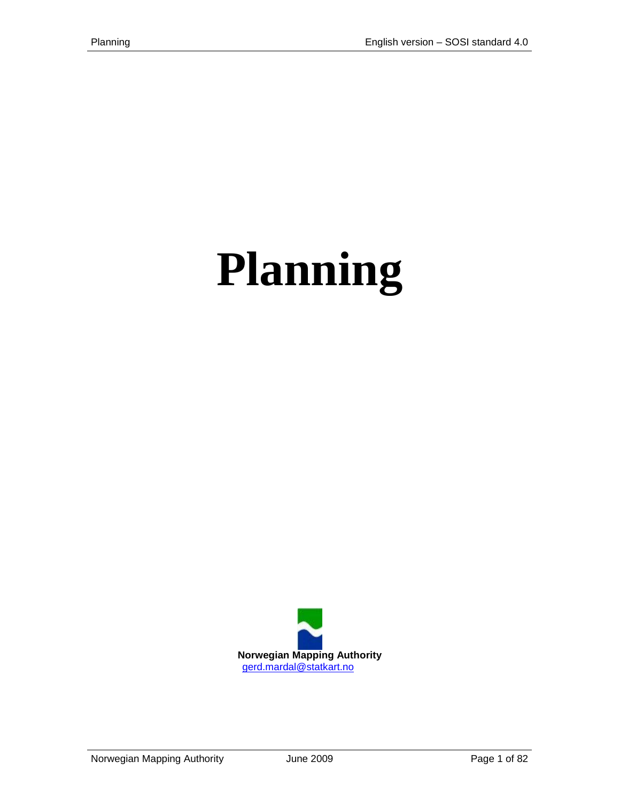# **Planning**

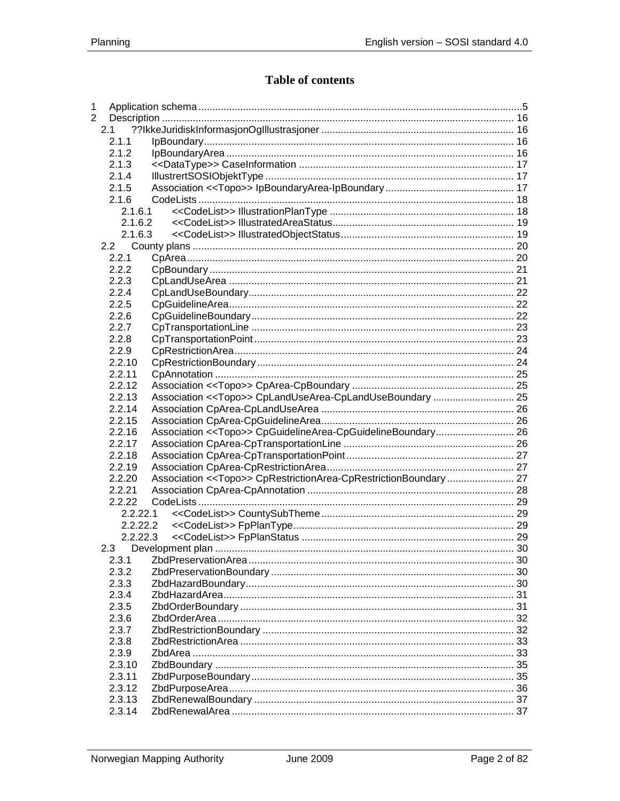## Table of contents

| 1              |          |                                                              |  |
|----------------|----------|--------------------------------------------------------------|--|
| $\overline{2}$ |          |                                                              |  |
|                | 2.1      |                                                              |  |
|                | 2.1.1    |                                                              |  |
|                | 2.1.2    |                                                              |  |
|                | 2.1.3    |                                                              |  |
|                | 2.1.4    |                                                              |  |
|                | 2.1.5    |                                                              |  |
|                | 2.1.6    |                                                              |  |
|                | 2.1.6.1  |                                                              |  |
|                | 2.1.6.2  |                                                              |  |
|                | 2.1.6.3  |                                                              |  |
|                |          |                                                              |  |
|                | 2.2.1    |                                                              |  |
|                | 2.2.2    |                                                              |  |
|                | 2.2.3    |                                                              |  |
|                | 2.2.4    |                                                              |  |
|                | 2.2.5    |                                                              |  |
|                | 2.2.6    |                                                              |  |
|                | 2.2.7    |                                                              |  |
|                | 2.2.8    |                                                              |  |
|                | 2.2.9    |                                                              |  |
|                | 2.2.10   |                                                              |  |
|                | 2.2.11   |                                                              |  |
|                | 2.2.12   |                                                              |  |
|                | 2.2.13   |                                                              |  |
|                | 2.2.14   |                                                              |  |
|                | 2.2.15   |                                                              |  |
|                | 2.2.16   | Association << Topo>> CpGuidelineArea-CpGuidelineBoundary 26 |  |
|                | 2.2.17   |                                                              |  |
|                | 2.2.18   |                                                              |  |
|                | 2.2.19   |                                                              |  |
|                | 2.2.20   |                                                              |  |
|                | 2.2.21   |                                                              |  |
|                | 2.2.22   |                                                              |  |
|                | 2.2.22.1 |                                                              |  |
|                | 2.2.22.2 |                                                              |  |
|                | 2.2.22.3 |                                                              |  |
|                | 2.3      |                                                              |  |
|                | 2.3.1    |                                                              |  |
|                | 2.3.2    |                                                              |  |
|                | 2.3.3    |                                                              |  |
|                | 2.3.4    |                                                              |  |
|                | 2.3.5    |                                                              |  |
|                | 2.3.6    |                                                              |  |
|                | 2.3.7    |                                                              |  |
|                | 2.3.8    |                                                              |  |
|                | 2.3.9    |                                                              |  |
|                | 2.3.10   |                                                              |  |
|                | 2.3.11   |                                                              |  |
|                | 2.3.12   |                                                              |  |
|                | 2.3.13   |                                                              |  |
|                | 2.3.14   |                                                              |  |
|                |          |                                                              |  |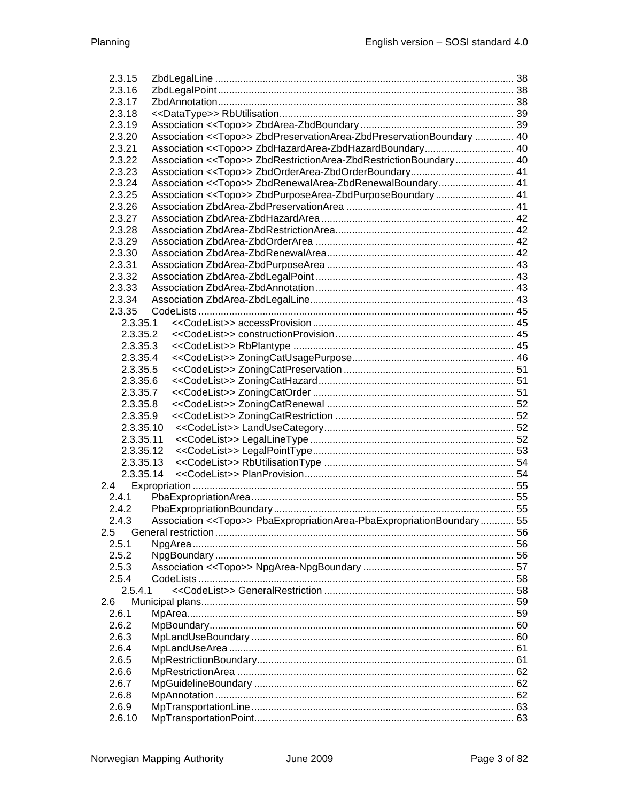|         | 2.3.15<br>2.3.16 |                                                                                  |  |
|---------|------------------|----------------------------------------------------------------------------------|--|
|         | 2.3.17           |                                                                                  |  |
|         | 2.3.18           |                                                                                  |  |
|         | 2.3.19           |                                                                                  |  |
|         | 2.3.20           | Association << Topo>> ZbdPreservationArea-ZbdPreservationBoundary  40            |  |
|         | 2.3.21           | Association << Topo>> ZbdHazardArea-ZbdHazardBoundary 40                         |  |
|         | 2.3.22           | Association < <topo>&gt; ZbdRestrictionArea-ZbdRestrictionBoundary 40</topo>     |  |
|         | 2.3.23           |                                                                                  |  |
|         | 2.3.24           | Association < <topo>&gt; ZbdRenewalArea-ZbdRenewalBoundary 41</topo>             |  |
|         | 2.3.25           | Association < <topo>&gt; ZbdPurposeArea-ZbdPurposeBoundary 41</topo>             |  |
|         | 2.3.26           |                                                                                  |  |
|         | 2.3.27           |                                                                                  |  |
|         | 2.3.28           |                                                                                  |  |
|         | 2.3.29           |                                                                                  |  |
|         | 2.3.30           |                                                                                  |  |
|         | 2.3.31           |                                                                                  |  |
|         | 2.3.32           |                                                                                  |  |
|         | 2.3.33           |                                                                                  |  |
|         | 2.3.34           |                                                                                  |  |
|         | 2.3.35           |                                                                                  |  |
|         | 2.3.35.1         |                                                                                  |  |
|         | 2.3.35.2         |                                                                                  |  |
|         | 2.3.35.3         |                                                                                  |  |
|         | 2.3.35.4         |                                                                                  |  |
|         | 2.3.35.5         |                                                                                  |  |
|         | 2.3.35.6         |                                                                                  |  |
|         | 2.3.35.7         |                                                                                  |  |
|         | 2.3.35.8         |                                                                                  |  |
|         | 2.3.35.9         |                                                                                  |  |
|         | 2.3.35.10        |                                                                                  |  |
|         | 2.3.35.11        |                                                                                  |  |
|         | 2.3.35.12        |                                                                                  |  |
|         | 2.3.35.13        |                                                                                  |  |
|         | 2.3.35.14        |                                                                                  |  |
|         |                  |                                                                                  |  |
|         | 2.4.1            |                                                                                  |  |
|         | 2.4.2            |                                                                                  |  |
|         | 2.4.3            | Association < <topo>&gt; PbaExpropriationArea-PbaExpropriationBoundary 55</topo> |  |
| $2.5\,$ |                  |                                                                                  |  |
|         | 2.5.1            |                                                                                  |  |
|         | 2.5.2            |                                                                                  |  |
|         | 2.5.3            |                                                                                  |  |
|         | 2.5.4            |                                                                                  |  |
|         | 2.5.4.1          |                                                                                  |  |
| 2.6     |                  |                                                                                  |  |
|         | 2.6.1            |                                                                                  |  |
|         | 2.6.2            |                                                                                  |  |
|         | 2.6.3            |                                                                                  |  |
|         | 2.6.4            |                                                                                  |  |
|         | 2.6.5            |                                                                                  |  |
|         | 2.6.6            |                                                                                  |  |
|         | 2.6.7            |                                                                                  |  |
|         | 2.6.8            |                                                                                  |  |
|         | 2.6.9            |                                                                                  |  |
|         | 2.6.10           |                                                                                  |  |
|         |                  |                                                                                  |  |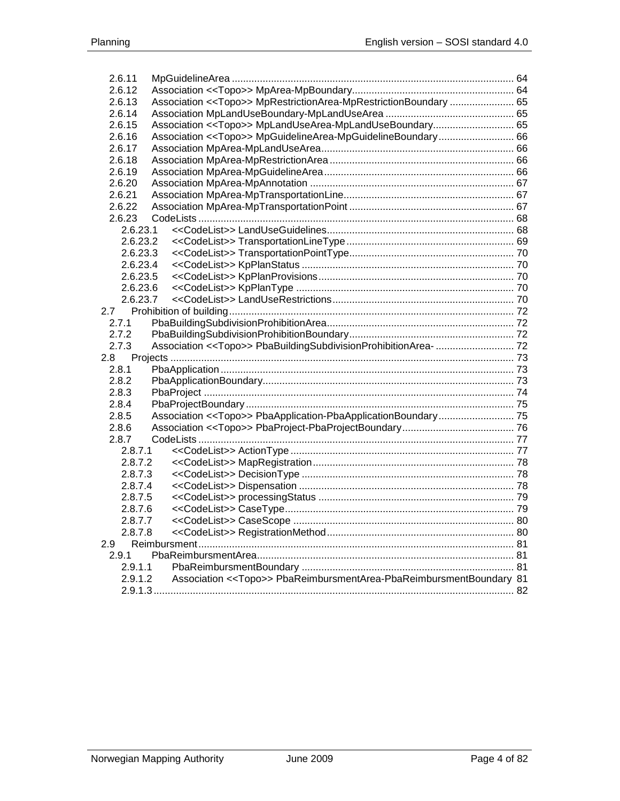| 2.6.11   |                                                                             |  |
|----------|-----------------------------------------------------------------------------|--|
| 2.6.12   |                                                                             |  |
| 2.6.13   | Association < <topo>&gt; MpRestrictionArea-MpRestrictionBoundary  65</topo> |  |
| 2.6.14   |                                                                             |  |
| 2.6.15   | Association < <topo>&gt; MpLandUseArea-MpLandUseBoundary 65</topo>          |  |
| 2.6.16   | Association < <topo>&gt; MpGuidelineArea-MpGuidelineBoundary 66</topo>      |  |
| 2.6.17   |                                                                             |  |
| 2.6.18   |                                                                             |  |
| 2.6.19   |                                                                             |  |
| 2.6.20   |                                                                             |  |
| 2.6.21   |                                                                             |  |
| 2.6.22   |                                                                             |  |
| 2.6.23   |                                                                             |  |
| 2.6.23.1 |                                                                             |  |
| 2.6.23.2 |                                                                             |  |
| 2.6.23.3 |                                                                             |  |
| 2.6.23.4 |                                                                             |  |
| 2.6.23.5 |                                                                             |  |
| 2.6.23.6 |                                                                             |  |
| 2.6.23.7 |                                                                             |  |
| 2.7      |                                                                             |  |
| 2.7.1    |                                                                             |  |
| 2.7.2    |                                                                             |  |
| 2.7.3    |                                                                             |  |
| 2.8      |                                                                             |  |
| 2.8.1    |                                                                             |  |
| 2.8.2    |                                                                             |  |
| 2.8.3    |                                                                             |  |
| 2.8.4    |                                                                             |  |
| 2.8.5    |                                                                             |  |
| 2.8.6    |                                                                             |  |
| 2.8.7    |                                                                             |  |
| 2.8.7.1  |                                                                             |  |
| 2.8.7.2  |                                                                             |  |
| 2.8.7.3  |                                                                             |  |
| 2.8.7.4  |                                                                             |  |
| 2.8.7.5  |                                                                             |  |
| 2.8.7.6  |                                                                             |  |
| 2.8.7.7  |                                                                             |  |
| 2.8.7.8  |                                                                             |  |
| 2.9      |                                                                             |  |
| 2.9.1    |                                                                             |  |
| 2.9.1.1  |                                                                             |  |
| 2.9.1.2  | Association << Topo>> PbaReimbursmentArea-PbaReimbursmentBoundary 81        |  |
|          |                                                                             |  |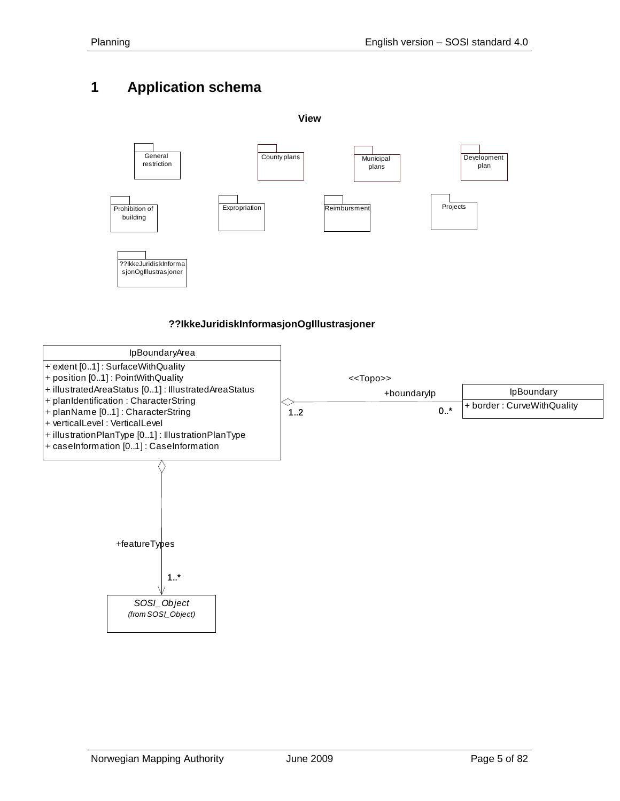# <span id="page-4-0"></span>**1 Application schema**





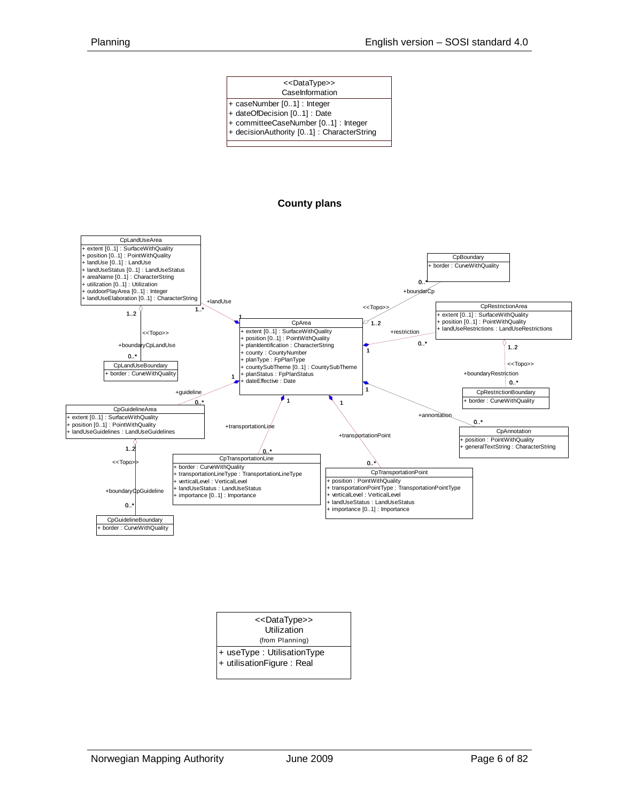#### **CaseInformation** + caseNumber [0..1] : Integer <<DataType>>

- + dateOfDecision [0..1] : Date
- + committeeCaseNumber [0..1] : Integer
- + decisionAuthority [0..1] : CharacterString

#### **County plans**



| < <datatype>&gt;<br/>Utilization</datatype> |  |
|---------------------------------------------|--|
| (from Planning)                             |  |
| + useType : UtilisationType                 |  |
| $+$ utilisation Figure: Real                |  |
|                                             |  |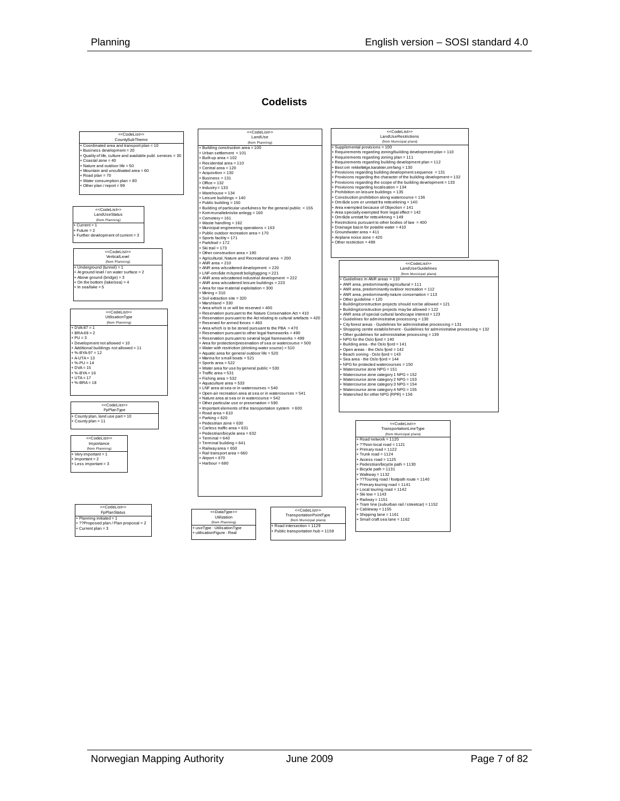#### **Codelists**

|                                                            | < <codelist>&gt;</codelist>                                          | < <codelist>&gt;</codelist>                                                      |  |  |
|------------------------------------------------------------|----------------------------------------------------------------------|----------------------------------------------------------------------------------|--|--|
| < <codelist>&gt;<br/>CountySubTheme</codelist>             | LandUse                                                              | LandUseRestrictions                                                              |  |  |
|                                                            | (from Planning)                                                      | (from Municipal plans)                                                           |  |  |
| Coordinated area and transport plan = 10                   | Building construction area = 100                                     | + Supplemental provisions = 100                                                  |  |  |
| Business development = 20                                  | Urban settlement = 101                                               | Requirements regarding zoning/building development plan = 110                    |  |  |
| Quality of life, culture and available publ. services = 30 | Built-up area = 102                                                  | + Requirements regarding zoning plan = 111                                       |  |  |
| Coastal zone = 40                                          | Residential area = 110                                               | + Requirements regarding building development plan = 112                         |  |  |
| Nature and outdoor life = 50                               | Central area = 120                                                   | + Best om rekkefølge karakter omfang = 130                                       |  |  |
| + Mountain and uncultivated area = 60                      | + Acquisition = 130                                                  | + Provisions regarding building development sequence = 131                       |  |  |
| + Road plan = 70                                           | Business = 131                                                       | + Provisions regarding the character of the building development = 132           |  |  |
| Water consumption plan = 80                                | $+$ Office = 132                                                     | + Provisions regarding the scope of the building development = 133               |  |  |
| Other plan / report = 99                                   | $+$ Industry = 133                                                   | + Provisions regarding localisation = 134                                        |  |  |
|                                                            |                                                                      | + Prohibition on leisure buildings = 135                                         |  |  |
|                                                            | $+ Warehouse = 134$                                                  | + Construction prohibition along watercourse = 136                               |  |  |
|                                                            | + Leisure buildings = 140                                            | + Område som er unntatt fra rettsvirkning = 140                                  |  |  |
|                                                            | Public building = 150                                                |                                                                                  |  |  |
| < <codelist>&gt;</codelist>                                | Building of particular usefulness for the general public = 155       | + Area exempted because of Objection = 141                                       |  |  |
| LandUseStatus                                              | Kommunaltekniske anlegg = 160                                        | + Area specially exempted from legal effect = 142                                |  |  |
| (from Planning)                                            | $F$ Cemetery = 161                                                   | + Om råde unntatt for rettsvirkning = 149                                        |  |  |
| $+ Current = 1$                                            | + Waste handling = 162                                               | Restrictions pursuant to other bodies of law = 400                               |  |  |
| $Future = 2$                                               | Municipal engineering operations = 163                               | Drainage basin for potable water = 410                                           |  |  |
| Further development of current = 3                         | Public outdoor recreation area = 170                                 | Groundwater area = 411                                                           |  |  |
|                                                            | Sports facility = 171                                                | + Airplane noise zone = 420                                                      |  |  |
|                                                            | + Park/trail = 172                                                   | Other restriction = 499                                                          |  |  |
|                                                            | $+$ Ski trail = 173                                                  |                                                                                  |  |  |
| < <codelist>&gt;</codelist>                                | Other construction area = 190                                        |                                                                                  |  |  |
| Verticall evel                                             | + Agricultural, Nature and Recreational area = 200                   |                                                                                  |  |  |
| (from Planning)                                            | $+ ANR$ area = 210                                                   | < <codelist>&gt;</codelist>                                                      |  |  |
| + Underground (tunnel) = 1                                 | + ANR area w/scattered development = 220                             |                                                                                  |  |  |
| + At ground level / on water surface = 2                   | + LNF-område m/spredt boligbygging = 221                             | LandUseGuidelines                                                                |  |  |
| Above ground (bridge) = 3                                  |                                                                      | (from Municipal plans)                                                           |  |  |
| On the bottom (lake/sea) = 4                               | ANR area w/scattered industrial development = 222                    | + Guidelines in ANR areas = 110                                                  |  |  |
| $+$ In sea/lake = 5                                        | ANR area w/scattered leisure buildings = 223                         | + ANR area, predominantly agricultural = 111                                     |  |  |
|                                                            | Area for raw material exploitation = 300                             | + ANR area, predominantly outdoor recreation = 112                               |  |  |
|                                                            | $+ Minina = 310$                                                     | + ANR area, predominantly nature conservation = 113                              |  |  |
|                                                            | Soil extraction site = 320                                           | Other guideline = 120                                                            |  |  |
|                                                            | Marshland = 330                                                      | Building/construction projects should not be allowed = 121                       |  |  |
|                                                            | Area which is or will be reserved = 400                              | Building/construction projects may be allowed = 122                              |  |  |
| < <codelist>&gt;</codelist>                                | Reservation pursuant to the Nature Conservation Act = 410            | ANR area of special cultural landscape interest = 123                            |  |  |
| UtilisationType                                            | Reservation pursuant to the Act relating to cultural artefacts = 420 | Guidelines for administrative processing = 130                                   |  |  |
| (from Planning)                                            | Reserved for armed forces = 460                                      | + City forest areas - Guidelines for administrative processing = 131             |  |  |
| $+$ DVA-87 = 1                                             | Area which is to be zoned pursuant to the PBA = 470                  | + Shopping centre establishment - Guidelines for administrative processing = 132 |  |  |
| $+ BRA-69 = 2$                                             | Reservation pursuant to other legal frameworks = 490                 | Other quidelines for administrative processing = 139                             |  |  |
| $+$ PU = 3                                                 | Reservation pursuant to several legal frameworks = 499               |                                                                                  |  |  |
| + Development not allowed = 10                             | + Area for protection/preservation of sea or watercourse = 500       | + NPG for the Oslo fjord = 140                                                   |  |  |
| + Additional buildings not allowed = 11                    | + Water with restriction (drinking water source) = 510               | Building area - the Oslo fjord = 141                                             |  |  |
| $+$ %-BYA-97 = 12                                          | Aquatic area for general outdoor life = 520                          | Open areas - the Oslo fjord = 142                                                |  |  |
| $+ A-UTA = 13$                                             | Marina for small boats = 521                                         | + Beach soning - Oslo fjord = 143                                                |  |  |
| $+$ %-PU = 14                                              |                                                                      | + Sea area - the Oslo fjord = 144                                                |  |  |
| $+$ DVA = 15                                               | Sports area = 522                                                    | + NPG for protected watercourses = 150                                           |  |  |
| $+$ %-BYA = 16                                             | + Water area for use by general public = 530                         | + Watercourse zone NPG = 151                                                     |  |  |
| $-1$ JTA = 17                                              | Traffic area = 531                                                   | + Watercourse zone category 1 NPG = 152                                          |  |  |
|                                                            | Fishing area = 532                                                   | + Watercourse zone category 2 NPG = 153                                          |  |  |
| $+$ %-BRA = 18                                             | Aquaculture area = 533                                               | + Watercourse zone category 3 NPG = 154                                          |  |  |
|                                                            | + LNF area at sea or in watercourses = 540                           | + Watercourse zone category 4 NPG = 155                                          |  |  |
|                                                            | Open-air recreation area at sea or in watercourses = 541             | Watershed for other NPG (RPR) = 156                                              |  |  |
|                                                            | Nature area at sea or in watercourse = 542                           |                                                                                  |  |  |
| < <codelist>&gt;</codelist>                                | Other particular use or preservation = 590                           |                                                                                  |  |  |
| FpPlanType                                                 | Important elements of the transportation system = 600                |                                                                                  |  |  |
|                                                            | $Road area = 610$                                                    |                                                                                  |  |  |
| County plan, land use part = 10                            | + Parking = 620                                                      |                                                                                  |  |  |
| County plan = 11                                           | Pedestrian zone = 630                                                | < <codelist>&gt;</codelist>                                                      |  |  |
|                                                            | Carless traffic area = 631                                           | TransportationLineType                                                           |  |  |
|                                                            | Pedestrian/bicycle area = 632                                        |                                                                                  |  |  |
| < <codelist>&gt;</codelist>                                | $+$ Terminal = 640                                                   | (from Municipal plans)                                                           |  |  |
|                                                            | + Terminal building = 641                                            | Road network = 1120                                                              |  |  |
| Importance                                                 |                                                                      | + ??Non-local road = 1121                                                        |  |  |
| (from Planning)                                            | - Railway area = 650                                                 | + Primary road = 1122                                                            |  |  |
| Very important = 1                                         | Rail transport area = 660                                            | $+$ Trunk road = 1124                                                            |  |  |
| $\n  Important = 2\n$                                      | $\div$ Airport = 670                                                 | $+$ Access road = 1125                                                           |  |  |
| Less important = 3                                         | + Harbour = 680                                                      | + Pedestrian/bicycle path = 1130                                                 |  |  |
|                                                            |                                                                      | + Bicycle path = 1131                                                            |  |  |
|                                                            |                                                                      | + Walkway = 1132                                                                 |  |  |
|                                                            |                                                                      | + ??Touring road / footpath route = 1140                                         |  |  |
|                                                            |                                                                      | + Primary touring road = 1141                                                    |  |  |
|                                                            |                                                                      | + Local touring road = 1142                                                      |  |  |
|                                                            |                                                                      | $+$ Ski tow = 1143                                                               |  |  |
|                                                            |                                                                      |                                                                                  |  |  |
|                                                            |                                                                      | $+$ Railway = 1151                                                               |  |  |
| < <codelist>&gt;</codelist>                                |                                                                      | Tram line (suburban rail / streetcar) = 1152                                     |  |  |
| <b>FpPlanStatus</b>                                        | < <codelist>&gt;<br/>&lt;<datatype>&gt;</datatype></codelist>        | + Cableway = 1155                                                                |  |  |
|                                                            | TransportationPointType<br>Utilization                               | + Shipping lane = 1161                                                           |  |  |
| Planning initiated = 1                                     | (from Municipal plans)                                               | + Small craft sea lane = 1162                                                    |  |  |
| ??Proposed plan / Plan proposal = 2                        | (from Planning)<br>Road intersection = 1129                          |                                                                                  |  |  |
| Current plan = 3                                           | useType: UtilisationType<br>Public transportation hub = 1159         |                                                                                  |  |  |
|                                                            | utilisationFigure: Real                                              |                                                                                  |  |  |
|                                                            |                                                                      |                                                                                  |  |  |
|                                                            |                                                                      |                                                                                  |  |  |
|                                                            |                                                                      |                                                                                  |  |  |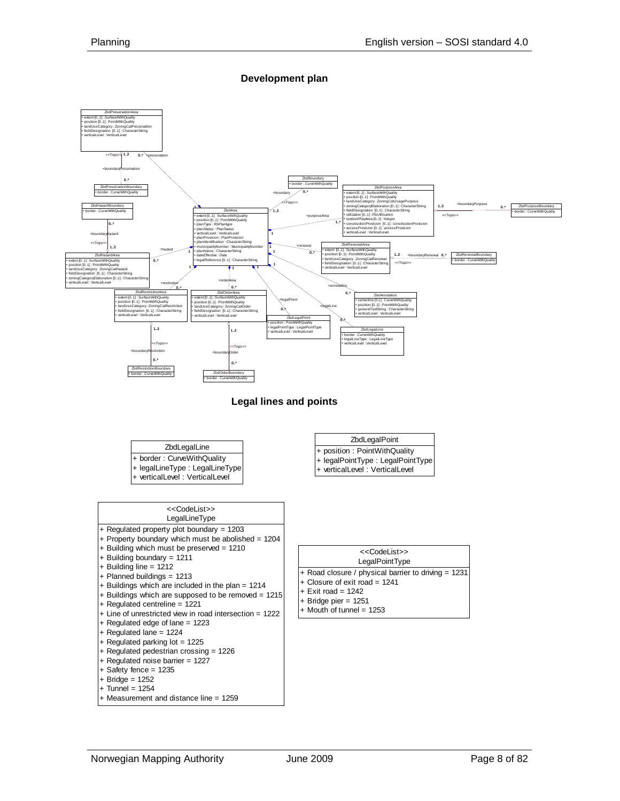#### **Development plan**

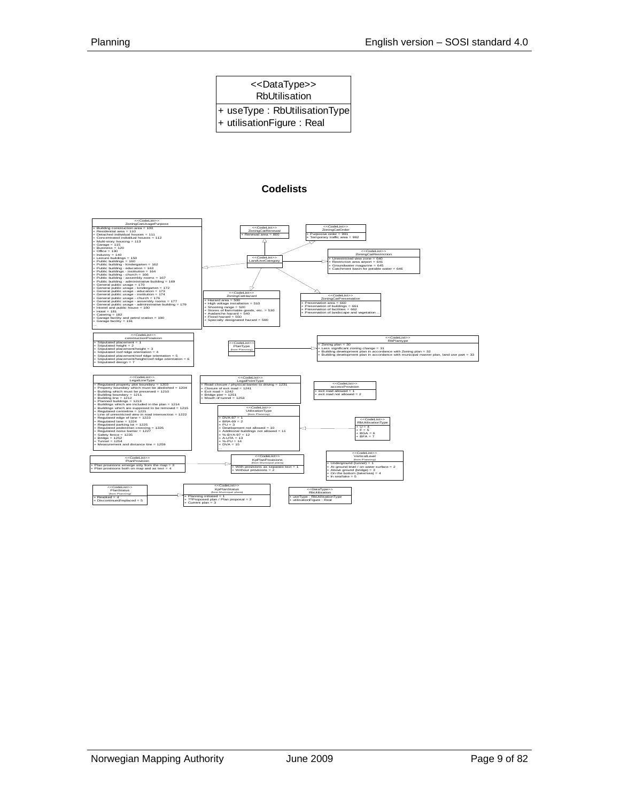| < <datatype>&gt;<br/><b>RbUtilisation</b></datatype>      |  |  |  |  |
|-----------------------------------------------------------|--|--|--|--|
| + useType: RbUtilisationType<br>+ utilisationFigure: Real |  |  |  |  |

#### **Codelists**

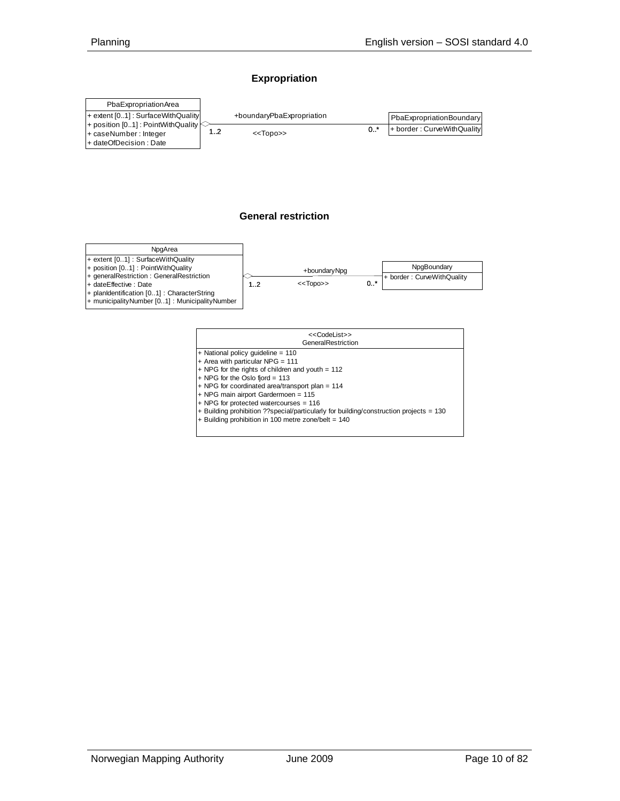#### **Expropriation**





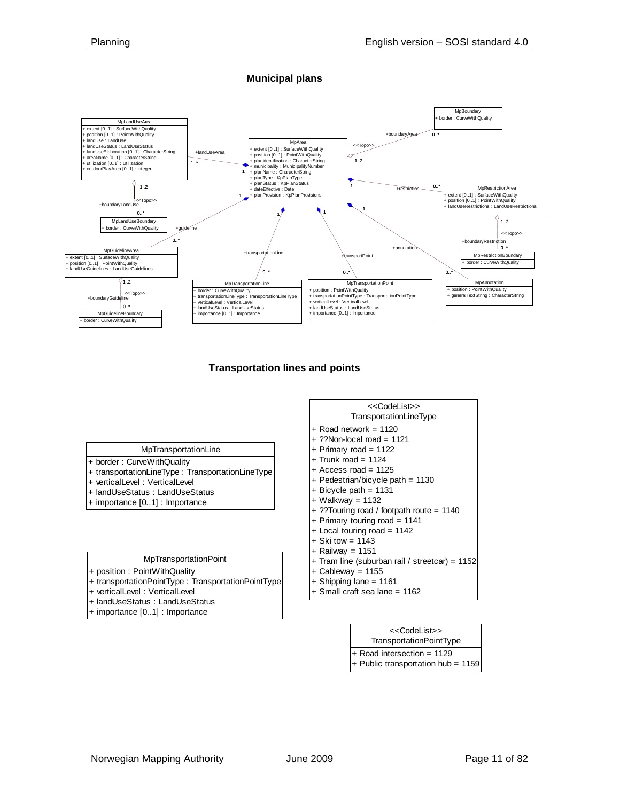**Municipal plans**



#### **Transportation lines and points**

#### MpTransportationLine

- + border : CurveWithQuality + transportationLineType : TransportationLineType
- + verticalLevel : VerticalLevel
- + landUseStatus : LandUseStatus
- + importance [0..1] : Importance

#### MpTransportationPoint

- + position : PointWithQuality
- + transportationPointType : TransportationPointType
- + verticalLevel : VerticalLevel
- + landUseStatus : LandUseStatus
- + importance [0..1] : Importance

| < <codelist>&gt;</codelist>                    |
|------------------------------------------------|
| TransportationLineType                         |
| $+$ Road network = 1120                        |
| $+$ ??Non-local road = 1121                    |
| + Primary road = $1122$                        |
| $+$ Trunk road = 1124                          |
| $+$ Access road = 1125                         |
| + Pedestrian/bicycle path = $1130$             |
| $+$ Bicycle path = 1131                        |
| $+$ Walkway = 1132                             |
| + ??Touring road / footpath route = 1140       |
| + Primary touring road = $1141$                |
| $+$ Local touring road = 1142                  |
| $+$ Ski tow = 1143                             |
| $+$ Railway = 1151                             |
| + Tram line (suburban rail / streetcar) = 1152 |
| $+$ Cableway = 1155                            |
| + Shipping lane = 1161                         |

+ Small craft sea lane = 1162

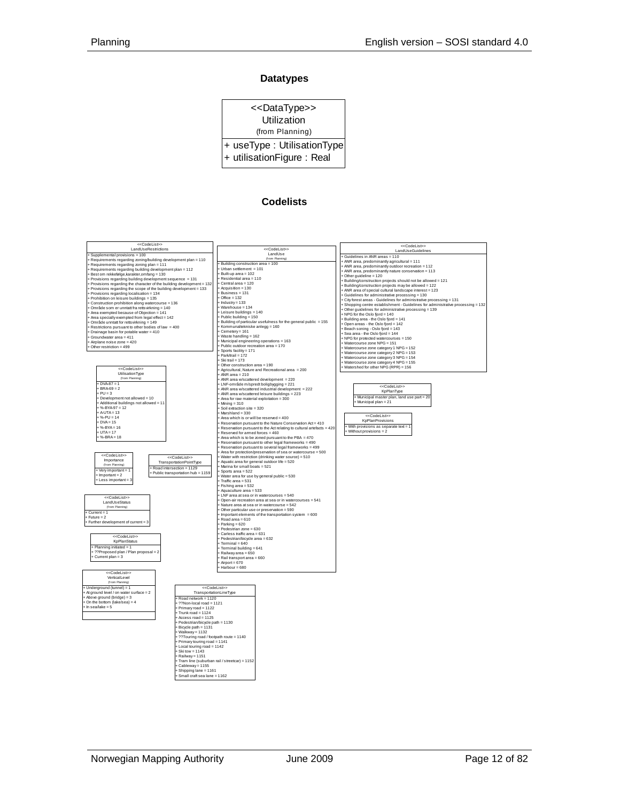#### **Datatypes**

| < <datatype>&gt;</datatype> |  |
|-----------------------------|--|
| Utilization                 |  |
| (from Planning)             |  |
| + useType: UtilisationType  |  |
| + utilisationFigure: Real   |  |
|                             |  |

#### **Codelists**

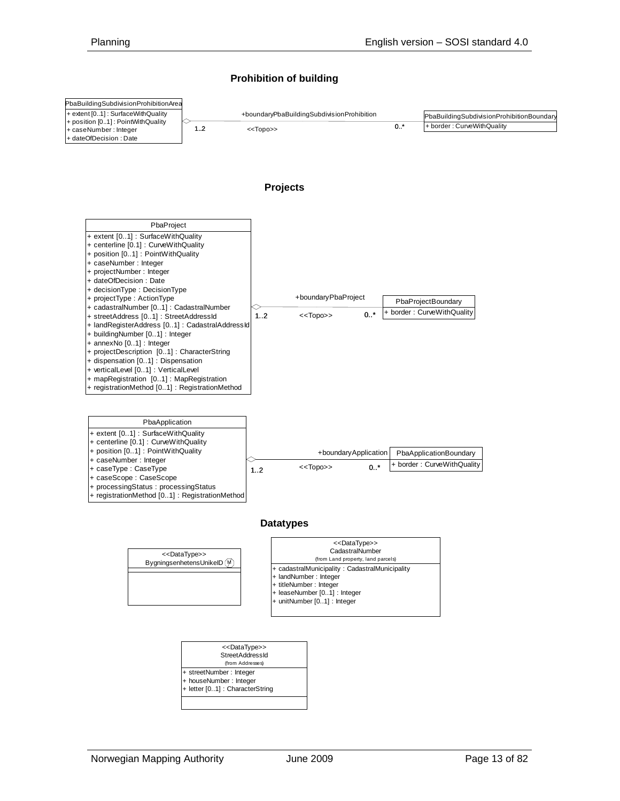#### **Prohibition of building**

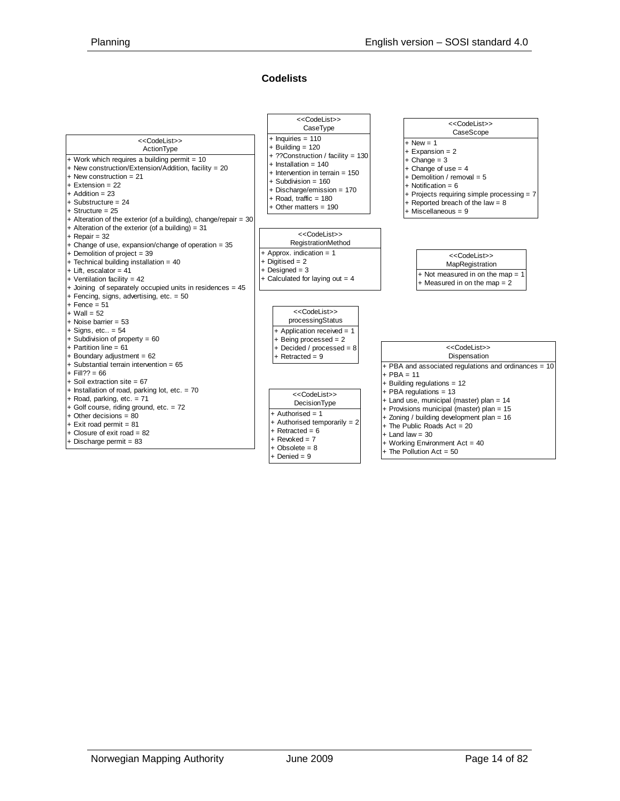#### **Codelists**

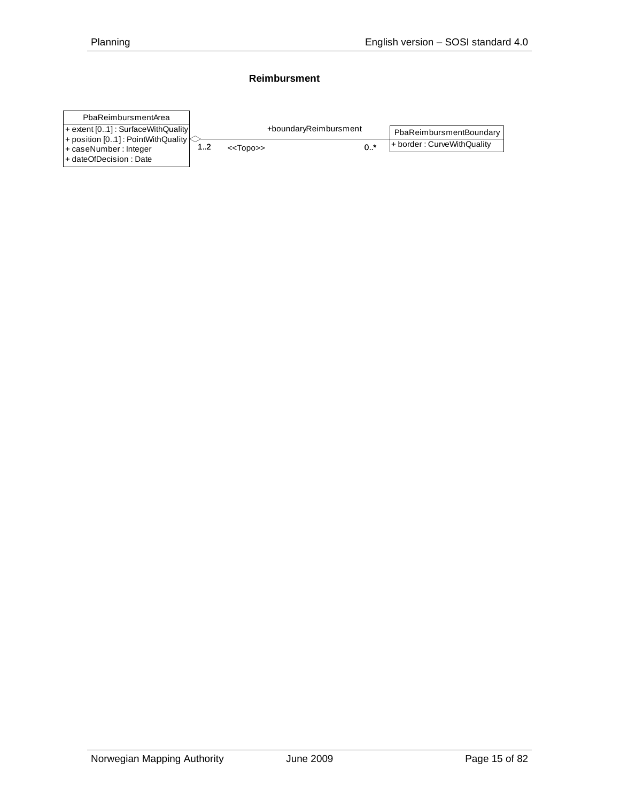#### **Reimbursment**

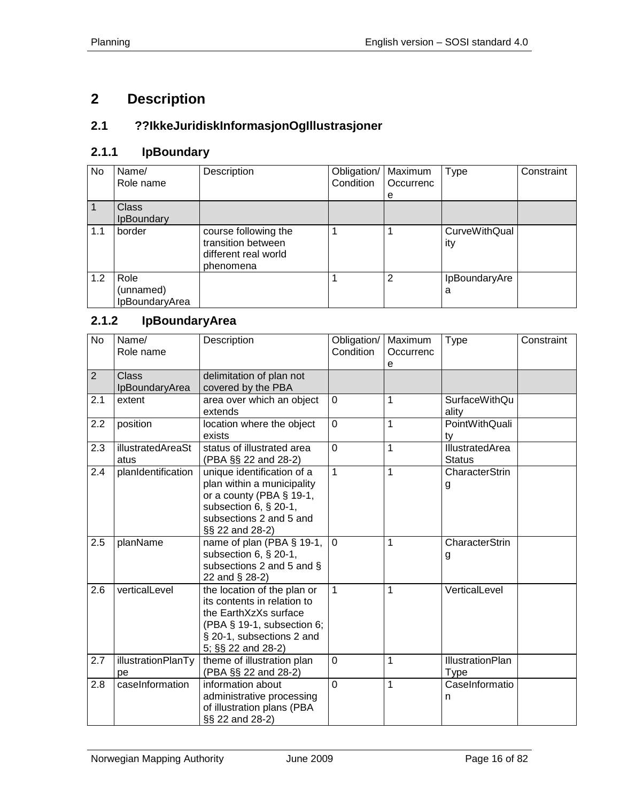# <span id="page-15-0"></span>**2 Description**

## <span id="page-15-1"></span>**2.1 ??IkkeJuridiskInformasjonOgIllustrasjoner**

## <span id="page-15-2"></span>**2.1.1 IpBoundary**

| No  | Name/                               | Description                                                                     | Obligation/ | Maximum        | <b>Type</b>                 | Constraint |
|-----|-------------------------------------|---------------------------------------------------------------------------------|-------------|----------------|-----------------------------|------------|
|     | Role name                           |                                                                                 | Condition   | Occurrenc      |                             |            |
|     |                                     |                                                                                 |             | e              |                             |            |
|     | <b>Class</b>                        |                                                                                 |             |                |                             |            |
|     | <b>IpBoundary</b>                   |                                                                                 |             |                |                             |            |
| 1.1 | border                              | course following the<br>transition between<br>different real world<br>phenomena |             |                | <b>CurveWithQual</b><br>ity |            |
| 1.2 | Role<br>(unnamed)<br>IpBoundaryArea |                                                                                 |             | $\overline{2}$ | IpBoundaryAre<br>a          |            |

## <span id="page-15-3"></span>**2.1.2 IpBoundaryArea**

| <b>No</b> | Name/<br>Role name             | Description                                                                                                                                                          | Obligation/<br>Condition | Maximum<br>Occurrenc<br>е | Type                                   | Constraint |
|-----------|--------------------------------|----------------------------------------------------------------------------------------------------------------------------------------------------------------------|--------------------------|---------------------------|----------------------------------------|------------|
| 2         | <b>Class</b><br>IpBoundaryArea | delimitation of plan not<br>covered by the PBA                                                                                                                       |                          |                           |                                        |            |
| 2.1       | extent                         | area over which an object<br>extends                                                                                                                                 | $\mathbf 0$              | 1                         | SurfaceWithQu<br>ality                 |            |
| 2.2       | position                       | location where the object<br>exists                                                                                                                                  | $\mathbf 0$              | 1                         | PointWithQuali<br>ty                   |            |
| 2.3       | illustratedAreaSt<br>atus      | status of illustrated area<br>(PBA §§ 22 and 28-2)                                                                                                                   | $\overline{0}$           | 1                         | IllustratedArea<br><b>Status</b>       |            |
| 2.4       | planIdentification             | unique identification of a<br>plan within a municipality<br>or a county (PBA $\S$ 19-1,<br>subsection 6, § 20-1,<br>subsections 2 and 5 and<br>§§ 22 and 28-2)       | 1                        | 1                         | CharacterStrin<br>g                    |            |
| 2.5       | planName                       | name of plan (PBA § 19-1,<br>subsection 6, § 20-1,<br>subsections 2 and 5 and §<br>22 and § 28-2)                                                                    | $\mathbf 0$              | 1                         | CharacterStrin<br>g                    |            |
| 2.6       | verticalLevel                  | the location of the plan or<br>its contents in relation to<br>the EarthXzXs surface<br>(PBA § 19-1, subsection 6;<br>§ 20-1, subsections 2 and<br>5; §§ 22 and 28-2) | $\mathbf 1$              | 1                         | VerticalLevel                          |            |
| 2.7       | illustrationPlanTy<br>pe       | theme of illustration plan<br>(PBA §§ 22 and 28-2)                                                                                                                   | 0                        | 1                         | <b>IllustrationPlan</b><br><b>Type</b> |            |
| 2.8       | caseInformation                | information about<br>administrative processing<br>of illustration plans (PBA<br>§§ 22 and 28-2)                                                                      | 0                        | 1                         | CaseInformatio<br>n                    |            |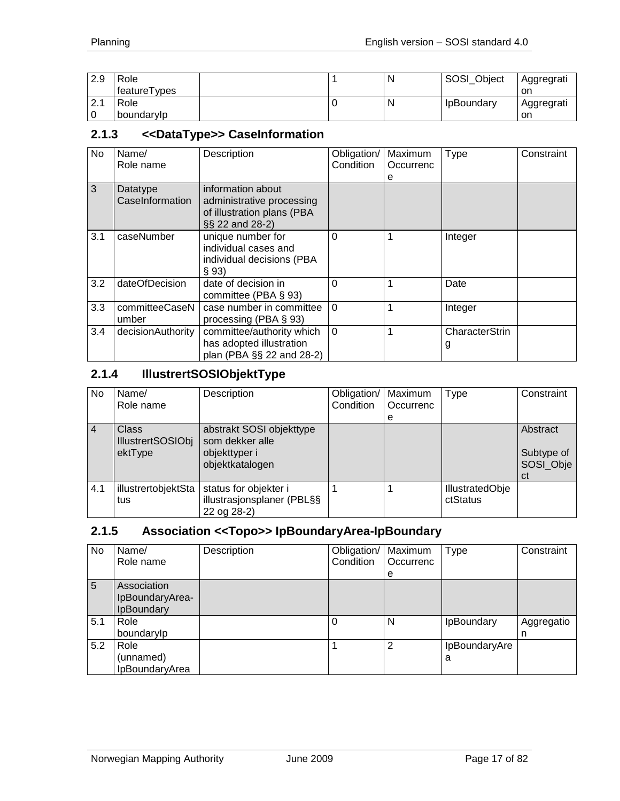| 2.9                    | Role         |  | N | SOSI Object       | Aggregrati |
|------------------------|--------------|--|---|-------------------|------------|
|                        | featureTypes |  |   |                   | on         |
| $\Omega$ 1<br><u>.</u> | Role         |  | N | <b>IpBoundary</b> | Aggregrati |
|                        | boundarylp   |  |   |                   | on         |

#### <span id="page-16-0"></span>**2.1.3 <<DataType>> CaseInformation**

| No  | Name/<br>Role name          | Description                                                                                     | Obligation/<br>Condition | Maximum<br>Occurrenc<br>е | Type                | Constraint |
|-----|-----------------------------|-------------------------------------------------------------------------------------------------|--------------------------|---------------------------|---------------------|------------|
| 3   | Datatype<br>CaseInformation | information about<br>administrative processing<br>of illustration plans (PBA<br>§§ 22 and 28-2) |                          |                           |                     |            |
| 3.1 | caseNumber                  | unique number for<br>individual cases and<br>individual decisions (PBA<br>§ 93                  | $\Omega$                 |                           | Integer             |            |
| 3.2 | dateOfDecision              | date of decision in<br>committee (PBA $\S$ 93)                                                  | $\Omega$                 |                           | Date                |            |
| 3.3 | committeeCaseN<br>umber     | case number in committee<br>processing (PBA § 93)                                               | $\Omega$                 |                           | Integer             |            |
| 3.4 | decisionAuthority           | committee/authority which<br>has adopted illustration<br>plan (PBA §§ 22 and 28-2)              | $\Omega$                 |                           | CharacterStrin<br>g |            |

#### <span id="page-16-1"></span>**2.1.4 IllustrertSOSIObjektType**

| No             | Name/                                    | Description                                                        | Obligation/ | Maximum   | Type                               | Constraint                    |
|----------------|------------------------------------------|--------------------------------------------------------------------|-------------|-----------|------------------------------------|-------------------------------|
|                | Role name                                |                                                                    | Condition   | Occurrenc |                                    |                               |
|                |                                          |                                                                    |             | е         |                                    |                               |
| $\overline{4}$ | <b>Class</b><br><b>IllustrertSOSIObj</b> | abstrakt SOSI objekttype<br>som dekker alle                        |             |           |                                    | Abstract                      |
|                | ektType                                  | objekttyper i<br>objektkatalogen                                   |             |           |                                    | Subtype of<br>SOSI Obje<br>сt |
| 4.1            | illustrertobjektSta<br>tus               | status for objekter i<br>illustrasjonsplaner (PBL§§<br>22 og 28-2) |             |           | <b>IllustratedObje</b><br>ctStatus |                               |

# <span id="page-16-2"></span>**2.1.5 Association <<Topo>> IpBoundaryArea-IpBoundary**

| No  | Name/<br>Role name                           | Description | Obligation/   Maximum<br>Condition | Occurrenc<br>е | <b>Type</b>        | Constraint      |
|-----|----------------------------------------------|-------------|------------------------------------|----------------|--------------------|-----------------|
| 5   | Association<br>IpBoundaryArea-<br>IpBoundary |             |                                    |                |                    |                 |
| 5.1 | Role<br>boundarylp                           |             | $\Omega$                           | N              | IpBoundary         | Aggregatio<br>n |
| 5.2 | Role<br>(unnamed)<br>IpBoundaryArea          |             |                                    | $\overline{2}$ | IpBoundaryAre<br>a |                 |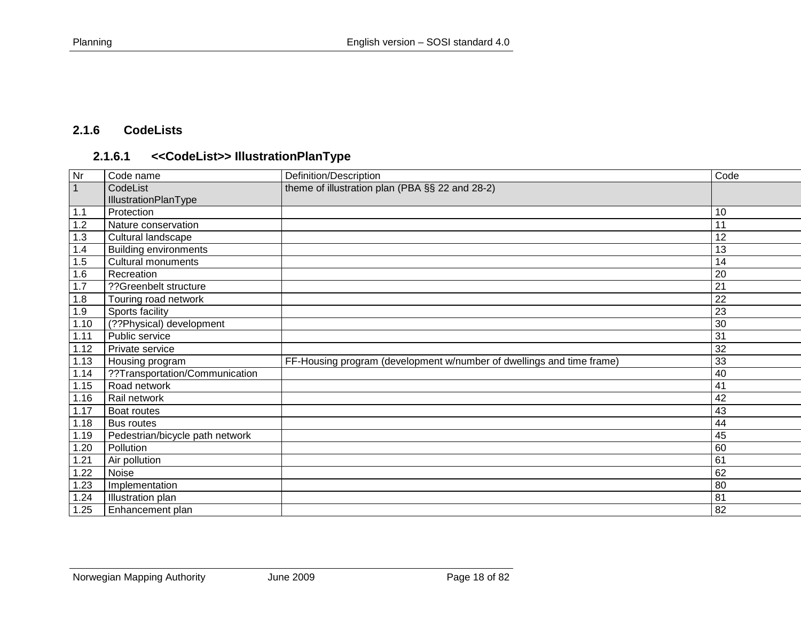## **2.1.6 CodeLists**

# **2.1.6.1 <<CodeList>> IllustrationPlanType**

<span id="page-17-1"></span><span id="page-17-0"></span>

| Nr             | Code name                       | Definition/Description                                                | Code |
|----------------|---------------------------------|-----------------------------------------------------------------------|------|
| $\overline{1}$ | CodeList                        | theme of illustration plan (PBA §§ 22 and 28-2)                       |      |
|                | <b>IllustrationPlanType</b>     |                                                                       |      |
| 1.1            | Protection                      |                                                                       | 10   |
| 1.2            | Nature conservation             |                                                                       | 11   |
| 1.3            | Cultural landscape              |                                                                       | 12   |
| 1.4            | <b>Building environments</b>    |                                                                       | 13   |
| 1.5            | <b>Cultural monuments</b>       |                                                                       | 14   |
| 1.6            | Recreation                      |                                                                       | 20   |
| 1.7            | ??Greenbelt structure           |                                                                       | 21   |
| 1.8            | Touring road network            |                                                                       | 22   |
| 1.9            | Sports facility                 |                                                                       | 23   |
| 1.10           | (??Physical) development        |                                                                       | 30   |
| 1.11           | Public service                  |                                                                       | 31   |
| 1.12           | Private service                 |                                                                       | 32   |
| 1.13           | Housing program                 | FF-Housing program (development w/number of dwellings and time frame) | 33   |
| 1.14           | ??Transportation/Communication  |                                                                       | 40   |
| 1.15           | Road network                    |                                                                       | 41   |
| 1.16           | Rail network                    |                                                                       | 42   |
| 1.17           | Boat routes                     |                                                                       | 43   |
| 1.18           | <b>Bus routes</b>               |                                                                       | 44   |
| 1.19           | Pedestrian/bicycle path network |                                                                       | 45   |
| 1.20           | Pollution                       |                                                                       | 60   |
| 1.21           | Air pollution                   |                                                                       | 61   |
| 1.22           | Noise                           |                                                                       | 62   |
| 1.23           | Implementation                  |                                                                       | 80   |
| 1.24           | Illustration plan               |                                                                       | 81   |
| 1.25           | Enhancement plan                |                                                                       | 82   |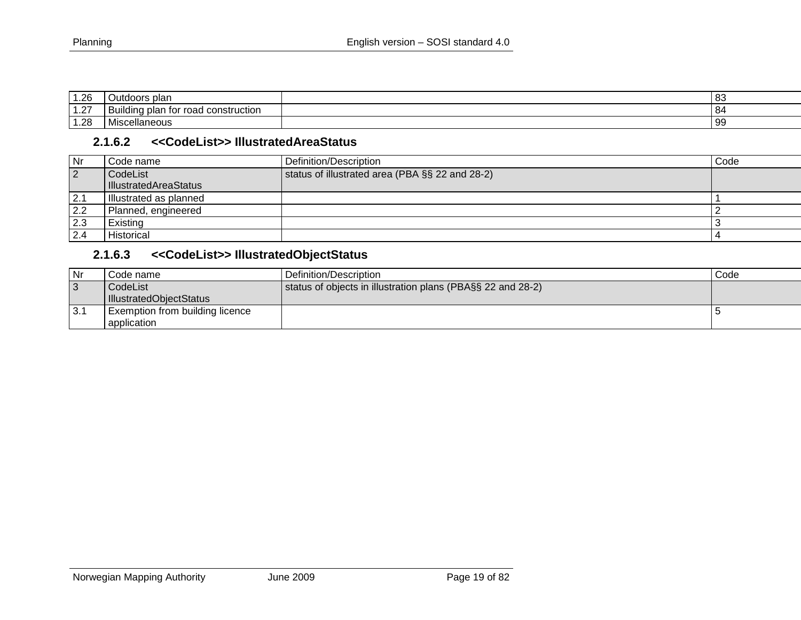| 1.26          | plar<br>utdoors                                                         | . റ<br>၊ ဝ၁ |
|---------------|-------------------------------------------------------------------------|-------------|
| 107<br>ا ے. ا | -<br>-road<br>construction<br>nlan<br>. for<br>Build<br>n r<br>טוי<br>້ | -84         |
| 1.28          | .10 <sub>m</sub><br>.<br><b>IVIISCE</b><br>. ICUUT                      | - 99        |

#### **2.1.6.2 <<CodeList>> IllustratedAreaStatus**

| Nr        | Code name              | Definition/Description                          | Code |
|-----------|------------------------|-------------------------------------------------|------|
| $\vert$ 2 | CodeList               | status of illustrated area (PBA §§ 22 and 28-2) |      |
|           | IllustratedAreaStatus  |                                                 |      |
| 2.1       | Illustrated as planned |                                                 |      |
| 2.2       | Planned, engineered    |                                                 |      |
| 2.3       | Existing               |                                                 |      |
| 2.4       | Historical             |                                                 |      |

# **2.1.6.3 <<CodeList>> IllustratedObjectStatus**

<span id="page-18-1"></span><span id="page-18-0"></span>

| Nr  | Code name                       | Definition/Description                                      | Code |
|-----|---------------------------------|-------------------------------------------------------------|------|
| C,  | CodeList                        | status of objects in illustration plans (PBA§§ 22 and 28-2) |      |
|     | IllustratedObjectStatus         |                                                             |      |
| 3.1 | Exemption from building licence |                                                             |      |
|     | application                     |                                                             |      |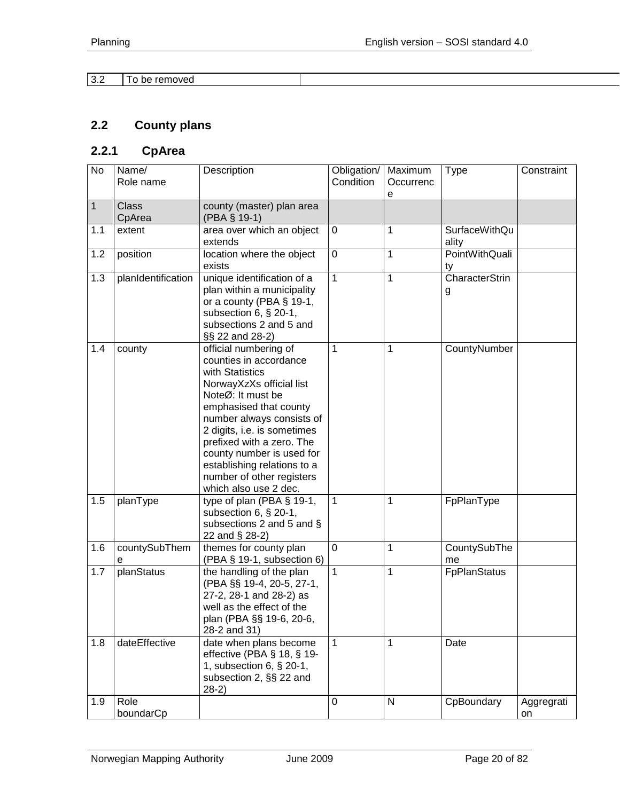| $\sim$ $\sim$<br>J.Z | removed<br>10<br>be |  |
|----------------------|---------------------|--|

# <span id="page-19-0"></span>**2.2 County plans**

## <span id="page-19-1"></span>**2.2.1 CpArea**

| No           | Name/<br>Role name     | Description                                                                                                                                                                                                                                                                                                                                              | Obligation/<br>Condition | Maximum<br>Occurrenc<br>e | <b>Type</b>            | Constraint       |
|--------------|------------------------|----------------------------------------------------------------------------------------------------------------------------------------------------------------------------------------------------------------------------------------------------------------------------------------------------------------------------------------------------------|--------------------------|---------------------------|------------------------|------------------|
| $\mathbf{1}$ | <b>Class</b><br>CpArea | county (master) plan area<br>(PBA § 19-1)                                                                                                                                                                                                                                                                                                                |                          |                           |                        |                  |
| 1.1          | extent                 | area over which an object<br>extends                                                                                                                                                                                                                                                                                                                     | 0                        | $\mathbf{1}$              | SurfaceWithQu<br>ality |                  |
| 1.2          | position               | location where the object<br>exists                                                                                                                                                                                                                                                                                                                      | $\mathbf 0$              | $\mathbf 1$               | PointWithQuali<br>ty   |                  |
| 1.3          | planIdentification     | unique identification of a<br>plan within a municipality<br>or a county (PBA $\S$ 19-1,<br>subsection 6, § 20-1,<br>subsections 2 and 5 and<br>§§ 22 and 28-2)                                                                                                                                                                                           | $\mathbf{1}$             | $\mathbf{1}$              | CharacterStrin<br>g    |                  |
| 1.4          | county                 | official numbering of<br>counties in accordance<br>with Statistics<br>NorwayXzXs official list<br>NoteØ: It must be<br>emphasised that county<br>number always consists of<br>2 digits, i.e. is sometimes<br>prefixed with a zero. The<br>county number is used for<br>establishing relations to a<br>number of other registers<br>which also use 2 dec. | $\mathbf{1}$             | 1                         | CountyNumber           |                  |
| 1.5          | planType               | type of plan (PBA § 19-1,<br>subsection 6, § 20-1,<br>subsections 2 and 5 and §<br>22 and § 28-2)                                                                                                                                                                                                                                                        | 1                        | 1                         | FpPlanType             |                  |
| 1.6          | countySubThem<br>е     | themes for county plan<br>(PBA § 19-1, subsection 6)                                                                                                                                                                                                                                                                                                     | $\mathbf 0$              | $\mathbf{1}$              | CountySubThe<br>me     |                  |
| 1.7          | planStatus             | the handling of the plan<br>(PBA §§ 19-4, 20-5, 27-1,<br>27-2, 28-1 and 28-2) as<br>well as the effect of the<br>plan (PBA §§ 19-6, 20-6,<br>28-2 and 31)                                                                                                                                                                                                | $\mathbf{1}$             | 1                         | <b>FpPlanStatus</b>    |                  |
| 1.8          | dateEffective          | date when plans become<br>effective (PBA $\S$ 18, $\S$ 19-<br>1, subsection 6, § 20-1,<br>subsection 2, §§ 22 and<br>$28-2)$                                                                                                                                                                                                                             | $\mathbf{1}$             | $\mathbf{1}$              | Date                   |                  |
| 1.9          | Role<br>boundarCp      |                                                                                                                                                                                                                                                                                                                                                          | $\mathsf 0$              | N                         | CpBoundary             | Aggregrati<br>on |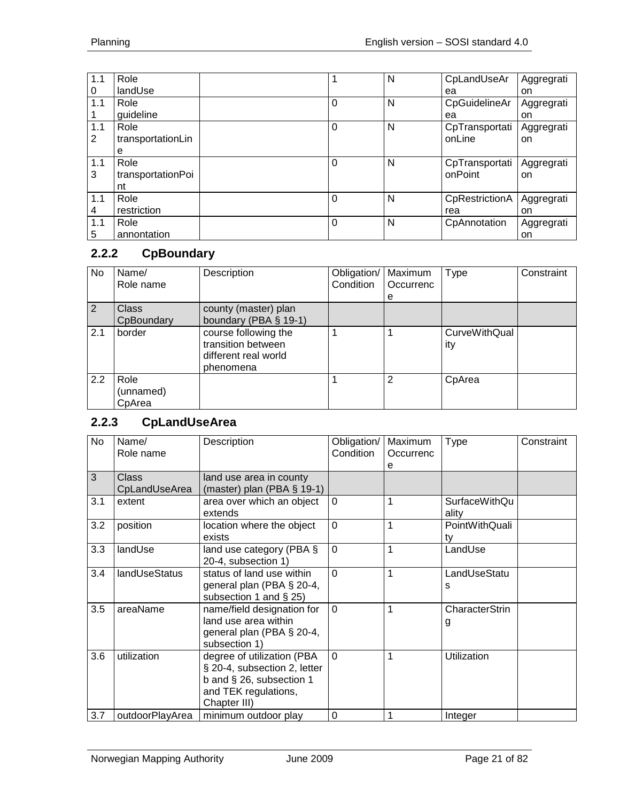| 1.1 | Role              |          | N | CpLandUseAr    | Aggregrati |
|-----|-------------------|----------|---|----------------|------------|
| 0   | landUse           |          |   | ea             | on         |
| 1.1 | Role              | $\Omega$ | N | CpGuidelineAr  | Aggregrati |
|     | guideline         |          |   | ea             | on         |
| 1.1 | Role              | $\Omega$ | N | CpTransportati | Aggregrati |
| 2   | transportationLin |          |   | onLine         | on         |
|     | е                 |          |   |                |            |
| 1.1 | Role              | $\Omega$ | N | CpTransportati | Aggregrati |
| 3   | transportationPoi |          |   | onPoint        | on         |
|     | nt                |          |   |                |            |
| 1.1 | Role              | $\Omega$ | N | CpRestrictionA | Aggregrati |
| 4   | restriction       |          |   | rea            | on         |
| 1.1 | Role              | $\Omega$ | N | CpAnnotation   | Aggregrati |
| 5   | annontation       |          |   |                | on         |

# <span id="page-20-0"></span>**2.2.2 CpBoundary**

| No  | Name/<br>Role name          | Description                                                                     | Obligation/   Maximum<br>Condition | Occurrenc<br>е | <b>Type</b>                 | Constraint |
|-----|-----------------------------|---------------------------------------------------------------------------------|------------------------------------|----------------|-----------------------------|------------|
| 2   | <b>Class</b><br>CpBoundary  | county (master) plan<br>boundary (PBA $\S$ 19-1)                                |                                    |                |                             |            |
| 2.1 | border                      | course following the<br>transition between<br>different real world<br>phenomena |                                    |                | <b>CurveWithQual</b><br>ity |            |
| 2.2 | Role<br>(unnamed)<br>CpArea |                                                                                 |                                    | 2              | CpArea                      |            |

## <span id="page-20-1"></span>**2.2.3 CpLandUseArea**

| <b>No</b> | Name/<br>Role name            | Description                                                                                                                    | Obligation/<br>Condition | Maximum<br>Occurrenc | Type                          | Constraint |
|-----------|-------------------------------|--------------------------------------------------------------------------------------------------------------------------------|--------------------------|----------------------|-------------------------------|------------|
|           |                               |                                                                                                                                |                          | e                    |                               |            |
| 3         | <b>Class</b><br>CpLandUseArea | land use area in county<br>(master) plan (PBA § 19-1)                                                                          |                          |                      |                               |            |
| 3.1       | extent                        | area over which an object<br>extends                                                                                           | $\Omega$                 | 1                    | <b>SurfaceWithQu</b><br>ality |            |
| 3.2       | position                      | location where the object<br>exists                                                                                            | $\mathbf 0$              | 1                    | PointWithQuali<br>ty          |            |
| 3.3       | landUse                       | land use category (PBA $\S$<br>20-4, subsection 1)                                                                             | $\overline{0}$           | 1                    | LandUse                       |            |
| 3.4       | landUseStatus                 | status of land use within<br>general plan (PBA § 20-4,<br>subsection 1 and $\S$ 25)                                            | $\Omega$                 | 1                    | LandUseStatu<br>s             |            |
| 3.5       | areaName                      | name/field designation for<br>land use area within<br>general plan (PBA § 20-4,<br>subsection 1)                               | $\Omega$                 | 1                    | CharacterStrin<br>g           |            |
| 3.6       | utilization                   | degree of utilization (PBA<br>§ 20-4, subsection 2, letter<br>b and § 26, subsection 1<br>and TEK regulations,<br>Chapter III) | $\Omega$                 | 1                    | Utilization                   |            |
| 3.7       | outdoorPlayArea               | minimum outdoor play                                                                                                           | $\Omega$                 | 1                    | Integer                       |            |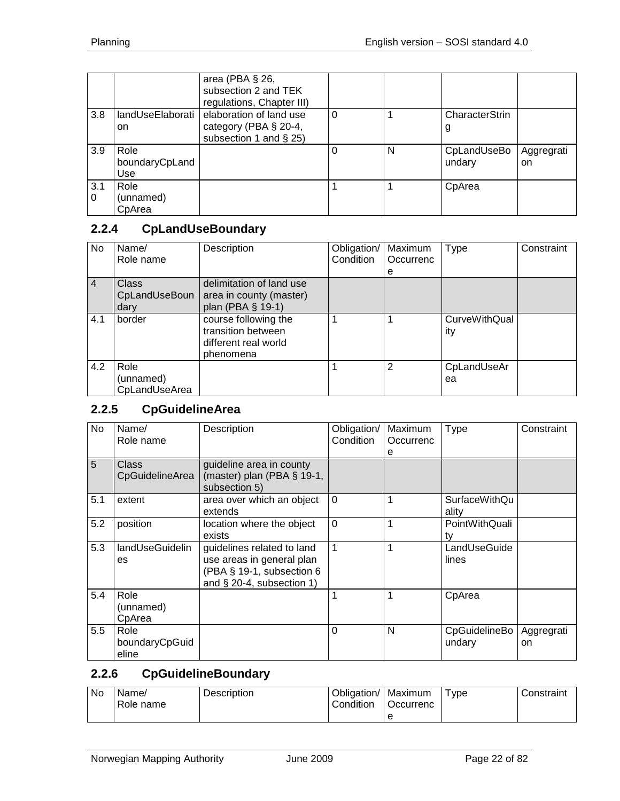|                 |                               | area (PBA § 26,<br>subsection 2 and TEK<br>regulations, Chapter III)          |          |   |                       |                             |
|-----------------|-------------------------------|-------------------------------------------------------------------------------|----------|---|-----------------------|-----------------------------|
| 3.8             | landUseElaborati<br>on        | elaboration of land use<br>category (PBA § 20-4,<br>subsection 1 and $\S$ 25) | $\Omega$ |   | CharacterStrin<br>g   |                             |
| 3.9             | Role<br>boundaryCpLand<br>Use |                                                                               | 0        | N | CpLandUseBo<br>undary | Aggregrati<br><sub>on</sub> |
| 3.1<br>$\Omega$ | Role<br>(unnamed)<br>CpArea   |                                                                               |          |   | CpArea                |                             |

# <span id="page-21-0"></span>**2.2.4 CpLandUseBoundary**

| <b>No</b>      | Name/                              | Description                                                                     | Obligation/ | Maximum   | <b>Type</b>                 | Constraint |
|----------------|------------------------------------|---------------------------------------------------------------------------------|-------------|-----------|-----------------------------|------------|
|                | Role name                          |                                                                                 | Condition   | Occurrenc |                             |            |
|                |                                    |                                                                                 |             | е         |                             |            |
| $\overline{4}$ | <b>Class</b>                       | delimitation of land use                                                        |             |           |                             |            |
|                | CpLandUseBoun                      | area in county (master)                                                         |             |           |                             |            |
|                | dary                               | plan (PBA § 19-1)                                                               |             |           |                             |            |
| 4.1            | border                             | course following the<br>transition between<br>different real world<br>phenomena |             |           | <b>CurveWithQual</b><br>ity |            |
| 4.2            | Role<br>(unnamed)<br>CpLandUseArea |                                                                                 |             | 2         | CpLandUseAr<br>ea           |            |

# <span id="page-21-1"></span>**2.2.5 CpGuidelineArea**

| No  | Name/<br>Role name              | Description                                                                                                          | Obligation/<br>Condition | Maximum<br>Occurrenc<br>e | Type                          | Constraint       |
|-----|---------------------------------|----------------------------------------------------------------------------------------------------------------------|--------------------------|---------------------------|-------------------------------|------------------|
| 5   | Class<br>CpGuidelineArea        | guideline area in county<br>(master) plan (PBA § 19-1,<br>subsection 5)                                              |                          |                           |                               |                  |
| 5.1 | extent                          | area over which an object<br>extends                                                                                 | $\Omega$                 | 1                         | <b>SurfaceWithQu</b><br>ality |                  |
| 5.2 | position                        | location where the object<br>exists                                                                                  | $\overline{0}$           | $\mathbf{1}$              | PointWithQuali<br>tv          |                  |
| 5.3 | landUseGuidelin<br>es           | guidelines related to land<br>use areas in general plan<br>(PBA § 19-1, subsection 6<br>and $\S$ 20-4, subsection 1) | $\mathbf{1}$             | 1                         | LandUseGuide<br>lines         |                  |
| 5.4 | Role<br>(unnamed)<br>CpArea     |                                                                                                                      | 1                        | 1                         | CpArea                        |                  |
| 5.5 | Role<br>boundaryCpGuid<br>eline |                                                                                                                      | $\Omega$                 | N                         | CpGuidelineBo<br>undary       | Aggregrati<br>on |

#### <span id="page-21-2"></span>**2.2.6 CpGuidelineBoundary**

| No. | Name/<br>Role name | <b>Description</b> | Obligation/   Maximum<br>Condition | <b>Occurrenc</b> | vpe | Constraint |
|-----|--------------------|--------------------|------------------------------------|------------------|-----|------------|
|     |                    |                    |                                    |                  |     |            |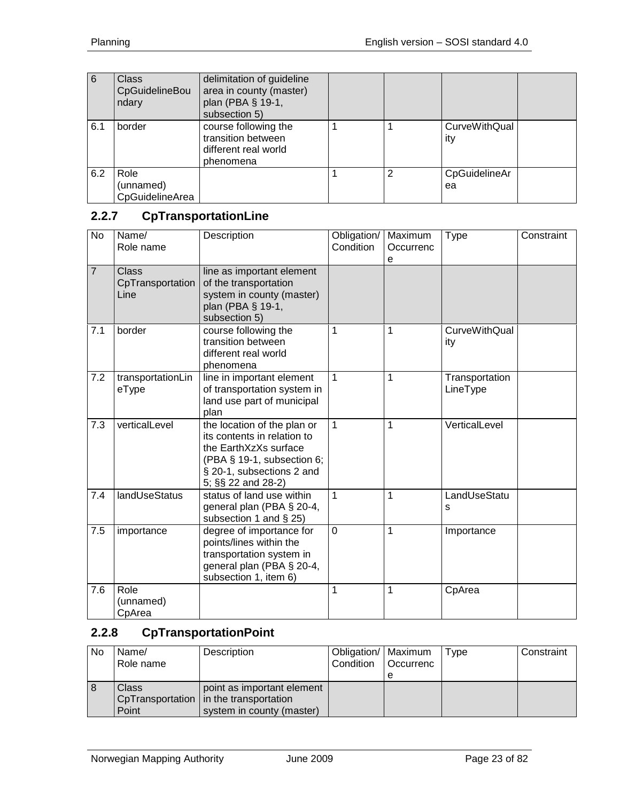| 6   | <b>Class</b><br>CpGuidelineBou<br>ndary | delimitation of guideline<br>area in county (master)<br>plan (PBA § 19-1,<br>subsection 5) |   |                             |  |
|-----|-----------------------------------------|--------------------------------------------------------------------------------------------|---|-----------------------------|--|
| 6.1 | border                                  | course following the<br>transition between<br>different real world<br>phenomena            |   | <b>CurveWithQual</b><br>ity |  |
| 6.2 | Role<br>(unnamed)<br>CpGuidelineArea    |                                                                                            | 2 | CpGuidelineAr<br>ea         |  |

# <span id="page-22-0"></span>**2.2.7 CpTransportationLine**

| <b>No</b>      | Name/<br>Role name                       | Description                                                                                                                                                          | Obligation/<br>Condition | Maximum<br>Occurrenc<br>e | Type                        | Constraint |
|----------------|------------------------------------------|----------------------------------------------------------------------------------------------------------------------------------------------------------------------|--------------------------|---------------------------|-----------------------------|------------|
| $\overline{7}$ | <b>Class</b><br>CpTransportation<br>Line | line as important element<br>of the transportation<br>system in county (master)<br>plan (PBA § 19-1,<br>subsection 5)                                                |                          |                           |                             |            |
| 7.1            | border                                   | course following the<br>transition between<br>different real world<br>phenomena                                                                                      | $\mathbf{1}$             | 1                         | <b>CurveWithQual</b><br>ity |            |
| 7.2            | transportationLin<br>eType               | line in important element<br>of transportation system in<br>land use part of municipal<br>plan                                                                       | $\mathbf{1}$             | 1                         | Transportation<br>LineType  |            |
| 7.3            | verticalLevel                            | the location of the plan or<br>its contents in relation to<br>the EarthXzXs surface<br>(PBA § 19-1, subsection 6;<br>§ 20-1, subsections 2 and<br>5; §§ 22 and 28-2) | $\mathbf{1}$             | $\mathbf{1}$              | VerticalLevel               |            |
| 7.4            | <b>landUseStatus</b>                     | status of land use within<br>general plan (PBA § 20-4,<br>subsection 1 and § 25)                                                                                     | 1                        | 1                         | LandUseStatu<br>s           |            |
| 7.5            | importance                               | degree of importance for<br>points/lines within the<br>transportation system in<br>general plan (PBA § 20-4,<br>subsection 1, item 6)                                | $\mathbf 0$              | 1                         | Importance                  |            |
| 7.6            | Role<br>(unnamed)<br>CpArea              |                                                                                                                                                                      | 1                        | 1                         | CpArea                      |            |

#### <span id="page-22-1"></span>**2.2.8 CpTransportationPoint**

| No | Name/<br>Role name | Description                                                                                         | Obligation/   Maximum<br>Condition | <b>Occurrenc</b> | Type | Constraint |
|----|--------------------|-----------------------------------------------------------------------------------------------------|------------------------------------|------------------|------|------------|
| ŏ  | Class<br>Point     | point as important element<br>CpTransportation   in the transportation<br>system in county (master) |                                    |                  |      |            |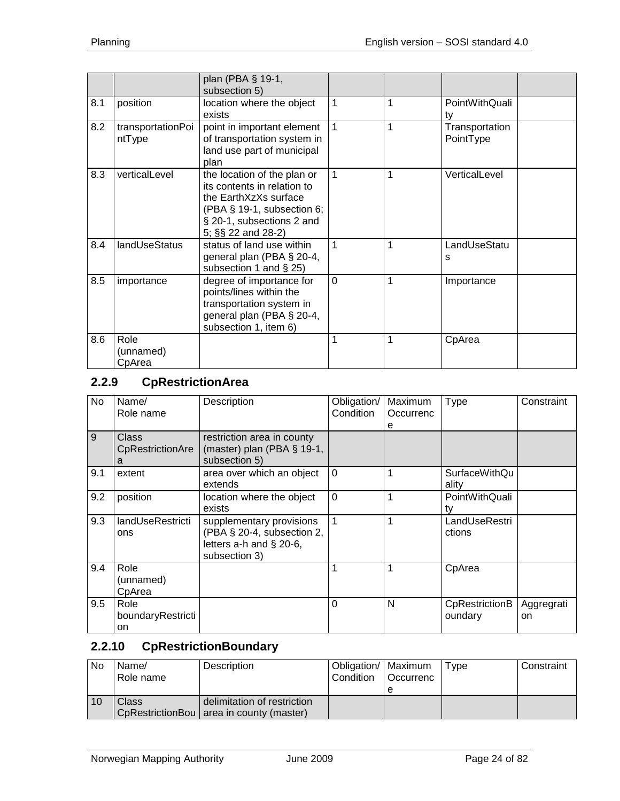|     |                             | plan (PBA § 19-1,<br>subsection 5)                                                                                                                                      |                |   |                             |
|-----|-----------------------------|-------------------------------------------------------------------------------------------------------------------------------------------------------------------------|----------------|---|-----------------------------|
| 8.1 | position                    | location where the object<br>exists                                                                                                                                     | $\overline{1}$ | 1 | PointWithQuali<br>t٧        |
| 8.2 | transportationPoi<br>ntType | point in important element<br>of transportation system in<br>land use part of municipal<br>plan                                                                         | $\mathbf{1}$   | 1 | Transportation<br>PointType |
| 8.3 | verticalLevel               | the location of the plan or<br>its contents in relation to<br>the EarthXzXs surface<br>$(PBA \S 19-1,$ subsection 6;<br>§ 20-1, subsections 2 and<br>5; §§ 22 and 28-2) | $\mathbf{1}$   | 1 | VerticalLevel               |
| 8.4 | landUseStatus               | status of land use within<br>general plan (PBA § 20-4,<br>subsection 1 and $\S$ 25)                                                                                     | 1              | 1 | LandUseStatu<br>s           |
| 8.5 | importance                  | degree of importance for<br>points/lines within the<br>transportation system in<br>general plan (PBA § 20-4,<br>subsection 1, item 6)                                   | $\overline{0}$ | 1 | Importance                  |
| 8.6 | Role<br>(unnamed)<br>CpArea |                                                                                                                                                                         | 1              | 1 | CpArea                      |

# <span id="page-23-0"></span>**2.2.9 CpRestrictionArea**

| No. | Name/<br>Role name              | Description                                                                                          | Obligation/<br>Condition | Maximum<br>Occurrenc<br>е | <b>Type</b>                   | Constraint       |
|-----|---------------------------------|------------------------------------------------------------------------------------------------------|--------------------------|---------------------------|-------------------------------|------------------|
| 9   | Class<br>CpRestrictionAre<br>a  | restriction area in county<br>(master) plan (PBA $\S$ 19-1,<br>subsection 5)                         |                          |                           |                               |                  |
| 9.1 | extent                          | area over which an object<br>extends                                                                 | $\Omega$                 | 1                         | <b>SurfaceWithQu</b><br>ality |                  |
| 9.2 | position                        | location where the object<br>exists                                                                  | $\overline{0}$           | 1                         | PointWithQuali<br>ty          |                  |
| 9.3 | landUseRestricti<br>ons         | supplementary provisions<br>(PBA § 20-4, subsection 2,<br>letters $a-h$ and § 20-6,<br>subsection 3) | $\mathbf{1}$             | 1                         | LandUseRestri<br>ctions       |                  |
| 9.4 | Role<br>(unnamed)<br>CpArea     |                                                                                                      | 1                        | 1                         | CpArea                        |                  |
| 9.5 | Role<br>boundaryRestricti<br>on |                                                                                                      | 0                        | N                         | CpRestrictionB<br>oundary     | Aggregrati<br>on |

# <span id="page-23-1"></span>**2.2.10 CpRestrictionBoundary**

| <b>No</b> | Name/     | Description                                | Obligation/   Maximum |                  | Type | Constraint |
|-----------|-----------|--------------------------------------------|-----------------------|------------------|------|------------|
|           | Role name |                                            | Condition             | <b>Occurrenc</b> |      |            |
|           |           |                                            |                       |                  |      |            |
| 10        | Class     | delimitation of restriction                |                       |                  |      |            |
|           |           | CpRestrictionBou   area in county (master) |                       |                  |      |            |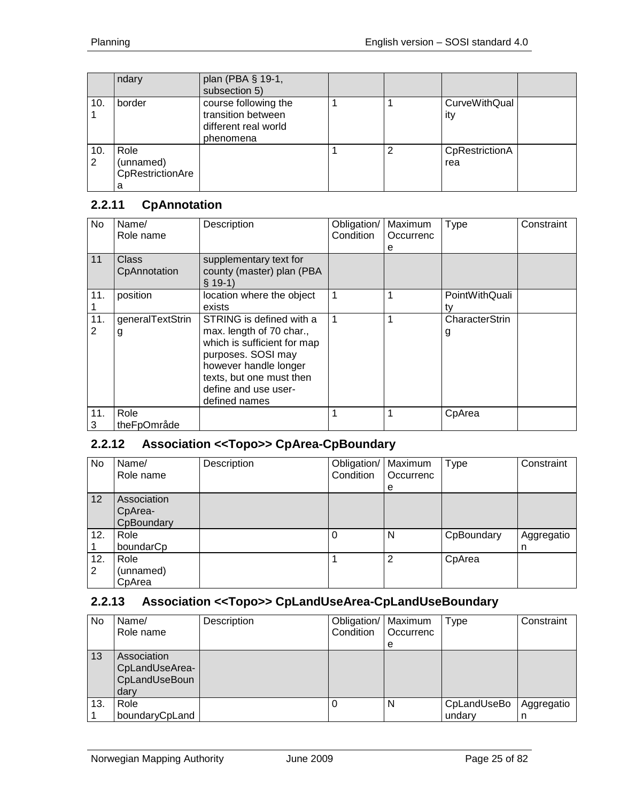|          | ndary                                      | plan (PBA § 19-1,<br>subsection 5)                                              |   |                       |  |
|----------|--------------------------------------------|---------------------------------------------------------------------------------|---|-----------------------|--|
| 10.      | border                                     | course following the<br>transition between<br>different real world<br>phenomena |   | CurveWithQual<br>ity  |  |
| 10.<br>2 | Role<br>(unnamed)<br>CpRestrictionAre<br>а |                                                                                 | 2 | CpRestrictionA<br>rea |  |

## <span id="page-24-0"></span>**2.2.11 CpAnnotation**

| No       | Name/<br>Role name           | Description                                                                                                                                                                                             | Obligation/<br>Condition | Maximum<br>Occurrenc<br>е | <b>Type</b>          | Constraint |
|----------|------------------------------|---------------------------------------------------------------------------------------------------------------------------------------------------------------------------------------------------------|--------------------------|---------------------------|----------------------|------------|
| 11       | <b>Class</b><br>CpAnnotation | supplementary text for<br>county (master) plan (PBA<br>$§$ 19-1)                                                                                                                                        |                          |                           |                      |            |
| 11.      | position                     | location where the object<br>exists                                                                                                                                                                     |                          |                           | PointWithQuali<br>tv |            |
| 11.<br>2 | generalTextStrin<br>g        | STRING is defined with a<br>max. length of 70 char.,<br>which is sufficient for map<br>purposes. SOSI may<br>however handle longer<br>texts, but one must then<br>define and use user-<br>defined names |                          |                           | CharacterStrin<br>g  |            |
| 11.<br>3 | Role<br>theFpOmråde          |                                                                                                                                                                                                         |                          |                           | CpArea               |            |

#### <span id="page-24-1"></span>**2.2.12 Association <<Topo>> CpArea-CpBoundary**

| No       | Name/<br>Role name                   | Description | Obligation/   Maximum<br>Condition | Occurrenc<br>e | <b>Type</b> | Constraint      |
|----------|--------------------------------------|-------------|------------------------------------|----------------|-------------|-----------------|
| 12       | Association<br>CpArea-<br>CpBoundary |             |                                    |                |             |                 |
| 12.      | Role<br>boundarCp                    |             | $\Omega$                           | N              | CpBoundary  | Aggregatio<br>n |
| 12.<br>2 | Role<br>(unnamed)<br>CpArea          |             |                                    | $\overline{2}$ | CpArea      |                 |

#### <span id="page-24-2"></span>**2.2.13 Association <<Topo>> CpLandUseArea-CpLandUseBoundary**

| <b>No</b> | Name/<br>Role name                                     | Description | Obligation/   Maximum<br>Condition | <b>Occurrenc</b><br>e | Type        | Constraint |
|-----------|--------------------------------------------------------|-------------|------------------------------------|-----------------------|-------------|------------|
| 13        | Association<br>CpLandUseArea-<br>CpLandUseBoun<br>dary |             |                                    |                       |             |            |
| 13.       | Role                                                   |             |                                    | N                     | CpLandUseBo | Aggregatio |
|           | boundaryCpLand                                         |             |                                    |                       | undary      | n          |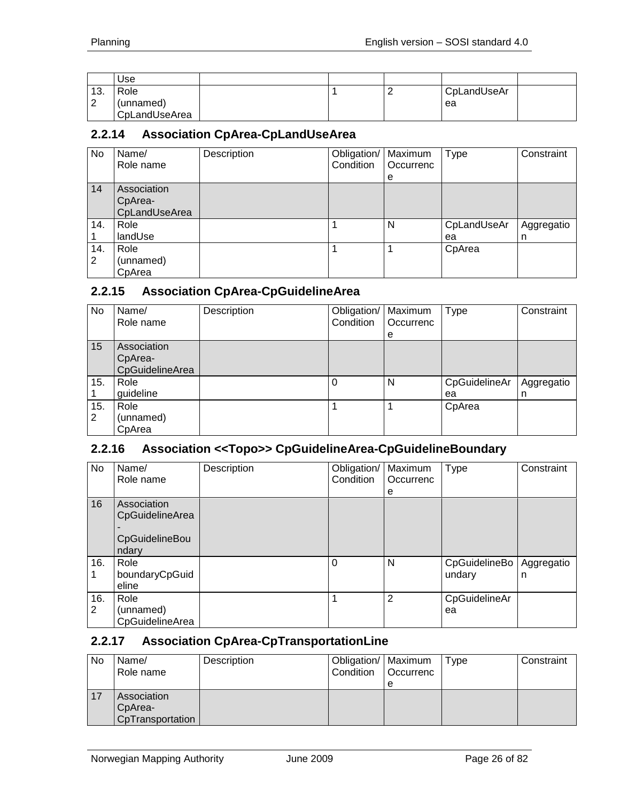|                 | Use                                |  |   |                   |  |
|-----------------|------------------------------------|--|---|-------------------|--|
| 13.<br><u>.</u> | Role<br>(unnamed)<br>CpLandUseArea |  | - | CpLandUseAr<br>ea |  |

#### <span id="page-25-0"></span>**2.2.14 Association CpArea-CpLandUseArea**

| No       | Name/<br>Role name                      | Description | Obligation/   Maximum<br>Condition | <b>Occurrenc</b><br>e | <b>Type</b>       | Constraint      |
|----------|-----------------------------------------|-------------|------------------------------------|-----------------------|-------------------|-----------------|
| 14       | Association<br>CpArea-<br>CpLandUseArea |             |                                    |                       |                   |                 |
| 14.      | Role<br>landUse                         |             |                                    | N                     | CpLandUseAr<br>ea | Aggregatio<br>n |
| 14.<br>2 | Role<br>(unnamed)<br>CpArea             |             |                                    |                       | CpArea            |                 |

#### <span id="page-25-1"></span>**2.2.15 Association CpArea-CpGuidelineArea**

| No.      | Name/<br>Role name                        | Description | Obligation/   Maximum<br>Condition | Occurrenc<br>е | Type                | Constraint      |
|----------|-------------------------------------------|-------------|------------------------------------|----------------|---------------------|-----------------|
| 15       | Association<br>CpArea-<br>CpGuidelineArea |             |                                    |                |                     |                 |
| 15.      | Role<br>guideline                         |             | $\Omega$                           | N              | CpGuidelineAr<br>ea | Aggregatio<br>n |
| 15.<br>2 | Role<br>(unnamed)<br>CpArea               |             |                                    |                | CpArea              |                 |

#### <span id="page-25-2"></span>**2.2.16 Association <<Topo>> CpGuidelineArea-CpGuidelineBoundary**

| No.      | Name/<br>Role name                                        | Description | Obligation/<br>Condition | Maximum<br>Occurrenc<br>e | Type                    | Constraint      |
|----------|-----------------------------------------------------------|-------------|--------------------------|---------------------------|-------------------------|-----------------|
| 16       | Association<br>CpGuidelineArea<br>CpGuidelineBou<br>ndary |             |                          |                           |                         |                 |
| 16.      | Role<br>boundaryCpGuid<br>eline                           |             | $\Omega$                 | N                         | CpGuidelineBo<br>undary | Aggregatio<br>n |
| 16.<br>2 | Role<br>(unnamed)<br>CpGuidelineArea                      |             | 1                        | 2                         | CpGuidelineAr<br>ea     |                 |

# <span id="page-25-3"></span>**2.2.17 Association CpArea-CpTransportationLine**

| No | Name/<br>Role name                         | Description | Obligation/   Maximum<br>Condition | l Occurrenc<br>e | Type | Constraint |
|----|--------------------------------------------|-------------|------------------------------------|------------------|------|------------|
| 17 | Association<br>CpArea-<br>CpTransportation |             |                                    |                  |      |            |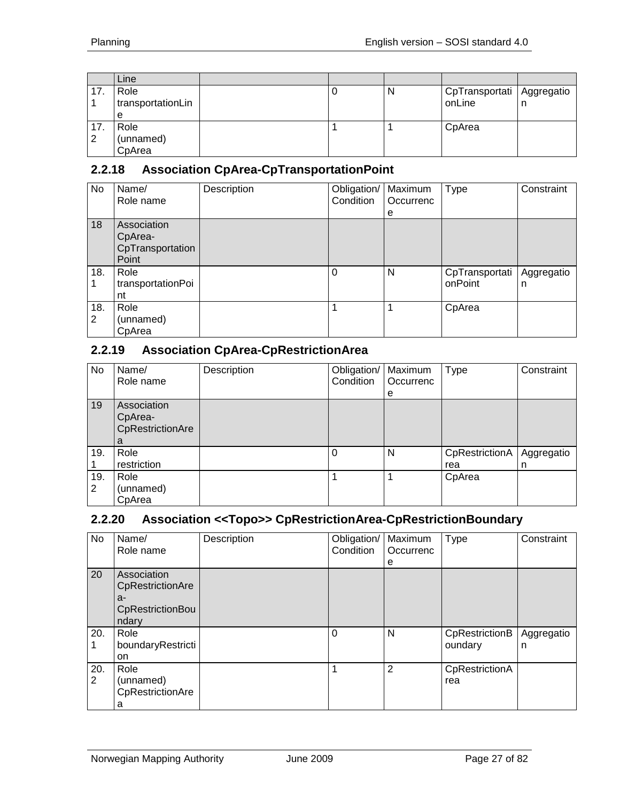|     | Line              |  |   |                             |   |
|-----|-------------------|--|---|-----------------------------|---|
| 17. | Role              |  | N | CpTransportati   Aggregatio |   |
|     | transportationLin |  |   | onLine                      | n |
|     | е                 |  |   |                             |   |
| 17. | Role              |  |   | CpArea                      |   |
| 2   | (unnamed)         |  |   |                             |   |
|     | CpArea            |  |   |                             |   |

## <span id="page-26-0"></span>**2.2.18 Association CpArea-CpTransportationPoint**

| No  | Name/             | Description | Obligation/   Maximum |           | Type           | Constraint |
|-----|-------------------|-------------|-----------------------|-----------|----------------|------------|
|     | Role name         |             | Condition             | Occurrenc |                |            |
|     |                   |             |                       | e         |                |            |
| 18  | Association       |             |                       |           |                |            |
|     | CpArea-           |             |                       |           |                |            |
|     | CpTransportation  |             |                       |           |                |            |
|     | Point             |             |                       |           |                |            |
| 18. | Role              |             | $\Omega$              | N         | CpTransportati | Aggregatio |
|     | transportationPoi |             |                       |           | onPoint        | n          |
|     | nt                |             |                       |           |                |            |
| 18. | Role              |             | 1                     | 1         | CpArea         |            |
| 2   | (unnamed)         |             |                       |           |                |            |
|     | CpArea            |             |                       |           |                |            |

## <span id="page-26-1"></span>**2.2.19 Association CpArea-CpRestrictionArea**

| No.      | Name/<br>Role name                              | Description | Obligation/<br>Condition | Maximum<br>Occurrenc<br>e | <b>Type</b>           | Constraint      |
|----------|-------------------------------------------------|-------------|--------------------------|---------------------------|-----------------------|-----------------|
| 19       | Association<br>CpArea-<br>CpRestrictionAre<br>a |             |                          |                           |                       |                 |
| 19.      | Role<br>restriction                             |             | $\Omega$                 | N                         | CpRestrictionA<br>rea | Aggregatio<br>n |
| 19.<br>2 | Role<br>(unnamed)<br>CpArea                     |             |                          |                           | CpArea                |                 |

## <span id="page-26-2"></span>**2.2.20 Association <<Topo>> CpRestrictionArea-CpRestrictionBoundary**

| No       | Name/<br>Role name                                                 | Description | Obligation/   Maximum<br>Condition | Occurrenc<br>e | <b>Type</b>               | Constraint      |
|----------|--------------------------------------------------------------------|-------------|------------------------------------|----------------|---------------------------|-----------------|
| 20       | Association<br>CpRestrictionAre<br>a-<br>CpRestrictionBou<br>ndary |             |                                    |                |                           |                 |
| 20.      | Role<br>boundaryRestricti<br>on                                    |             | $\Omega$                           | N              | CpRestrictionB<br>oundary | Aggregatio<br>n |
| 20.<br>2 | Role<br>(unnamed)<br>CpRestrictionAre<br>a                         |             | 1                                  | 2              | CpRestrictionA<br>rea     |                 |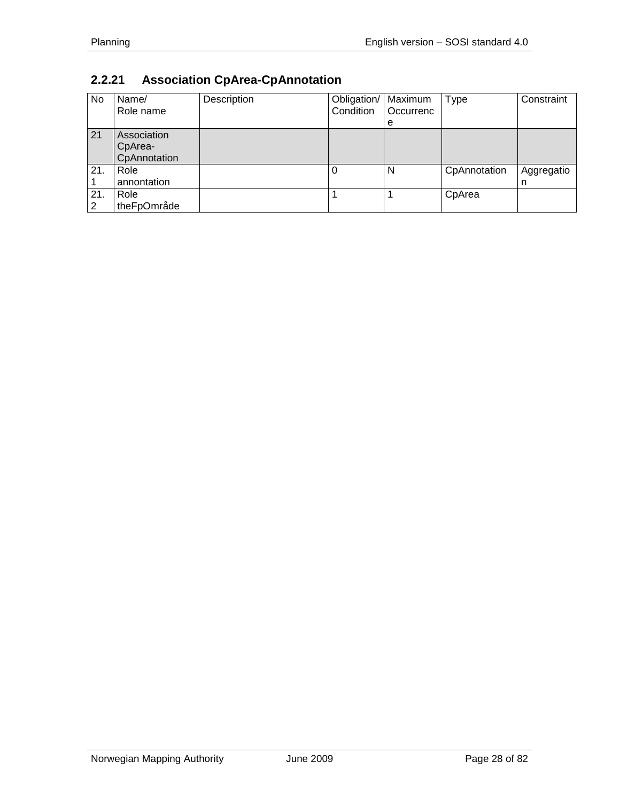# <span id="page-27-0"></span>**2.2.21 Association CpArea-CpAnnotation**

| No       | Name/<br>Role name                     | Description | Obligation/   Maximum<br>Condition | Occurrenc<br>е | <b>Type</b>  | Constraint      |
|----------|----------------------------------------|-------------|------------------------------------|----------------|--------------|-----------------|
| 21       | Association<br>CpArea-<br>CpAnnotation |             |                                    |                |              |                 |
| 21.      | Role<br>annontation                    |             |                                    | N              | CpAnnotation | Aggregatio<br>n |
| 21.<br>2 | Role<br>theFpOmråde                    |             |                                    |                | CpArea       |                 |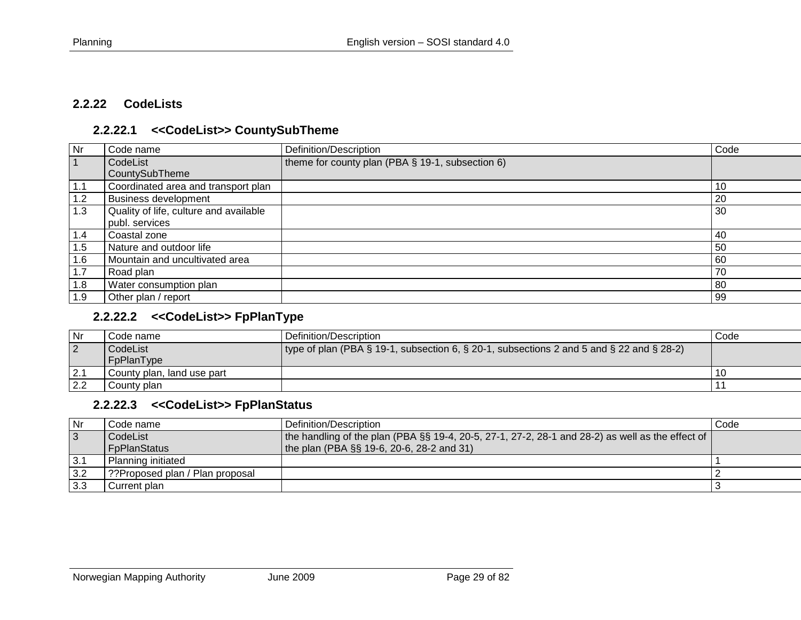#### **2.2.22 CodeLists**

#### **2.2.22.1 <<CodeList>> CountySubTheme**

| <b>Nr</b> | Code name                              | Definition/Description                           | Code |
|-----------|----------------------------------------|--------------------------------------------------|------|
|           | CodeList                               | theme for county plan (PBA § 19-1, subsection 6) |      |
|           | CountySubTheme                         |                                                  |      |
| 1.1       | Coordinated area and transport plan    |                                                  | -10  |
| 1.2       | <b>Business development</b>            |                                                  | 20   |
| 1.3       | Quality of life, culture and available |                                                  | 30   |
|           | publ. services                         |                                                  |      |
| 1.4       | Coastal zone                           |                                                  | -40  |
| 1.5       | Nature and outdoor life                |                                                  | 50   |
| 1.6       | Mountain and uncultivated area         |                                                  | 60   |
| 1.7       | Road plan                              |                                                  | 70   |
| 1.8       | Water consumption plan                 |                                                  | 80   |
| 1.9       | Other plan / report                    |                                                  | 99   |

#### <span id="page-28-1"></span><span id="page-28-0"></span>**2.2.22.2 <<CodeList>> FpPlanType**

| l Nr           | Code name                  | Definition/Description                                                                   | Code |
|----------------|----------------------------|------------------------------------------------------------------------------------------|------|
| $\overline{2}$ | CodeList                   | type of plan (PBA § 19-1, subsection 6, § 20-1, subsections 2 and 5 and § 22 and § 28-2) |      |
|                | FpPlanType                 |                                                                                          |      |
| 2.1            | County plan, land use part |                                                                                          | 10   |
| 2.2            | County plan                |                                                                                          |      |

#### **2.2.22.3 <<CodeList>> FpPlanStatus**

<span id="page-28-3"></span><span id="page-28-2"></span>

| Nr        | Code name                       | Definition/Description                                                                           | Code |
|-----------|---------------------------------|--------------------------------------------------------------------------------------------------|------|
| $\vert$ 3 | CodeList                        | the handling of the plan (PBA §§ 19-4, 20-5, 27-1, 27-2, 28-1 and 28-2) as well as the effect of |      |
|           | l FpPlanStatus                  | the plan (PBA $\S$ § 19-6, 20-6, 28-2 and 31)                                                    |      |
| 3.1       | Planning initiated              |                                                                                                  |      |
| 3.2       | 9?Proposed plan / Plan proposal |                                                                                                  |      |
| 3.3       | Current plan                    |                                                                                                  |      |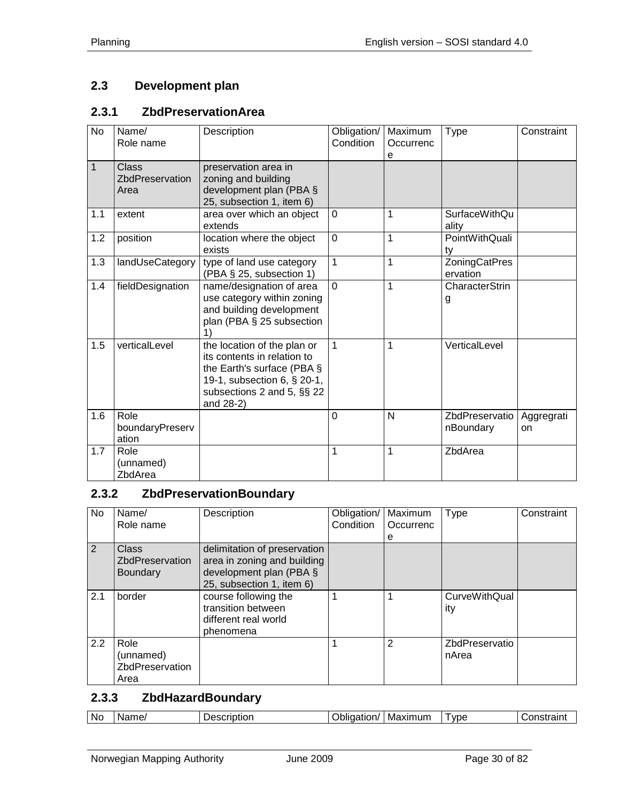# <span id="page-29-0"></span>**2.3 Development plan**

#### <span id="page-29-1"></span>**2.3.1 ZbdPreservationArea**

| No           | Name/<br>Role name                      | Description                                                                                                                                                        | Obligation/<br>Condition | Maximum<br>Occurrenc<br>e | <b>Type</b>                      | Constraint       |
|--------------|-----------------------------------------|--------------------------------------------------------------------------------------------------------------------------------------------------------------------|--------------------------|---------------------------|----------------------------------|------------------|
| $\mathbf{1}$ | <b>Class</b><br>ZbdPreservation<br>Area | preservation area in<br>zoning and building<br>development plan (PBA §<br>25, subsection 1, item 6)                                                                |                          |                           |                                  |                  |
| 1.1          | extent                                  | area over which an object<br>extends                                                                                                                               | $\mathbf 0$              | 1                         | <b>SurfaceWithQu</b><br>ality    |                  |
| 1.2          | position                                | location where the object<br>exists                                                                                                                                | $\overline{0}$           | $\overline{1}$            | PointWithQuali<br>ty             |                  |
| 1.3          | landUseCategory                         | type of land use category<br>(PBA § 25, subsection 1)                                                                                                              | $\mathbf{1}$             | $\overline{1}$            | <b>ZoningCatPres</b><br>ervation |                  |
| 1.4          | fieldDesignation                        | name/designation of area<br>use category within zoning<br>and building development<br>plan (PBA § 25 subsection<br>1)                                              | $\overline{0}$           | 1                         | CharacterStrin<br>g              |                  |
| 1.5          | verticalLevel                           | the location of the plan or<br>its contents in relation to<br>the Earth's surface (PBA §<br>19-1, subsection 6, § 20-1,<br>subsections 2 and 5, §§ 22<br>and 28-2) | 1                        | 1                         | VerticalLevel                    |                  |
| 1.6          | Role<br>boundaryPreserv<br>ation        |                                                                                                                                                                    | $\mathbf 0$              | N                         | ZbdPreservatio<br>nBoundary      | Aggregrati<br>on |
| 1.7          | Role<br>(unnamed)<br>ZbdArea            |                                                                                                                                                                    | $\mathbf{1}$             | 1                         | ZbdArea                          |                  |

## <span id="page-29-2"></span>**2.3.2 ZbdPreservationBoundary**

| No. | Name/<br>Role name                           | Description                                                                                                         | Obligation/<br>Condition | Maximum<br>Occurrenc<br>е | <b>Type</b>                 | Constraint |
|-----|----------------------------------------------|---------------------------------------------------------------------------------------------------------------------|--------------------------|---------------------------|-----------------------------|------------|
| 2   | Class<br>ZbdPreservation<br><b>Boundary</b>  | delimitation of preservation<br>area in zoning and building<br>development plan (PBA §<br>25, subsection 1, item 6) |                          |                           |                             |            |
| 2.1 | border                                       | course following the<br>transition between<br>different real world<br>phenomena                                     |                          |                           | <b>CurveWithQual</b><br>ity |            |
| 2.2 | Role<br>(unnamed)<br>ZbdPreservation<br>Area |                                                                                                                     |                          | $\overline{2}$            | ZbdPreservatio<br>nArea     |            |

#### <span id="page-29-3"></span>**2.3.3 ZbdHazardBoundary**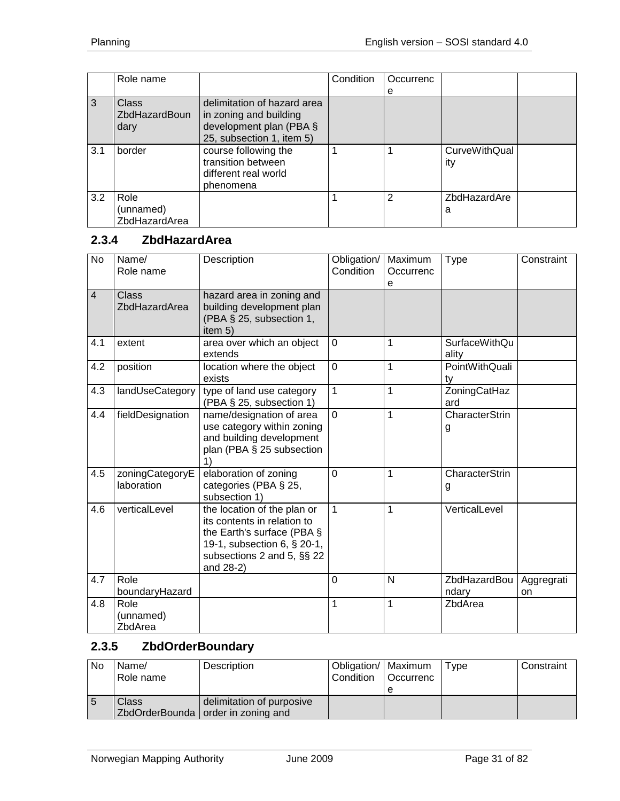|     | Role name                                    |                                                                                                               | <b>Condition</b> | Occurrenc |                             |  |
|-----|----------------------------------------------|---------------------------------------------------------------------------------------------------------------|------------------|-----------|-----------------------------|--|
|     |                                              |                                                                                                               |                  | е         |                             |  |
| 3   | <b>Class</b><br><b>ZbdHazardBoun</b><br>dary | delimitation of hazard area<br>in zoning and building<br>development plan (PBA §<br>25, subsection 1, item 5) |                  |           |                             |  |
| 3.1 | border                                       | course following the<br>transition between<br>different real world<br>phenomena                               |                  |           | <b>CurveWithQual</b><br>ity |  |
| 3.2 | Role<br>(unnamed)<br>ZbdHazardArea           |                                                                                                               |                  | 2         | ZbdHazardAre<br>а           |  |

#### <span id="page-30-0"></span>**2.3.4 ZbdHazardArea**

| No             | Name/<br>Role name            | Description                                                                                                                                                        | Obligation/<br>Condition | Maximum<br>Occurrenc<br>e | <b>Type</b>                   | Constraint       |
|----------------|-------------------------------|--------------------------------------------------------------------------------------------------------------------------------------------------------------------|--------------------------|---------------------------|-------------------------------|------------------|
| $\overline{4}$ | Class<br>ZbdHazardArea        | hazard area in zoning and<br>building development plan<br>(PBA § 25, subsection 1,<br>item 5)                                                                      |                          |                           |                               |                  |
| 4.1            | extent                        | area over which an object<br>extends                                                                                                                               | $\overline{0}$           | 1                         | <b>SurfaceWithQu</b><br>ality |                  |
| 4.2            | position                      | location where the object<br>exists                                                                                                                                | $\overline{0}$           | $\mathbf{1}$              | PointWithQuali<br>ty          |                  |
| 4.3            | landUseCategory               | type of land use category<br>(PBA § 25, subsection 1)                                                                                                              | $\mathbf{1}$             | 1                         | ZoningCatHaz<br>ard           |                  |
| 4.4            | fieldDesignation              | name/designation of area<br>use category within zoning<br>and building development<br>plan (PBA § 25 subsection<br>1)                                              | $\overline{0}$           | $\mathbf{1}$              | <b>CharacterStrin</b><br>g    |                  |
| 4.5            | zoningCategoryE<br>laboration | elaboration of zoning<br>categories (PBA § 25,<br>subsection 1)                                                                                                    | $\overline{0}$           | 1                         | <b>CharacterStrin</b><br>g    |                  |
| 4.6            | verticalLevel                 | the location of the plan or<br>its contents in relation to<br>the Earth's surface (PBA §<br>19-1, subsection 6, § 20-1,<br>subsections 2 and 5, §§ 22<br>and 28-2) | $\mathbf{1}$             | 1                         | VerticalLevel                 |                  |
| 4.7            | Role<br>boundaryHazard        |                                                                                                                                                                    | $\overline{0}$           | N                         | ZbdHazardBou<br>ndary         | Aggregrati<br>on |
| 4.8            | Role<br>(unnamed)<br>ZbdArea  |                                                                                                                                                                    | 1                        | 1                         | ZbdArea                       |                  |

# <span id="page-30-1"></span>**2.3.5 ZbdOrderBoundary**

| <b>No</b> | Name/<br>Role name | Description                                                       | Obligation/   Maximum<br>Condition | <b>Occurrenc</b> | Tvpe | Constraint |
|-----------|--------------------|-------------------------------------------------------------------|------------------------------------|------------------|------|------------|
| l 5       | Class              | delimitation of purposive<br>ZbdOrderBounda   order in zoning and |                                    |                  |      |            |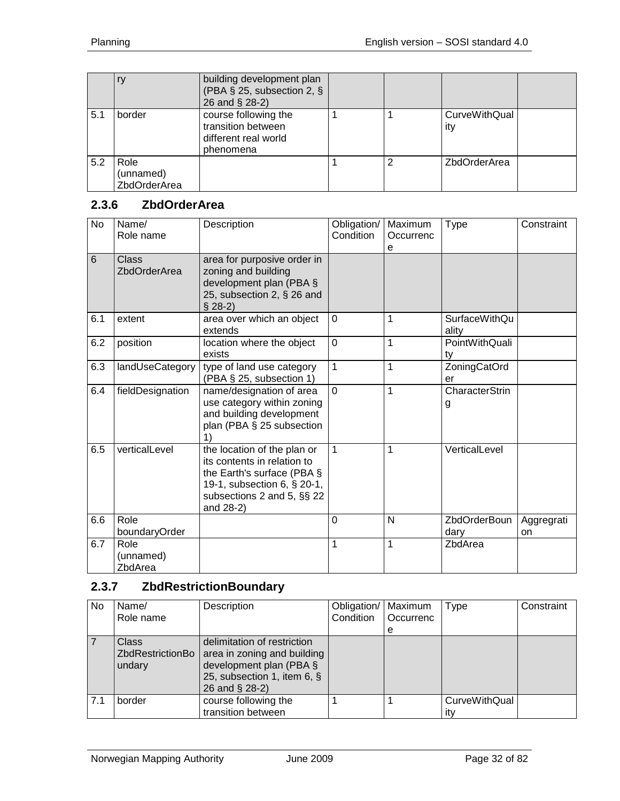|     |                                   | building development plan<br>(PBA § 25, subsection 2, §<br>26 and § 28-2)       |   |                      |  |
|-----|-----------------------------------|---------------------------------------------------------------------------------|---|----------------------|--|
| 5.1 | border                            | course following the<br>transition between<br>different real world<br>phenomena |   | CurveWithQual<br>ity |  |
| 5.2 | Role<br>(unnamed)<br>ZbdOrderArea |                                                                                 | 2 | ZbdOrderArea         |  |

## <span id="page-31-0"></span>**2.3.6 ZbdOrderArea**

| No  | Name/<br>Role name           | Description                                                                                                                                                        | Obligation/<br>Condition | Maximum<br>Occurrenc<br>e | <b>Type</b>                 | Constraint       |
|-----|------------------------------|--------------------------------------------------------------------------------------------------------------------------------------------------------------------|--------------------------|---------------------------|-----------------------------|------------------|
| 6   | Class<br><b>ZbdOrderArea</b> | area for purposive order in<br>zoning and building<br>development plan (PBA §<br>25, subsection 2, § 26 and<br>$$28-2)$                                            |                          |                           |                             |                  |
| 6.1 | extent                       | area over which an object<br>extends                                                                                                                               | $\mathbf 0$              | 1                         | SurfaceWithQu<br>ality      |                  |
| 6.2 | position                     | location where the object<br>exists                                                                                                                                | $\overline{0}$           | $\overline{1}$            | PointWithQuali<br>ty        |                  |
| 6.3 | landUseCategory              | type of land use category<br>(PBA § 25, subsection 1)                                                                                                              | $\mathbf{1}$             | $\mathbf{1}$              | ZoningCatOrd<br>er          |                  |
| 6.4 | fieldDesignation             | name/designation of area<br>use category within zoning<br>and building development<br>plan (PBA § 25 subsection<br>1)                                              | $\overline{0}$           | 1                         | CharacterStrin<br>g         |                  |
| 6.5 | verticalLevel                | the location of the plan or<br>its contents in relation to<br>the Earth's surface (PBA §<br>19-1, subsection 6, § 20-1,<br>subsections 2 and 5, §§ 22<br>and 28-2) | $\mathbf{1}$             | $\overline{1}$            | VerticalLevel               |                  |
| 6.6 | Role<br>boundaryOrder        |                                                                                                                                                                    | $\overline{0}$           | N                         | <b>ZbdOrderBoun</b><br>dary | Aggregrati<br>on |
| 6.7 | Role<br>(unnamed)<br>ZbdArea |                                                                                                                                                                    | 1                        | $\mathbf{1}$              | ZbdArea                     |                  |

# <span id="page-31-1"></span>**2.3.7 ZbdRestrictionBoundary**

| No. | Name/<br>Role name                         | Description                                                                                                                               | Obligation/<br>Condition | Maximum<br>Occurrenc<br>e | Type                        | Constraint |
|-----|--------------------------------------------|-------------------------------------------------------------------------------------------------------------------------------------------|--------------------------|---------------------------|-----------------------------|------------|
|     | <b>Class</b><br>ZbdRestrictionBo<br>undary | delimitation of restriction<br>area in zoning and building<br>development plan (PBA $\S$<br>25, subsection 1, item 6, §<br>26 and § 28-2) |                          |                           |                             |            |
| 7.1 | border                                     | course following the<br>transition between                                                                                                |                          |                           | <b>CurveWithQual</b><br>itv |            |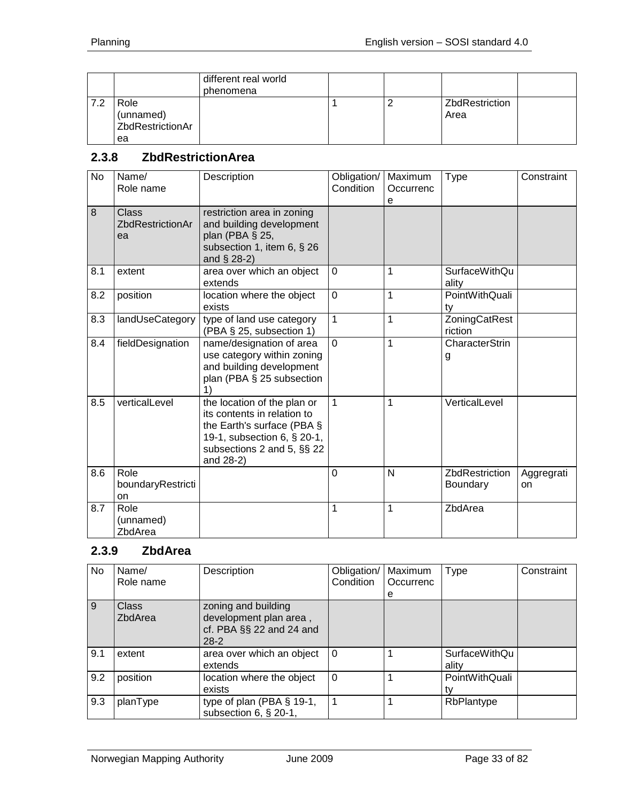|      |                                             | different real world<br>phenomena |  |                        |  |
|------|---------------------------------------------|-----------------------------------|--|------------------------|--|
| .7.2 | Role<br>(unnamed)<br>ZbdRestrictionAr<br>ea |                                   |  | ZbdRestriction<br>Area |  |

#### <span id="page-32-0"></span>**2.3.8 ZbdRestrictionArea**

| <b>No</b> | Name/<br>Role name                     | Description                                                                                                                                                           | Obligation/<br>Condition | Maximum<br>Occurrenc<br>e | <b>Type</b>                       | Constraint       |
|-----------|----------------------------------------|-----------------------------------------------------------------------------------------------------------------------------------------------------------------------|--------------------------|---------------------------|-----------------------------------|------------------|
| 8         | <b>Class</b><br>ZbdRestrictionAr<br>ea | restriction area in zoning<br>and building development<br>plan (PBA § 25,<br>subsection 1, item 6, § 26<br>and $\S$ 28-2)                                             |                          |                           |                                   |                  |
| 8.1       | extent                                 | area over which an object<br>extends                                                                                                                                  | $\mathbf 0$              | 1                         | <b>SurfaceWithQu</b><br>ality     |                  |
| 8.2       | position                               | location where the object<br>exists                                                                                                                                   | $\overline{0}$           | 1                         | PointWithQuali<br>ty              |                  |
| 8.3       | landUseCategory                        | type of land use category<br>(PBA § 25, subsection 1)                                                                                                                 | 1                        | 1                         | ZoningCatRest<br>riction          |                  |
| 8.4       | fieldDesignation                       | name/designation of area<br>use category within zoning<br>and building development<br>plan (PBA § 25 subsection<br>$\left( \right)$                                   | $\Omega$                 | $\mathbf{1}$              | <b>CharacterStrin</b><br>g        |                  |
| 8.5       | verticalLevel                          | the location of the plan or<br>its contents in relation to<br>the Earth's surface (PBA $\S$<br>19-1, subsection 6, § 20-1,<br>subsections 2 and 5, §§ 22<br>and 28-2) | $\mathbf{1}$             | 1                         | VerticalLevel                     |                  |
| 8.6       | Role<br>boundaryRestricti<br>on        |                                                                                                                                                                       | $\mathbf 0$              | N                         | ZbdRestriction<br><b>Boundary</b> | Aggregrati<br>on |
| 8.7       | Role<br>(unnamed)<br>ZbdArea           |                                                                                                                                                                       | 1                        | $\mathbf{1}$              | ZbdArea                           |                  |

### <span id="page-32-1"></span>**2.3.9 ZbdArea**

| No  | Name/<br>Role name      | Description                                                                                | Obligation/<br><b>Condition</b> | Maximum<br>Occurrenc<br>e | Type                          | Constraint |
|-----|-------------------------|--------------------------------------------------------------------------------------------|---------------------------------|---------------------------|-------------------------------|------------|
| 9   | <b>Class</b><br>ZbdArea | zoning and building<br>development plan area,<br>cf. PBA $\S$ $\S$ 22 and 24 and<br>$28-2$ |                                 |                           |                               |            |
| 9.1 | extent                  | area over which an object<br>extends                                                       | $\Omega$                        |                           | <b>SurfaceWithQu</b><br>ality |            |
| 9.2 | position                | location where the object<br>exists                                                        | $\Omega$                        |                           | PointWithQuali                |            |
| 9.3 | planType                | type of plan (PBA $\S$ 19-1,<br>subsection $6, § 20-1,$                                    |                                 |                           | RbPlantype                    |            |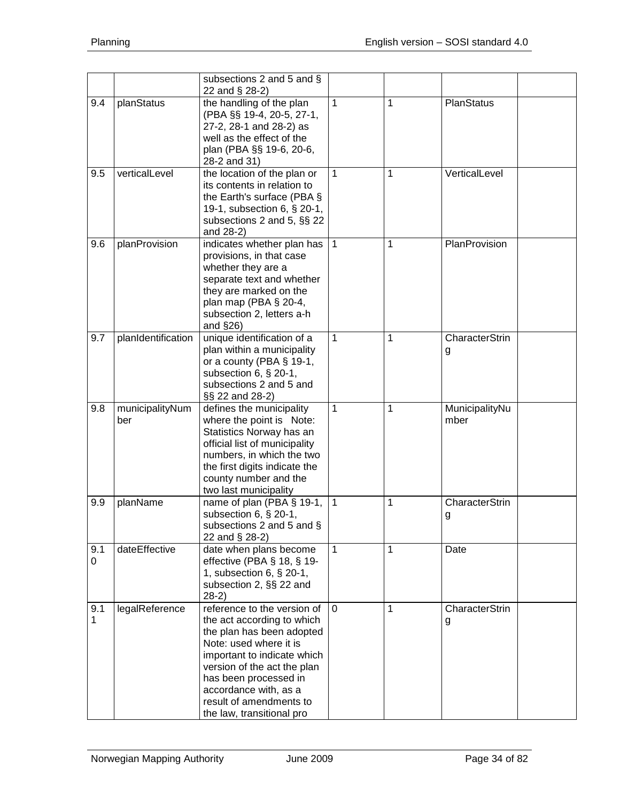|                     |                        | subsections 2 and 5 and §<br>22 and § 28-2)                                                                                                                                                                                                                                              |                |   |                        |
|---------------------|------------------------|------------------------------------------------------------------------------------------------------------------------------------------------------------------------------------------------------------------------------------------------------------------------------------------|----------------|---|------------------------|
| 9.4                 | planStatus             | the handling of the plan<br>(PBA §§ 19-4, 20-5, 27-1,<br>27-2, 28-1 and 28-2) as<br>well as the effect of the<br>plan (PBA §§ 19-6, 20-6,<br>28-2 and 31)                                                                                                                                | 1              | 1 | PlanStatus             |
| 9.5                 | verticalLevel          | the location of the plan or<br>its contents in relation to<br>the Earth's surface (PBA §<br>19-1, subsection 6, § 20-1,<br>subsections 2 and 5, §§ 22<br>and 28-2)                                                                                                                       | 1              | 1 | VerticalLevel          |
| 9.6                 | planProvision          | indicates whether plan has<br>provisions, in that case<br>whether they are a<br>separate text and whether<br>they are marked on the<br>plan map (PBA § 20-4,<br>subsection 2, letters a-h<br>and $\S$ 26)                                                                                | $\mathbf{1}$   | 1 | PlanProvision          |
| 9.7                 | planIdentification     | unique identification of a<br>plan within a municipality<br>or a county (PBA § 19-1,<br>subsection 6, § 20-1,<br>subsections 2 and 5 and<br>§§ 22 and 28-2)                                                                                                                              | 1              | 1 | CharacterStrin<br>g    |
| 9.8                 | municipalityNum<br>ber | defines the municipality<br>where the point is Note:<br>Statistics Norway has an<br>official list of municipality<br>numbers, in which the two<br>the first digits indicate the<br>county number and the<br>two last municipality                                                        | 1              | 1 | MunicipalityNu<br>mber |
| 9.9                 | planName               | name of plan (PBA § 19-1,<br>subsection 6, § 20-1,<br>subsections 2 and 5 and $\S$<br>22 and § 28-2)                                                                                                                                                                                     | $\overline{1}$ | 1 | CharacterStrin<br>g    |
| 9.1<br>0            | dateEffective          | date when plans become<br>effective (PBA $\S$ 18, $\S$ 19-<br>1, subsection 6, § 20-1,<br>subsection 2, §§ 22 and<br>$28-2)$                                                                                                                                                             | 1              | 1 | Date                   |
| 9.1<br>$\mathbf{1}$ | legalReference         | reference to the version of<br>the act according to which<br>the plan has been adopted<br>Note: used where it is<br>important to indicate which<br>version of the act the plan<br>has been processed in<br>accordance with, as a<br>result of amendments to<br>the law, transitional pro | $\mathbf 0$    | 1 | CharacterStrin<br>g    |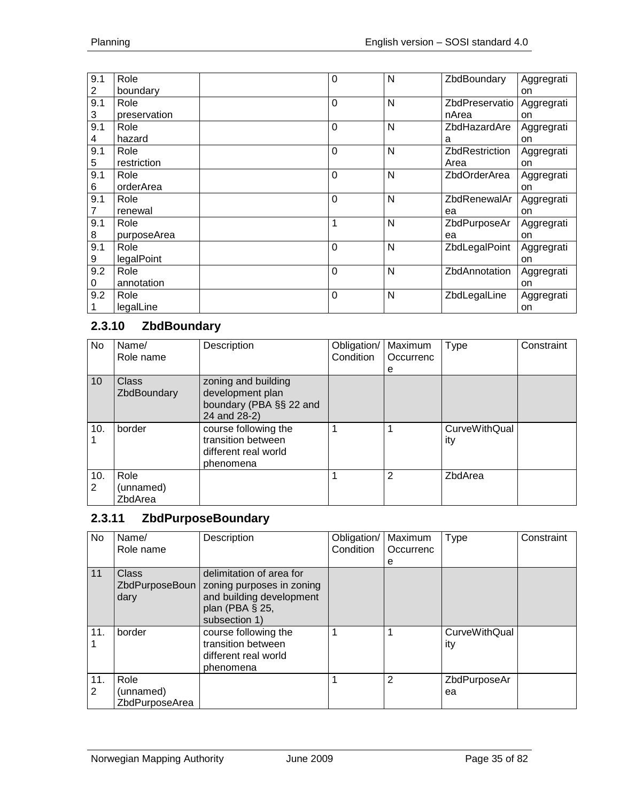| 9.1 | Role         | 0            | N | ZbdBoundary    | Aggregrati |
|-----|--------------|--------------|---|----------------|------------|
| 2   | boundary     |              |   |                | on         |
| 9.1 | Role         | $\Omega$     | N | ZbdPreservatio | Aggregrati |
| 3   | preservation |              |   | nArea          | on         |
| 9.1 | Role         | 0            | N | ZbdHazardAre   | Aggregrati |
| 4   | hazard       |              |   | a              | on         |
| 9.1 | Role         | 0            | N | ZbdRestriction | Aggregrati |
| 5   | restriction  |              |   | Area           | on         |
| 9.1 | Role         | $\Omega$     | N | ZbdOrderArea   | Aggregrati |
| 6   | orderArea    |              |   |                | on         |
| 9.1 | Role         | $\Omega$     | N | ZbdRenewalAr   | Aggregrati |
|     | renewal      |              |   | ea             | on         |
| 9.1 | Role         | 1            | N | ZbdPurposeAr   | Aggregrati |
| 8   | purposeArea  |              |   | ea             | on         |
| 9.1 | Role         | $\Omega$     | N | ZbdLegalPoint  | Aggregrati |
| 9   | legalPoint   |              |   |                | on         |
| 9.2 | Role         | $\mathbf{0}$ | N | ZbdAnnotation  | Aggregrati |
| 0   | annotation   |              |   |                | on         |
| 9.2 | Role         | 0            | N | ZbdLegalLine   | Aggregrati |
|     | legalLine    |              |   |                | on         |

## <span id="page-34-0"></span>**2.3.10 ZbdBoundary**

| No       | Name/<br>Role name           | Description                                                                        | Obligation/<br>Condition | Maximum<br>Occurrenc<br>е | <b>Type</b>                 | Constraint |
|----------|------------------------------|------------------------------------------------------------------------------------|--------------------------|---------------------------|-----------------------------|------------|
| 10       | Class<br>ZbdBoundary         | zoning and building<br>development plan<br>boundary (PBA §§ 22 and<br>24 and 28-2) |                          |                           |                             |            |
| 10.      | border                       | course following the<br>transition between<br>different real world<br>phenomena    |                          |                           | <b>CurveWithQual</b><br>ity |            |
| 10.<br>2 | Role<br>(unnamed)<br>ZbdArea |                                                                                    |                          | 2                         | ZbdArea                     |            |

#### <span id="page-34-1"></span>**2.3.11 ZbdPurposeBoundary**

| No       | Name/<br>Role name                  | Description                                                                                                           | Obligation/<br>Condition | Maximum<br>Occurrenc | <b>Type</b>                 | Constraint |
|----------|-------------------------------------|-----------------------------------------------------------------------------------------------------------------------|--------------------------|----------------------|-----------------------------|------------|
|          |                                     |                                                                                                                       |                          | е                    |                             |            |
| 11       | Class<br>ZbdPurposeBoun<br>dary     | delimitation of area for<br>zoning purposes in zoning<br>and building development<br>plan (PBA § 25,<br>subsection 1) |                          |                      |                             |            |
| 11.      | border                              | course following the<br>transition between<br>different real world<br>phenomena                                       |                          |                      | <b>CurveWithQual</b><br>ity |            |
| 11.<br>2 | Role<br>(unnamed)<br>ZbdPurposeArea |                                                                                                                       |                          | 2                    | ZbdPurposeAr<br>ea          |            |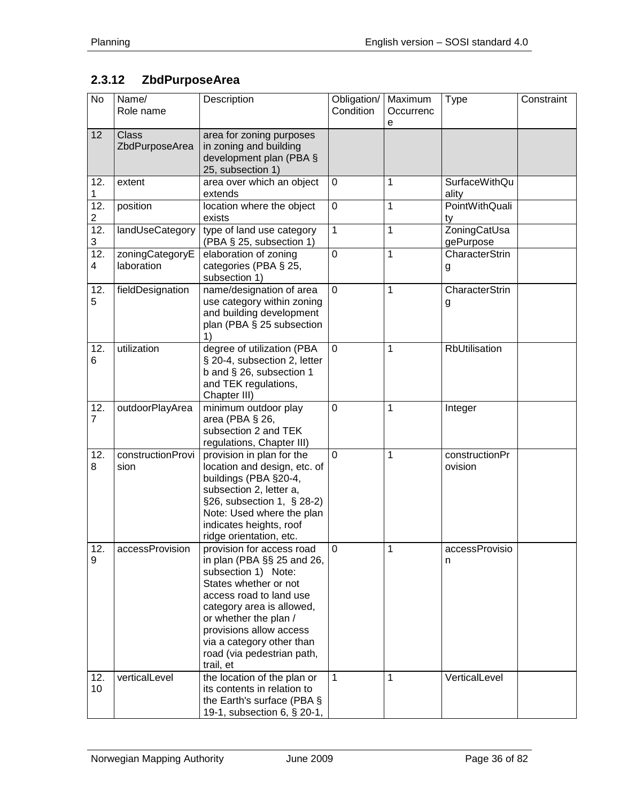# <span id="page-35-0"></span>**2.3.12 ZbdPurposeArea**

| No                                  | Name/<br>Role name             | Description                                                                                                                                                                                                                                                                                 | Obligation/<br>Condition | Maximum<br>Occurrenc<br>e | <b>Type</b>                   | Constraint |
|-------------------------------------|--------------------------------|---------------------------------------------------------------------------------------------------------------------------------------------------------------------------------------------------------------------------------------------------------------------------------------------|--------------------------|---------------------------|-------------------------------|------------|
| 12                                  | <b>Class</b><br>ZbdPurposeArea | area for zoning purposes<br>in zoning and building<br>development plan (PBA §<br>25, subsection 1)                                                                                                                                                                                          |                          |                           |                               |            |
| 12.<br>1                            | extent                         | area over which an object<br>extends                                                                                                                                                                                                                                                        | $\mathbf 0$              | 1                         | <b>SurfaceWithQu</b><br>ality |            |
| 12.<br>$\overline{c}$               | position                       | location where the object<br>exists                                                                                                                                                                                                                                                         | $\mathbf 0$              | $\mathbf{1}$              | PointWithQuali<br>ty          |            |
| 12.<br>3                            | landUseCategory                | type of land use category<br>(PBA § 25, subsection 1)                                                                                                                                                                                                                                       | $\mathbf 1$              | 1                         | ZoningCatUsa<br>gePurpose     |            |
| $\overline{12}$ .<br>$\overline{4}$ | zoningCategoryE<br>laboration  | elaboration of zoning<br>categories (PBA § 25,<br>subsection 1)                                                                                                                                                                                                                             | 0                        | 1                         | CharacterStrin<br>g           |            |
| 12.<br>5                            | fieldDesignation               | name/designation of area<br>use category within zoning<br>and building development<br>plan (PBA § 25 subsection<br>1)                                                                                                                                                                       | $\mathbf 0$              | 1                         | CharacterStrin<br>g           |            |
| 12.<br>6                            | utilization                    | degree of utilization (PBA<br>§ 20-4, subsection 2, letter<br>b and § 26, subsection 1<br>and TEK regulations,<br>Chapter III)                                                                                                                                                              | $\mathbf 0$              | 1                         | RbUtilisation                 |            |
| 12.<br>$\overline{7}$               | outdoorPlayArea                | minimum outdoor play<br>area (PBA § 26,<br>subsection 2 and TEK<br>regulations, Chapter III)                                                                                                                                                                                                | $\mathbf 0$              | 1                         | Integer                       |            |
| 12.<br>8                            | constructionProvi<br>sion      | provision in plan for the<br>location and design, etc. of<br>buildings (PBA §20-4,<br>subsection 2, letter a,<br>§26, subsection 1, § 28-2)<br>Note: Used where the plan<br>indicates heights, roof<br>ridge orientation, etc.                                                              | 0                        | 1                         | constructionPr<br>ovision     |            |
| 12.<br>9                            | accessProvision                | provision for access road<br>in plan (PBA §§ 25 and 26,<br>subsection 1) Note:<br>States whether or not<br>access road to land use<br>category area is allowed,<br>or whether the plan /<br>provisions allow access<br>via a category other than<br>road (via pedestrian path,<br>trail, et | 0                        | 1                         | accessProvisio<br>n           |            |
| 12.<br>10                           | verticalLevel                  | the location of the plan or<br>its contents in relation to<br>the Earth's surface (PBA §<br>19-1, subsection 6, § 20-1,                                                                                                                                                                     | 1                        | 1                         | VerticalLevel                 |            |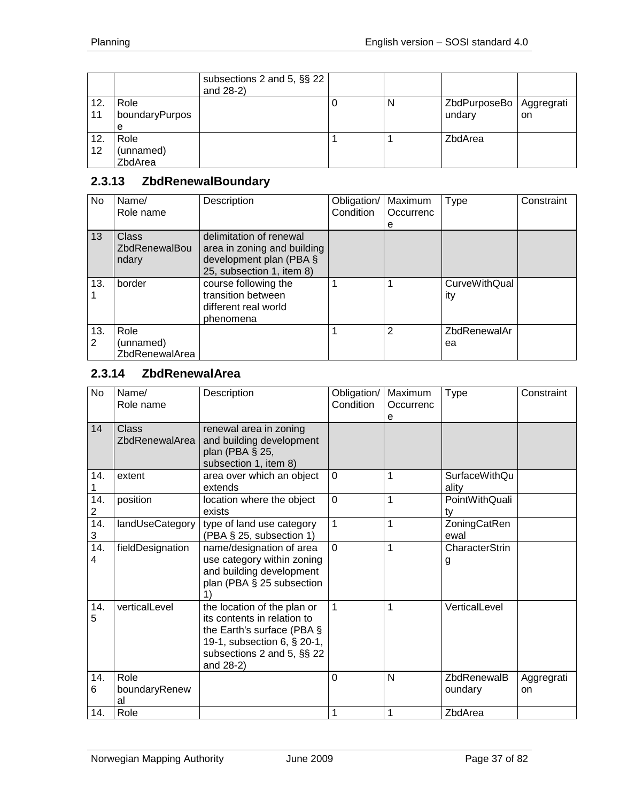|           |                              | subsections 2 and 5, §§ 22<br>and 28-2) |   |                                     |    |
|-----------|------------------------------|-----------------------------------------|---|-------------------------------------|----|
| 12.<br>11 | Role<br>boundaryPurpos<br>е  |                                         | N | ZbdPurposeBo   Aggregrati<br>undary | on |
| 12.<br>12 | Role<br>(unnamed)<br>ZbdArea |                                         |   | ZbdArea                             |    |

# **2.3.13 ZbdRenewalBoundary**

| <b>No</b> | Name/<br>Role name                     | Description                                                                                                       | Obligation/<br>Condition | Maximum<br>Occurrenc<br>е | <b>Type</b>                 | Constraint |
|-----------|----------------------------------------|-------------------------------------------------------------------------------------------------------------------|--------------------------|---------------------------|-----------------------------|------------|
| 13        | Class<br><b>ZbdRenewalBou</b><br>ndary | delimitation of renewal<br>area in zoning and building<br>development plan (PBA $\S$<br>25, subsection 1, item 8) |                          |                           |                             |            |
| 13.       | border                                 | course following the<br>transition between<br>different real world<br>phenomena                                   |                          |                           | <b>CurveWithQual</b><br>ity |            |
| 13.<br>2  | Role<br>(unnamed)<br>ZbdRenewalArea    |                                                                                                                   |                          | 2                         | ZbdRenewalAr<br>ea          |            |

## **2.3.14 ZbdRenewalArea**

| No       | Name/<br>Role name             | Description                                                                                                                                                           | Obligation/<br>Condition | Maximum<br>Occurrenc<br>e | <b>Type</b>                   | Constraint       |
|----------|--------------------------------|-----------------------------------------------------------------------------------------------------------------------------------------------------------------------|--------------------------|---------------------------|-------------------------------|------------------|
| 14       | <b>Class</b><br>ZbdRenewalArea | renewal area in zoning<br>and building development<br>plan (PBA § 25,<br>subsection 1, item 8)                                                                        |                          |                           |                               |                  |
| 14.      | extent                         | area over which an object<br>extends                                                                                                                                  | $\mathbf 0$              | 1                         | <b>SurfaceWithQu</b><br>ality |                  |
| 14.<br>2 | position                       | location where the object<br>exists                                                                                                                                   | $\overline{0}$           | 1                         | PointWithQuali<br>ty          |                  |
| 14.<br>3 | landUseCategory                | type of land use category<br>(PBA § 25, subsection 1)                                                                                                                 | $\mathbf{1}$             | 1                         | ZoningCatRen<br>ewal          |                  |
| 14.<br>4 | fieldDesignation               | name/designation of area<br>use category within zoning<br>and building development<br>plan (PBA § 25 subsection                                                       | $\overline{0}$           | 1                         | CharacterStrin<br>g           |                  |
| 14.<br>5 | verticalLevel                  | the location of the plan or<br>its contents in relation to<br>the Earth's surface (PBA $\S$<br>19-1, subsection 6, § 20-1,<br>subsections 2 and 5, §§ 22<br>and 28-2) | $\mathbf{1}$             | 1                         | VerticalLevel                 |                  |
| 14.<br>6 | Role<br>boundaryRenew<br>al    |                                                                                                                                                                       | $\mathbf 0$              | N                         | ZbdRenewalB<br>oundary        | Aggregrati<br>on |
| 14.      | Role                           |                                                                                                                                                                       | 1                        | 1                         | ZbdArea                       |                  |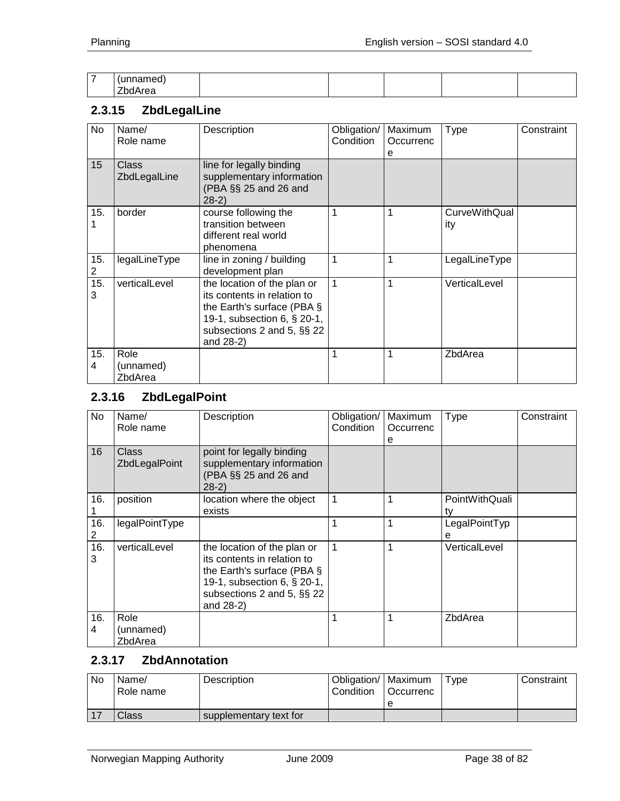| - |    |  |  |  |
|---|----|--|--|--|
|   | -- |  |  |  |

# **2.3.15 ZbdLegalLine**

| No       | Name/<br>Role name           | Description                                                                                                                                                           | Obligation/<br><b>Condition</b> | Maximum<br>Occurrenc<br>е | <b>Type</b>          | Constraint |
|----------|------------------------------|-----------------------------------------------------------------------------------------------------------------------------------------------------------------------|---------------------------------|---------------------------|----------------------|------------|
| 15       | Class<br>ZbdLegalLine        | line for legally binding<br>supplementary information<br>(PBA §§ 25 and 26 and<br>$28-2)$                                                                             |                                 |                           |                      |            |
| 15.      | border                       | course following the<br>transition between<br>different real world<br>phenomena                                                                                       |                                 |                           | CurveWithQual<br>ity |            |
| 15.<br>2 | legalLineType                | line in zoning / building<br>development plan                                                                                                                         |                                 |                           | LegalLineType        |            |
| 15.<br>3 | verticalLevel                | the location of the plan or<br>its contents in relation to<br>the Earth's surface (PBA $\S$<br>19-1, subsection 6, § 20-1,<br>subsections 2 and 5, §§ 22<br>and 28-2) | 1                               |                           | VerticalLevel        |            |
| 15.<br>4 | Role<br>(unnamed)<br>ZbdArea |                                                                                                                                                                       |                                 |                           | ZbdArea              |            |

# **2.3.16 ZbdLegalPoint**

| No       | Name/<br>Role name           | Description                                                                                                                                                           | Obligation/<br>Condition | Maximum<br>Occurrenc<br>е | Type                 | Constraint |
|----------|------------------------------|-----------------------------------------------------------------------------------------------------------------------------------------------------------------------|--------------------------|---------------------------|----------------------|------------|
| 16       | Class<br>ZbdLegalPoint       | point for legally binding<br>supplementary information<br>(PBA §§ 25 and 26 and<br>$28-2)$                                                                            |                          |                           |                      |            |
| 16.      | position                     | location where the object<br>exists                                                                                                                                   | 1                        |                           | PointWithQuali<br>ty |            |
| 16.<br>2 | legalPointType               |                                                                                                                                                                       | 1                        |                           | LegalPointTyp<br>е   |            |
| 16.<br>3 | verticalLevel                | the location of the plan or<br>its contents in relation to<br>the Earth's surface (PBA $\S$<br>19-1, subsection 6, § 20-1,<br>subsections 2 and 5, §§ 22<br>and 28-2) | 1                        |                           | VerticalLevel        |            |
| 16.<br>4 | Role<br>(unnamed)<br>ZbdArea |                                                                                                                                                                       |                          |                           | ZbdArea              |            |

## **2.3.17 ZbdAnnotation**

| No | Name/<br>Role name | Description            | Obligation/   Maximum<br>Condition | l Occurrenc | Type | Constraint |
|----|--------------------|------------------------|------------------------------------|-------------|------|------------|
|    |                    |                        |                                    |             |      |            |
|    | Class              | supplementary text for |                                    |             |      |            |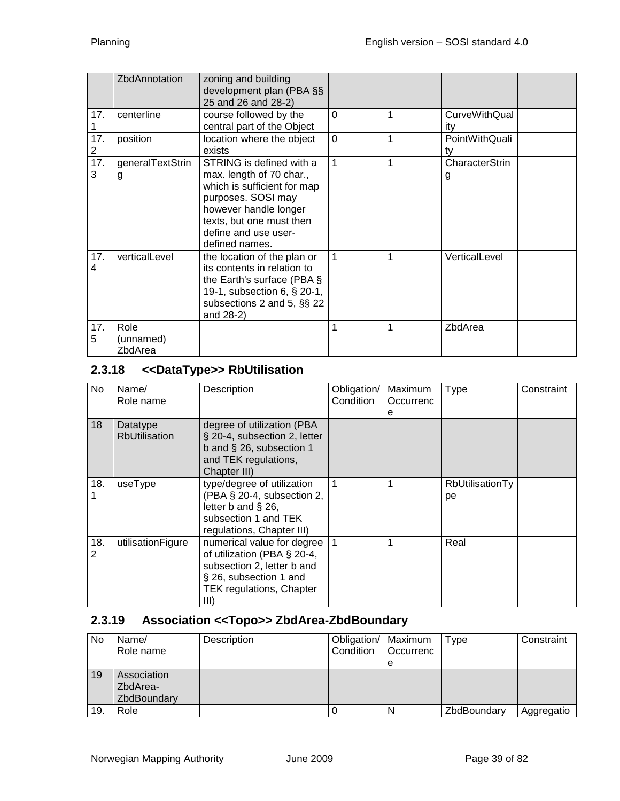|                       | ZbdAnnotation                | zoning and building<br>development plan (PBA §§<br>25 and 26 and 28-2)                                                                                                                                   |              |   |                             |  |
|-----------------------|------------------------------|----------------------------------------------------------------------------------------------------------------------------------------------------------------------------------------------------------|--------------|---|-----------------------------|--|
| 17.                   | centerline                   | course followed by the<br>central part of the Object                                                                                                                                                     | $\mathbf 0$  | 1 | <b>CurveWithQual</b><br>ity |  |
| 17.<br>$\overline{2}$ | position                     | location where the object<br>exists                                                                                                                                                                      | $\mathbf 0$  | 1 | PointWithQuali<br>tv        |  |
| 17.<br>3              | generalTextStrin<br>g        | STRING is defined with a<br>max. length of 70 char.,<br>which is sufficient for map<br>purposes. SOSI may<br>however handle longer<br>texts, but one must then<br>define and use user-<br>defined names. | $\mathbf{1}$ | 1 | CharacterStrin<br>g         |  |
| 17.<br>4              | verticalLevel                | the location of the plan or<br>its contents in relation to<br>the Earth's surface (PBA $\S$<br>19-1, subsection 6, § 20-1,<br>subsections 2 and 5, §§ 22<br>and 28-2)                                    | $\mathbf 1$  | 1 | VerticalLevel               |  |
| 17.<br>5              | Role<br>(unnamed)<br>ZbdArea |                                                                                                                                                                                                          | 1            | 1 | ZbdArea                     |  |

# **2.3.18 <<DataType>> RbUtilisation**

| No.      | Name/<br>Role name               | Description                                                                                                                                                      | Obligation/<br>Condition | Maximum<br>Occurrenc<br>е | <b>Type</b>           | Constraint |
|----------|----------------------------------|------------------------------------------------------------------------------------------------------------------------------------------------------------------|--------------------------|---------------------------|-----------------------|------------|
| 18       | Datatype<br><b>RbUtilisation</b> | degree of utilization (PBA<br>§ 20-4, subsection 2, letter<br>b and $\S$ 26, subsection 1<br>and TEK regulations,<br>Chapter III)                                |                          |                           |                       |            |
| 18.      | useType                          | type/degree of utilization<br>(PBA § 20-4, subsection 2,<br>letter $b$ and $§$ 26,<br>subsection 1 and TEK<br>regulations, Chapter III)                          | $\overline{1}$           | 1                         | RbUtilisationTy<br>pe |            |
| 18.<br>2 | utilisationFigure                | numerical value for degree   1<br>of utilization (PBA § 20-4,<br>subsection 2, letter b and<br>§ 26, subsection 1 and<br><b>TEK regulations, Chapter</b><br>III) |                          | 1                         | Real                  |            |

# **2.3.19 Association <<Topo>> ZbdArea-ZbdBoundary**

| No  | Name/<br>Role name                     | Description | Obligation/   Maximum<br>Condition | l Occurrenc<br>е | Type        | Constraint |
|-----|----------------------------------------|-------------|------------------------------------|------------------|-------------|------------|
| 19  | Association<br>ZbdArea-<br>ZbdBoundary |             |                                    |                  |             |            |
| 19. | Role                                   |             |                                    |                  | ZbdBoundary | Aggregatio |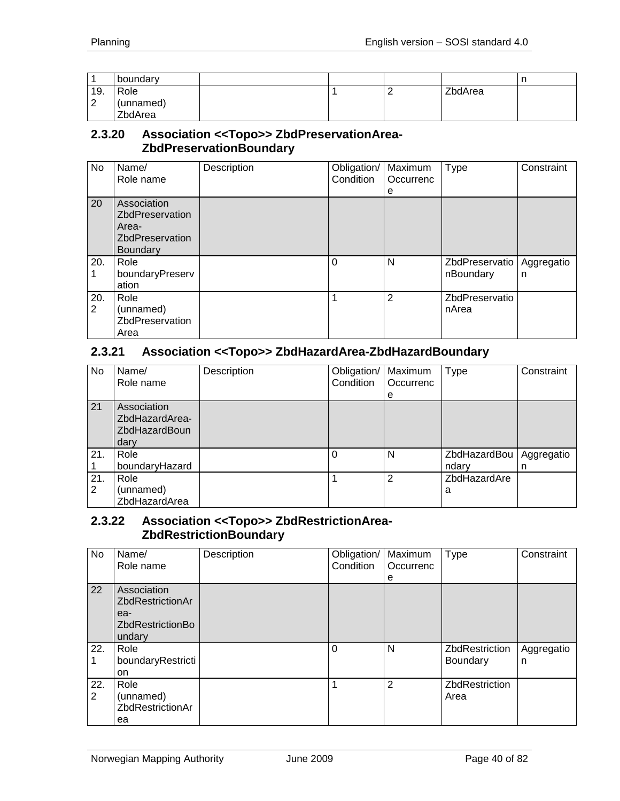|          | boundary          |  |         | . . |
|----------|-------------------|--|---------|-----|
| 19.<br>⌒ | Role<br>(unnamed) |  | ZbdArea |     |
| <u>.</u> | ZbdArea           |  |         |     |

#### **2.3.20 Association <<Topo>> ZbdPreservationArea-ZbdPreservationBoundary**

| No                    | Name/<br>Role name                                                                          | Description | Obligation/<br>Condition | Maximum<br>Occurrenc<br>е | Type                        | Constraint      |
|-----------------------|---------------------------------------------------------------------------------------------|-------------|--------------------------|---------------------------|-----------------------------|-----------------|
| 20                    | Association<br><b>ZbdPreservation</b><br>Area-<br><b>ZbdPreservation</b><br><b>Boundary</b> |             |                          |                           |                             |                 |
| 20.                   | Role<br>boundaryPreserv<br>ation                                                            |             | $\Omega$                 | N                         | ZbdPreservatio<br>nBoundary | Aggregatio<br>n |
| 20.<br>$\overline{2}$ | Role<br>(unnamed)<br>ZbdPreservation<br>Area                                                |             | 1                        | $\overline{2}$            | ZbdPreservatio<br>nArea     |                 |

## **2.3.21 Association <<Topo>> ZbdHazardArea-ZbdHazardBoundary**

| No.                   | Name/<br>Role name                                            | Description | Obligation/<br>Condition | Maximum<br>Occurrenc<br>e | <b>Type</b>           | Constraint      |
|-----------------------|---------------------------------------------------------------|-------------|--------------------------|---------------------------|-----------------------|-----------------|
| 21                    | Association<br>ZbdHazardArea-<br><b>ZbdHazardBoun</b><br>dary |             |                          |                           |                       |                 |
| 21.                   | Role<br>boundaryHazard                                        |             | $\Omega$                 | N                         | ZbdHazardBou<br>ndary | Aggregatio<br>n |
| 21.<br>$\overline{2}$ | Role<br>(unnamed)<br>ZbdHazardArea                            |             |                          | $\overline{2}$            | ZbdHazardAre<br>a     |                 |

#### **2.3.22 Association <<Topo>> ZbdRestrictionArea-ZbdRestrictionBoundary**

| No       | Name/<br>Role name                                                                 | Description | Obligation/<br>Condition | Maximum<br>Occurrenc<br>е | <b>Type</b>                              | Constraint      |
|----------|------------------------------------------------------------------------------------|-------------|--------------------------|---------------------------|------------------------------------------|-----------------|
| 22       | Association<br><b>ZbdRestrictionAr</b><br>ea-<br><b>ZbdRestrictionBo</b><br>undary |             |                          |                           |                                          |                 |
| 22.      | Role<br>boundaryRestricti<br>on                                                    |             | 0                        | N                         | <b>ZbdRestriction</b><br><b>Boundary</b> | Aggregatio<br>n |
| 22.<br>2 | Role<br>(unnamed)<br><b>ZbdRestrictionAr</b><br>ea                                 |             |                          | 2                         | <b>ZbdRestriction</b><br>Area            |                 |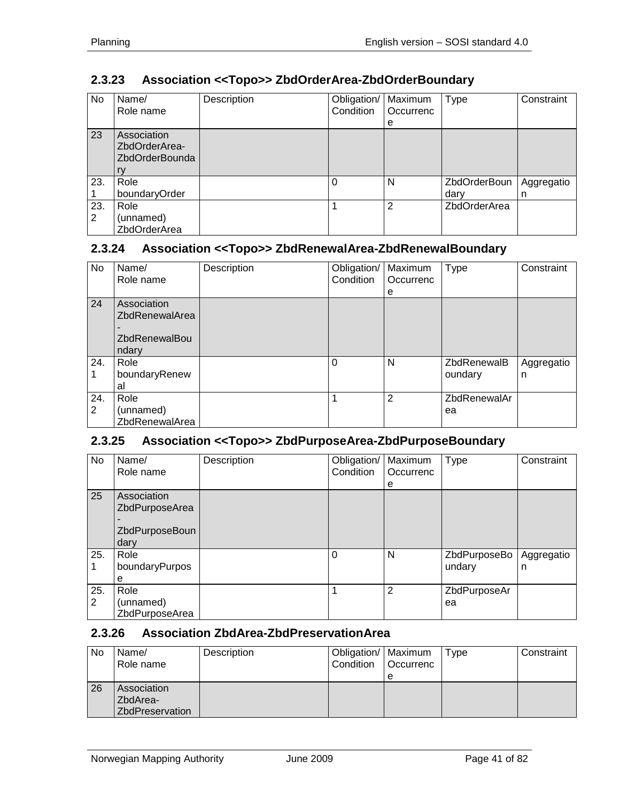# **2.3.23 Association <<Topo>> ZbdOrderArea-ZbdOrderBoundary**

| No  | Name/<br>Role name                                          | Description | Obligation/<br>Condition | Maximum<br>Occurrenc | <b>Type</b>         | Constraint |
|-----|-------------------------------------------------------------|-------------|--------------------------|----------------------|---------------------|------------|
|     |                                                             |             |                          | e                    |                     |            |
| 23  | Association<br>ZbdOrderArea-<br><b>ZbdOrderBounda</b><br>rv |             |                          |                      |                     |            |
| 23. | Role                                                        |             | $\Omega$                 | N                    | ZbdOrderBoun        | Aggregatio |
|     | boundaryOrder                                               |             |                          |                      | dary                | n          |
| 23. | Role                                                        |             |                          | 2                    | <b>ZbdOrderArea</b> |            |
| 2   | (unnamed)                                                   |             |                          |                      |                     |            |
|     | ZbdOrderArea                                                |             |                          |                      |                     |            |

#### **2.3.24 Association <<Topo>> ZbdRenewalArea-ZbdRenewalBoundary**

| No                    | Name/<br>Role name                                                    | Description | Obligation/<br>Condition | Maximum<br>Occurrenc<br>е | <b>Type</b>            | Constraint      |
|-----------------------|-----------------------------------------------------------------------|-------------|--------------------------|---------------------------|------------------------|-----------------|
| 24                    | Association<br><b>ZbdRenewalArea</b><br><b>ZbdRenewalBou</b><br>ndary |             |                          |                           |                        |                 |
| 24.                   | Role<br>boundaryRenew<br>al                                           |             | $\Omega$                 | N                         | ZbdRenewalB<br>oundary | Aggregatio<br>n |
| 24.<br>$\overline{2}$ | Role<br>(unnamed)<br>ZbdRenewalArea                                   |             |                          | $\overline{2}$            | ZbdRenewalAr<br>ea     |                 |

## **2.3.25 Association <<Topo>> ZbdPurposeArea-ZbdPurposeBoundary**

| No       | Name/<br>Role name                                      | Description | Obligation/<br>Condition | Maximum<br>Occurrenc<br>e | <b>Type</b>            | Constraint      |
|----------|---------------------------------------------------------|-------------|--------------------------|---------------------------|------------------------|-----------------|
| 25       | Association<br>ZbdPurposeArea<br>ZbdPurposeBoun<br>dary |             |                          |                           |                        |                 |
| 25.      | Role<br>boundaryPurpos<br>е                             |             | $\Omega$                 | N                         | ZbdPurposeBo<br>undary | Aggregatio<br>n |
| 25.<br>2 | Role<br>(unnamed)<br>ZbdPurposeArea                     |             |                          | 2                         | ZbdPurposeAr<br>ea     |                 |

# **2.3.26 Association ZbdArea-ZbdPreservationArea**

| No | Name/<br>Role name                                | Description | Obligation/   Maximum<br>Condition | <b>Occurrenc</b> | Type | Constraint |
|----|---------------------------------------------------|-------------|------------------------------------|------------------|------|------------|
|    |                                                   |             |                                    | е                |      |            |
| 26 | Association<br>ZbdArea-<br><b>ZbdPreservation</b> |             |                                    |                  |      |            |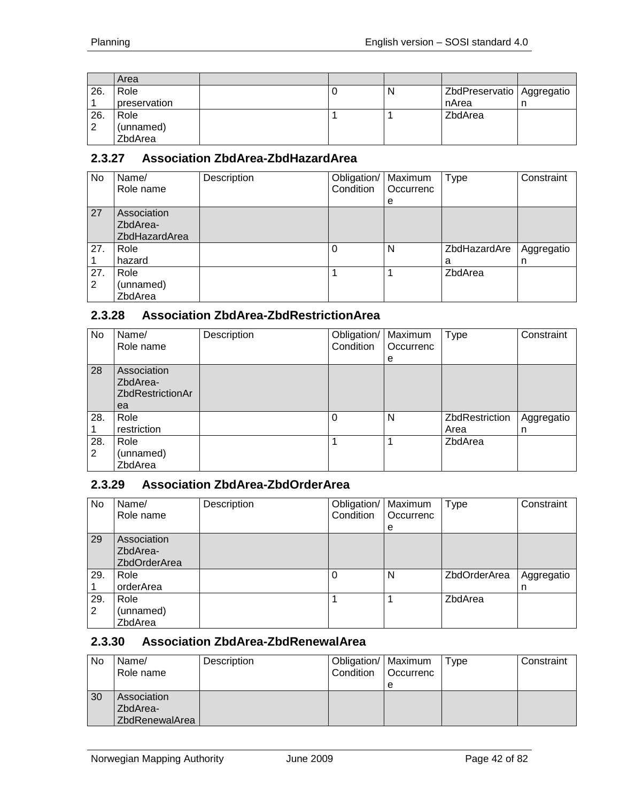|     | Area         |  |   |                             |  |
|-----|--------------|--|---|-----------------------------|--|
| 26. | Role         |  | N | ZbdPreservatio   Aggregatio |  |
|     | preservation |  |   | nArea                       |  |
| 26. | Role         |  |   | ZbdArea                     |  |
| 2   | (unnamed)    |  |   |                             |  |
|     | ZbdArea      |  |   |                             |  |

## **2.3.27 Association ZbdArea-ZbdHazardArea**

| No  | Name/<br>Role name | Description | Obligation/   Maximum<br>Condition | Occurrenc | Type         | Constraint |
|-----|--------------------|-------------|------------------------------------|-----------|--------------|------------|
|     |                    |             |                                    | e         |              |            |
| 27  | Association        |             |                                    |           |              |            |
|     | ZbdArea-           |             |                                    |           |              |            |
|     | ZbdHazardArea      |             |                                    |           |              |            |
| 27. | Role               |             | 0                                  | N         | ZbdHazardAre | Aggregatio |
|     | hazard             |             |                                    |           | a            | n          |
| 27. | Role               |             |                                    |           | ZbdArea      |            |
| 2   | (unnamed)          |             |                                    |           |              |            |
|     | ZbdArea            |             |                                    |           |              |            |

#### **2.3.28 Association ZbdArea-ZbdRestrictionArea**

| No       | Name/<br>Role name                                       | Description | Obligation/<br>Condition | Maximum<br>Occurrenc<br>е | <b>Type</b>            | Constraint      |
|----------|----------------------------------------------------------|-------------|--------------------------|---------------------------|------------------------|-----------------|
| 28       | Association<br>ZbdArea-<br><b>ZbdRestrictionAr</b><br>ea |             |                          |                           |                        |                 |
| 28.      | Role<br>restriction                                      |             | 0                        | N                         | ZbdRestriction<br>Area | Aggregatio<br>n |
| 28.<br>2 | Role<br>(unnamed)<br>ZbdArea                             |             |                          |                           | ZbdArea                |                 |

#### **2.3.29 Association ZbdArea-ZbdOrderArea**

| No.      | Name/<br>Role name                      | Description | Obligation/<br>Condition | Maximum<br>Occurrenc<br>е | <b>Type</b>  | Constraint      |
|----------|-----------------------------------------|-------------|--------------------------|---------------------------|--------------|-----------------|
| 29       | Association<br>ZbdArea-<br>ZbdOrderArea |             |                          |                           |              |                 |
| 29.      | Role<br>orderArea                       |             | 0                        | N                         | ZbdOrderArea | Aggregatio<br>n |
| 29.<br>2 | Role<br>(unnamed)<br>ZbdArea            |             |                          |                           | ZbdArea      |                 |

#### **2.3.30 Association ZbdArea-ZbdRenewalArea**

| No | Name/<br>Role name                        | Description | Obligation/   Maximum<br>Condition | <b>Occurrenc</b><br>e | Type | Constraint |
|----|-------------------------------------------|-------------|------------------------------------|-----------------------|------|------------|
| 30 | Association<br>ZbdArea-<br>ZbdRenewalArea |             |                                    |                       |      |            |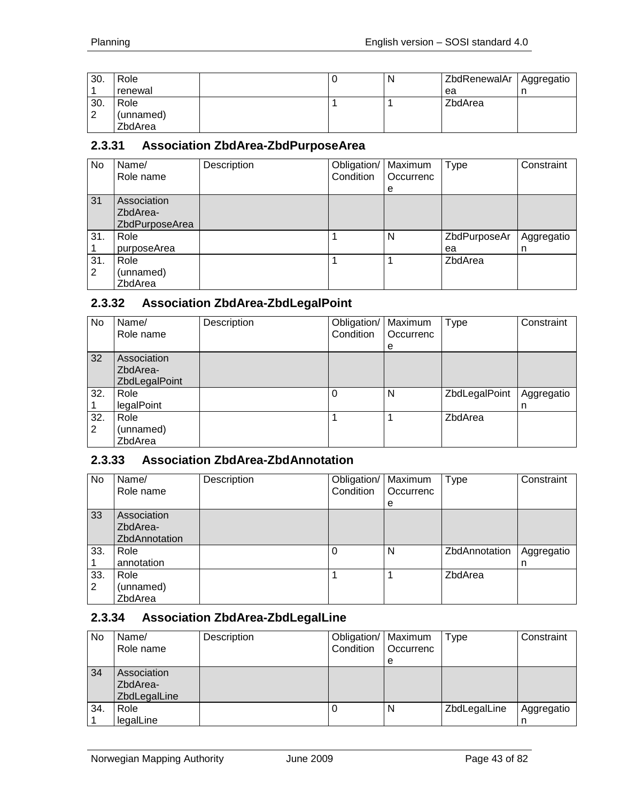| 30. | Role      |  | N | ZbdRenewalAr | Aggregatio |
|-----|-----------|--|---|--------------|------------|
|     | renewal   |  |   | ea           |            |
| 30. | Role      |  |   | ZbdArea      |            |
| ◠   | (unnamed) |  |   |              |            |
|     | ZbdArea   |  |   |              |            |

#### **2.3.31 Association ZbdArea-ZbdPurposeArea**

| No.      | Name/<br>Role name                        | Description | Obligation/<br>Condition | Maximum<br>Occurrenc<br>e | <b>Type</b>        | Constraint      |
|----------|-------------------------------------------|-------------|--------------------------|---------------------------|--------------------|-----------------|
| 31       | Association<br>ZbdArea-<br>ZbdPurposeArea |             |                          |                           |                    |                 |
| 31.      | Role<br>purposeArea                       |             |                          | N                         | ZbdPurposeAr<br>ea | Aggregatio<br>n |
| 31.<br>2 | Role<br>(unnamed)<br>ZbdArea              |             |                          |                           | ZbdArea            |                 |

#### **2.3.32 Association ZbdArea-ZbdLegalPoint**

| No       | Name/<br>Role name                       | Description | Obligation/<br>Condition | Maximum<br>l Occurrenc<br>e | <b>Type</b>   | Constraint      |
|----------|------------------------------------------|-------------|--------------------------|-----------------------------|---------------|-----------------|
| 32       | Association<br>ZbdArea-<br>ZbdLegalPoint |             |                          |                             |               |                 |
| 32.      | Role<br>legalPoint                       |             | $\Omega$                 | N                           | ZbdLegalPoint | Aggregatio<br>n |
| 32.<br>2 | Role<br>(unnamed)<br>ZbdArea             |             |                          |                             | ZbdArea       |                 |

## **2.3.33 Association ZbdArea-ZbdAnnotation**

| No       | Name/<br>Role name                       | Description | Obligation/   Maximum<br>Condition | Occurrenc<br>е | <b>Type</b>   | Constraint      |
|----------|------------------------------------------|-------------|------------------------------------|----------------|---------------|-----------------|
| 33       | Association<br>ZbdArea-<br>ZbdAnnotation |             |                                    |                |               |                 |
| 33.      | Role<br>annotation                       |             |                                    | N              | ZbdAnnotation | Aggregatio<br>n |
| 33.<br>2 | Role<br>(unnamed)<br>ZbdArea             |             |                                    |                | ZbdArea       |                 |

#### **2.3.34 Association ZbdArea-ZbdLegalLine**

| No  | Name/<br>Role name                      | Description | Obligation/   Maximum<br>Condition | Occurrenc | Type         | Constraint      |
|-----|-----------------------------------------|-------------|------------------------------------|-----------|--------------|-----------------|
|     |                                         |             |                                    | е         |              |                 |
| 34  | Association<br>ZbdArea-<br>ZbdLegalLine |             |                                    |           |              |                 |
| 34. | Role<br>legalLine                       |             |                                    | N         | ZbdLegalLine | Aggregatio<br>n |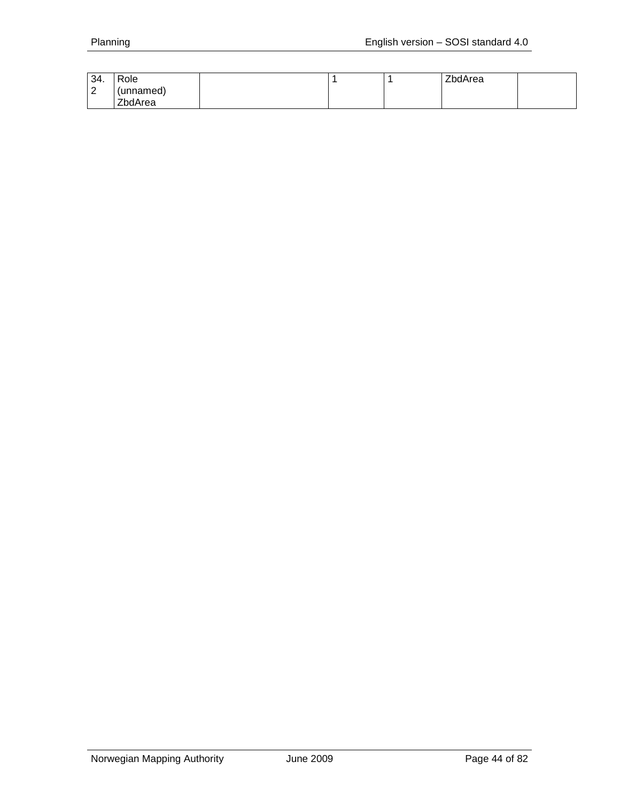| 34.         | Role      |  | ZbdArea |  |
|-------------|-----------|--|---------|--|
| $\sim$<br>▗ | (unnamed) |  |         |  |
|             | ZbdArea   |  |         |  |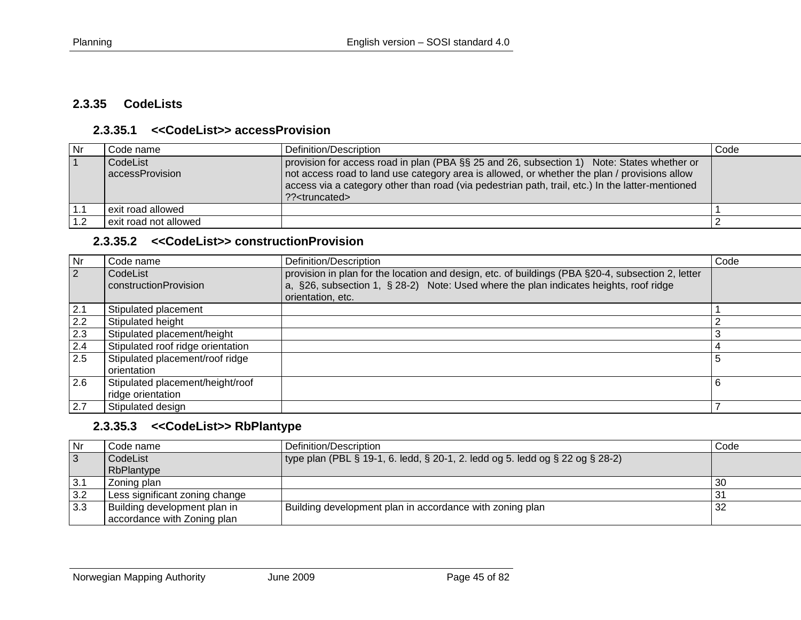#### **2.3.35 CodeLists**

#### **2.3.35.1 <<CodeList>> accessProvision**

| <b>Nr</b> | Code name                   | Definition/Description                                                                                                                                                                                                                                                                                                       | Code |
|-----------|-----------------------------|------------------------------------------------------------------------------------------------------------------------------------------------------------------------------------------------------------------------------------------------------------------------------------------------------------------------------|------|
|           | CodeList<br>accessProvision | provision for access road in plan (PBA §§ 25 and 26, subsection 1) Note: States whether or<br>not access road to land use category area is allowed, or whether the plan / provisions allow<br>access via a category other than road (via pedestrian path, trail, etc.) In the latter-mentioned<br>?? <truncated></truncated> |      |
|           | l exit road allowed         |                                                                                                                                                                                                                                                                                                                              |      |
| 1.2       | exit road not allowed       |                                                                                                                                                                                                                                                                                                                              |      |

#### **2.3.35.2 <<CodeList>> constructionProvision**

| <b>Nr</b>      | Code name                                             | Definition/Description                                                                                                                                                                                          | Code |
|----------------|-------------------------------------------------------|-----------------------------------------------------------------------------------------------------------------------------------------------------------------------------------------------------------------|------|
| $\overline{2}$ | CodeList<br>constructionProvision                     | provision in plan for the location and design, etc. of buildings (PBA §20-4, subsection 2, letter<br>a, §26, subsection 1, § 28-2) Note: Used where the plan indicates heights, roof ridge<br>orientation, etc. |      |
| 2.1            | Stipulated placement                                  |                                                                                                                                                                                                                 |      |
| 2.2            | Stipulated height                                     |                                                                                                                                                                                                                 |      |
| 2.3            | Stipulated placement/height                           |                                                                                                                                                                                                                 |      |
| 2.4            | Stipulated roof ridge orientation                     |                                                                                                                                                                                                                 |      |
| 2.5            | Stipulated placement/roof ridge<br>orientation        |                                                                                                                                                                                                                 | 5    |
| 2.6            | Stipulated placement/height/roof<br>ridge orientation |                                                                                                                                                                                                                 |      |
| 2.7            | Stipulated design                                     |                                                                                                                                                                                                                 |      |

#### **2.3.35.3 <<CodeList>> RbPlantype**

| Nr             | Code name                      | Definition/Description                                                                    | Code        |
|----------------|--------------------------------|-------------------------------------------------------------------------------------------|-------------|
| $\overline{3}$ | CodeList                       | type plan (PBL $\S$ 19-1, 6. ledd, $\S$ 20-1, 2. ledd og 5. ledd og $\S$ 22 og $\S$ 28-2) |             |
|                | RbPlantype                     |                                                                                           |             |
| 3.1            | Zoning plan                    |                                                                                           | 30          |
| 3.2            | Less significant zoning change |                                                                                           | $3^{\circ}$ |
| 3.3            | Building development plan in   | Building development plan in accordance with zoning plan                                  | 32          |
|                | accordance with Zoning plan    |                                                                                           |             |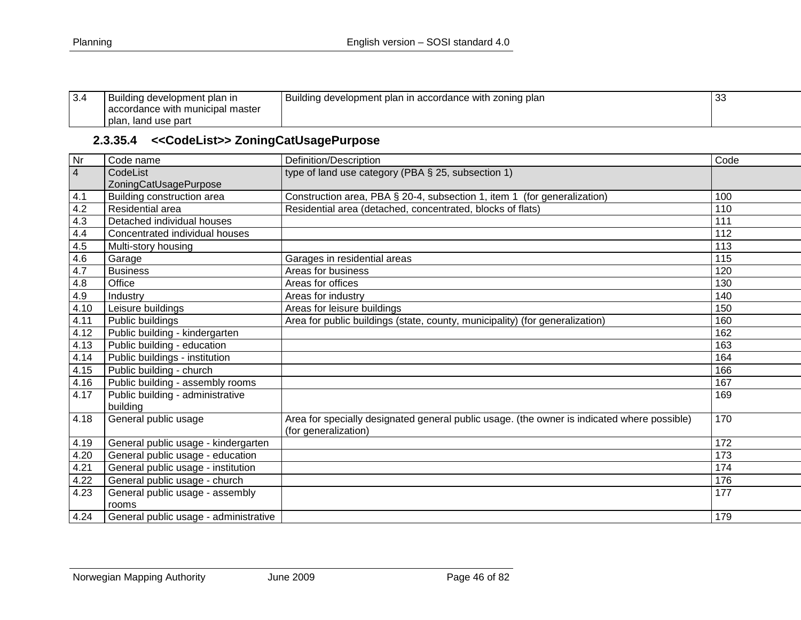| 3.4 | Building development plan in     | Building development plan in accordance with zoning plan | 33 |
|-----|----------------------------------|----------------------------------------------------------|----|
|     | accordance with municipal master |                                                          |    |
|     | plan, land use part              |                                                          |    |

# **2.3.35.4 <<CodeList>> ZoningCatUsagePurpose**

| Nr             | Code name                             | Definition/Description                                                                                              | Code |
|----------------|---------------------------------------|---------------------------------------------------------------------------------------------------------------------|------|
| $\overline{4}$ | CodeList                              | type of land use category (PBA § 25, subsection 1)                                                                  |      |
|                | ZoningCatUsagePurpose                 |                                                                                                                     |      |
| 4.1            | Building construction area            | Construction area, PBA § 20-4, subsection 1, item 1 (for generalization)                                            | 100  |
| 4.2            | Residential area                      | Residential area (detached, concentrated, blocks of flats)                                                          | 110  |
| 4.3            | Detached individual houses            |                                                                                                                     | 111  |
| 4.4            | Concentrated individual houses        |                                                                                                                     | 112  |
| 4.5            | Multi-story housing                   |                                                                                                                     | 113  |
| 4.6            | Garage                                | Garages in residential areas                                                                                        | 115  |
| 4.7            | <b>Business</b>                       | Areas for business                                                                                                  | 120  |
| 4.8            | Office                                | Areas for offices                                                                                                   | 130  |
| 4.9            | Industry                              | Areas for industry                                                                                                  | 140  |
| 4.10           | Leisure buildings                     | Areas for leisure buildings                                                                                         | 150  |
| 4.11           | Public buildings                      | Area for public buildings (state, county, municipality) (for generalization)                                        | 160  |
| 4.12           | Public building - kindergarten        |                                                                                                                     | 162  |
| 4.13           | Public building - education           |                                                                                                                     | 163  |
| 4.14           | Public buildings - institution        |                                                                                                                     | 164  |
| 4.15           | Public building - church              |                                                                                                                     | 166  |
| 4.16           | Public building - assembly rooms      |                                                                                                                     | 167  |
| 4.17           | Public building - administrative      |                                                                                                                     | 169  |
|                | building                              |                                                                                                                     |      |
| 4.18           | General public usage                  | Area for specially designated general public usage. (the owner is indicated where possible)<br>(for generalization) | 170  |
| 4.19           | General public usage - kindergarten   |                                                                                                                     | 172  |
| 4.20           | General public usage - education      |                                                                                                                     | 173  |
| 4.21           | General public usage - institution    |                                                                                                                     | 174  |
| 4.22           | General public usage - church         |                                                                                                                     | 176  |
| 4.23           | General public usage - assembly       |                                                                                                                     | 177  |
|                | rooms                                 |                                                                                                                     |      |
| 4.24           | General public usage - administrative |                                                                                                                     | 179  |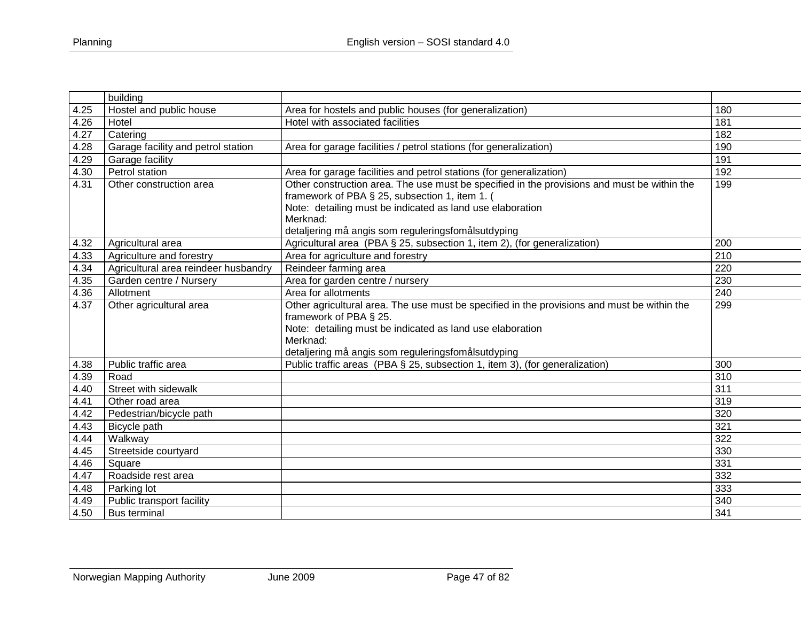| building                           |                                                                                                                                                                                                                                                      |                                                                                                                                                                                                                                                                                                           |
|------------------------------------|------------------------------------------------------------------------------------------------------------------------------------------------------------------------------------------------------------------------------------------------------|-----------------------------------------------------------------------------------------------------------------------------------------------------------------------------------------------------------------------------------------------------------------------------------------------------------|
| Hostel and public house            | Area for hostels and public houses (for generalization)                                                                                                                                                                                              | 180                                                                                                                                                                                                                                                                                                       |
| Hotel                              |                                                                                                                                                                                                                                                      | 181                                                                                                                                                                                                                                                                                                       |
| Catering                           |                                                                                                                                                                                                                                                      | 182                                                                                                                                                                                                                                                                                                       |
| Garage facility and petrol station | Area for garage facilities / petrol stations (for generalization)                                                                                                                                                                                    | 190                                                                                                                                                                                                                                                                                                       |
| Garage facility                    |                                                                                                                                                                                                                                                      | 191                                                                                                                                                                                                                                                                                                       |
| Petrol station                     | Area for garage facilities and petrol stations (for generalization)                                                                                                                                                                                  | 192                                                                                                                                                                                                                                                                                                       |
| Other construction area            | Other construction area. The use must be specified in the provisions and must be within the<br>framework of PBA § 25, subsection 1, item 1. (                                                                                                        | 199                                                                                                                                                                                                                                                                                                       |
|                                    |                                                                                                                                                                                                                                                      |                                                                                                                                                                                                                                                                                                           |
|                                    |                                                                                                                                                                                                                                                      |                                                                                                                                                                                                                                                                                                           |
| Agricultural area                  |                                                                                                                                                                                                                                                      | 200                                                                                                                                                                                                                                                                                                       |
|                                    |                                                                                                                                                                                                                                                      | 210                                                                                                                                                                                                                                                                                                       |
|                                    |                                                                                                                                                                                                                                                      | 220                                                                                                                                                                                                                                                                                                       |
| Garden centre / Nursery            | Area for garden centre / nursery                                                                                                                                                                                                                     | 230                                                                                                                                                                                                                                                                                                       |
| Allotment                          | Area for allotments                                                                                                                                                                                                                                  | 240                                                                                                                                                                                                                                                                                                       |
| Other agricultural area            | Other agricultural area. The use must be specified in the provisions and must be within the<br>framework of PBA § 25.<br>Note: detailing must be indicated as land use elaboration<br>Merknad:<br>detaljering må angis som reguleringsfomålsutdyping | 299                                                                                                                                                                                                                                                                                                       |
| Public traffic area                | Public traffic areas (PBA § 25, subsection 1, item 3), (for generalization)                                                                                                                                                                          | 300                                                                                                                                                                                                                                                                                                       |
| Road                               |                                                                                                                                                                                                                                                      | 310                                                                                                                                                                                                                                                                                                       |
| Street with sidewalk               |                                                                                                                                                                                                                                                      | 311                                                                                                                                                                                                                                                                                                       |
| Other road area                    |                                                                                                                                                                                                                                                      | 319                                                                                                                                                                                                                                                                                                       |
| Pedestrian/bicycle path            |                                                                                                                                                                                                                                                      | 320                                                                                                                                                                                                                                                                                                       |
| Bicycle path                       |                                                                                                                                                                                                                                                      | 321                                                                                                                                                                                                                                                                                                       |
|                                    |                                                                                                                                                                                                                                                      | 322                                                                                                                                                                                                                                                                                                       |
|                                    |                                                                                                                                                                                                                                                      | 330                                                                                                                                                                                                                                                                                                       |
| Square                             |                                                                                                                                                                                                                                                      | 331                                                                                                                                                                                                                                                                                                       |
|                                    |                                                                                                                                                                                                                                                      | 332                                                                                                                                                                                                                                                                                                       |
| Parking lot                        |                                                                                                                                                                                                                                                      | 333                                                                                                                                                                                                                                                                                                       |
| Public transport facility          |                                                                                                                                                                                                                                                      | 340                                                                                                                                                                                                                                                                                                       |
|                                    |                                                                                                                                                                                                                                                      | 341                                                                                                                                                                                                                                                                                                       |
|                                    | Agriculture and forestry<br>Agricultural area reindeer husbandry<br>Walkway<br>Streetside courtyard<br>Roadside rest area<br><b>Bus terminal</b>                                                                                                     | Hotel with associated facilities<br>Note: detailing must be indicated as land use elaboration<br>Merknad:<br>detaljering må angis som reguleringsfomålsutdyping<br>Agricultural area (PBA § 25, subsection 1, item 2), (for generalization)<br>Area for agriculture and forestry<br>Reindeer farming area |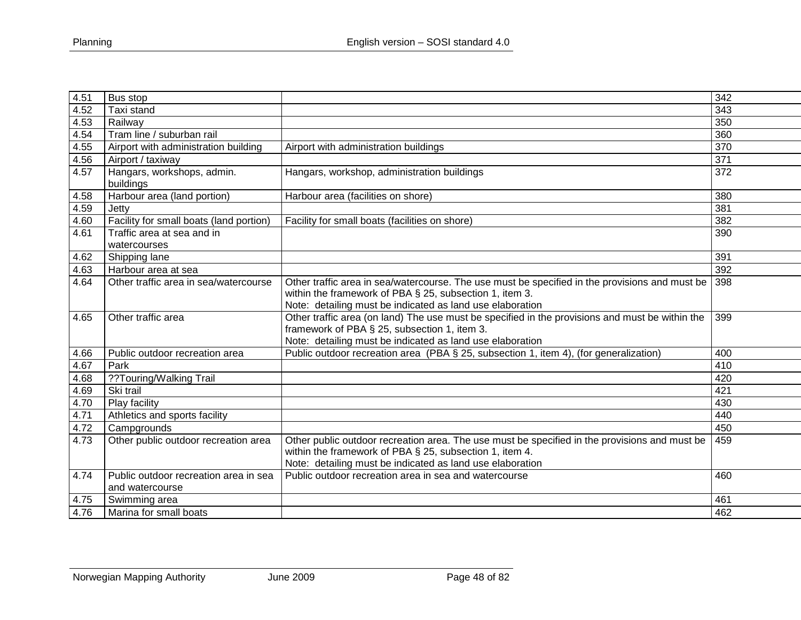| 4.51 | Bus stop                                                 |                                                                                                                                                                                                                        | 342 |
|------|----------------------------------------------------------|------------------------------------------------------------------------------------------------------------------------------------------------------------------------------------------------------------------------|-----|
| 4.52 | Taxi stand                                               |                                                                                                                                                                                                                        | 343 |
| 4.53 | Railway                                                  |                                                                                                                                                                                                                        | 350 |
| 4.54 | Tram line / suburban rail                                |                                                                                                                                                                                                                        | 360 |
| 4.55 | Airport with administration building                     | Airport with administration buildings                                                                                                                                                                                  | 370 |
| 4.56 | Airport / taxiway                                        |                                                                                                                                                                                                                        | 371 |
| 4.57 | Hangars, workshops, admin.<br>buildings                  | Hangars, workshop, administration buildings                                                                                                                                                                            | 372 |
| 4.58 | Harbour area (land portion)                              | Harbour area (facilities on shore)                                                                                                                                                                                     | 380 |
| 4.59 | Jetty                                                    |                                                                                                                                                                                                                        | 381 |
| 4.60 | Facility for small boats (land portion)                  | Facility for small boats (facilities on shore)                                                                                                                                                                         | 382 |
| 4.61 | Traffic area at sea and in<br>watercourses               |                                                                                                                                                                                                                        | 390 |
| 4.62 | Shipping lane                                            |                                                                                                                                                                                                                        | 391 |
| 4.63 | Harbour area at sea                                      |                                                                                                                                                                                                                        | 392 |
| 4.64 | Other traffic area in sea/watercourse                    | Other traffic area in sea/watercourse. The use must be specified in the provisions and must be<br>within the framework of PBA § 25, subsection 1, item 3.<br>Note: detailing must be indicated as land use elaboration | 398 |
| 4.65 | Other traffic area                                       | Other traffic area (on land) The use must be specified in the provisions and must be within the<br>framework of PBA § 25, subsection 1, item 3.<br>Note: detailing must be indicated as land use elaboration           | 399 |
| 4.66 | Public outdoor recreation area                           | Public outdoor recreation area (PBA § 25, subsection 1, item 4), (for generalization)                                                                                                                                  | 400 |
| 4.67 | Park                                                     |                                                                                                                                                                                                                        | 410 |
| 4.68 | ??Touring/Walking Trail                                  |                                                                                                                                                                                                                        | 420 |
| 4.69 | Ski trail                                                |                                                                                                                                                                                                                        | 421 |
| 4.70 | Play facility                                            |                                                                                                                                                                                                                        | 430 |
| 4.71 | Athletics and sports facility                            |                                                                                                                                                                                                                        | 440 |
| 4.72 | Campgrounds                                              |                                                                                                                                                                                                                        | 450 |
| 4.73 | Other public outdoor recreation area                     | Other public outdoor recreation area. The use must be specified in the provisions and must be<br>within the framework of PBA § 25, subsection 1, item 4.<br>Note: detailing must be indicated as land use elaboration  | 459 |
| 4.74 | Public outdoor recreation area in sea<br>and watercourse | Public outdoor recreation area in sea and watercourse                                                                                                                                                                  | 460 |
| 4.75 | Swimming area                                            |                                                                                                                                                                                                                        | 461 |
| 4.76 | Marina for small boats                                   |                                                                                                                                                                                                                        | 462 |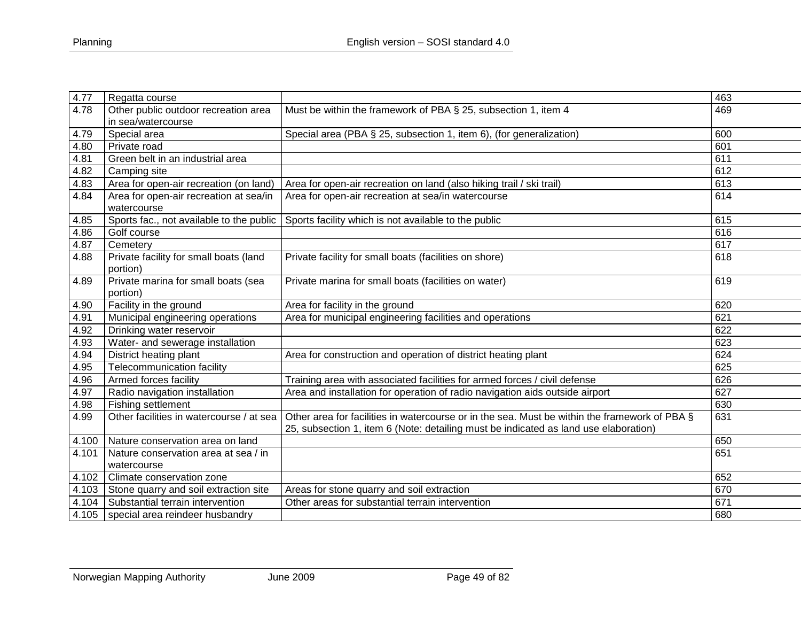| 4.77  | Regatta course                           |                                                                                               | 463 |
|-------|------------------------------------------|-----------------------------------------------------------------------------------------------|-----|
| 4.78  | Other public outdoor recreation area     | Must be within the framework of PBA § 25, subsection 1, item 4                                | 469 |
|       | in sea/watercourse                       |                                                                                               |     |
| 4.79  | Special area                             | Special area (PBA § 25, subsection 1, item 6), (for generalization)                           | 600 |
| 4.80  | Private road                             |                                                                                               | 601 |
| 4.81  | Green belt in an industrial area         |                                                                                               | 611 |
| 4.82  | Camping site                             |                                                                                               | 612 |
| 4.83  | Area for open-air recreation (on land)   | Area for open-air recreation on land (also hiking trail / ski trail)                          | 613 |
| 4.84  | Area for open-air recreation at sea/in   | Area for open-air recreation at sea/in watercourse                                            | 614 |
|       | watercourse                              |                                                                                               |     |
| 4.85  |                                          | Sports fac., not available to the public Sports facility which is not available to the public | 615 |
| 4.86  | Golf course                              |                                                                                               | 616 |
| 4.87  | Cemetery                                 |                                                                                               | 617 |
| 4.88  | Private facility for small boats (land   | Private facility for small boats (facilities on shore)                                        | 618 |
|       | portion)                                 |                                                                                               |     |
| 4.89  | Private marina for small boats (sea      | Private marina for small boats (facilities on water)                                          | 619 |
|       | portion)                                 |                                                                                               |     |
| 4.90  | Facility in the ground                   | Area for facility in the ground                                                               | 620 |
| 4.91  | Municipal engineering operations         | Area for municipal engineering facilities and operations                                      | 621 |
| 4.92  | Drinking water reservoir                 |                                                                                               | 622 |
| 4.93  | Water- and sewerage installation         |                                                                                               | 623 |
| 4.94  | District heating plant                   | Area for construction and operation of district heating plant                                 | 624 |
| 4.95  | Telecommunication facility               |                                                                                               | 625 |
| 4.96  | Armed forces facility                    | Training area with associated facilities for armed forces / civil defense                     | 626 |
| 4.97  | Radio navigation installation            | Area and installation for operation of radio navigation aids outside airport                  | 627 |
| 4.98  | Fishing settlement                       |                                                                                               | 630 |
| 4.99  | Other facilities in watercourse / at sea | Other area for facilities in watercourse or in the sea. Must be within the framework of PBA § | 631 |
|       |                                          | 25, subsection 1, item 6 (Note: detailing must be indicated as land use elaboration)          |     |
| 4.100 | Nature conservation area on land         |                                                                                               | 650 |
| 4.101 | Nature conservation area at sea / in     |                                                                                               | 651 |
|       | watercourse                              |                                                                                               |     |
| 4.102 | Climate conservation zone                |                                                                                               | 652 |
| 4.103 | Stone quarry and soil extraction site    | Areas for stone quarry and soil extraction                                                    | 670 |
| 4.104 | Substantial terrain intervention         | Other areas for substantial terrain intervention                                              | 671 |
| 4.105 | special area reindeer husbandry          |                                                                                               | 680 |
|       |                                          |                                                                                               |     |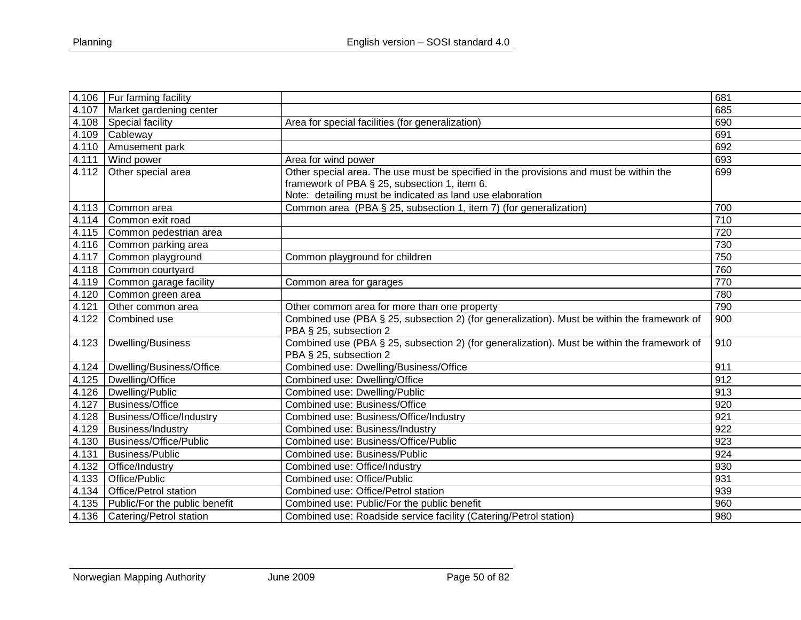| 4.106 | Fur farming facility            |                                                                                             | 681              |
|-------|---------------------------------|---------------------------------------------------------------------------------------------|------------------|
| 4.107 | Market gardening center         |                                                                                             | 685              |
| 4.108 | Special facility                | Area for special facilities (for generalization)                                            | 690              |
| 4.109 | Cableway                        |                                                                                             | 691              |
| 4.110 | Amusement park                  |                                                                                             | 692              |
| 4.111 | Wind power                      | Area for wind power                                                                         | 693              |
| 4.112 | Other special area              | Other special area. The use must be specified in the provisions and must be within the      | 699              |
|       |                                 | framework of PBA § 25, subsection 1, item 6.                                                |                  |
|       |                                 | Note: detailing must be indicated as land use elaboration                                   |                  |
| 4.113 | Common area                     | Common area (PBA § 25, subsection 1, item 7) (for generalization)                           | 700              |
| 4.114 | Common exit road                |                                                                                             | $\overline{710}$ |
| 4.115 | Common pedestrian area          |                                                                                             | 720              |
| 4.116 | Common parking area             |                                                                                             | 730              |
| 4.117 | Common playground               | Common playground for children                                                              | 750              |
| 4.118 | Common courtyard                |                                                                                             | 760              |
| 4.119 | Common garage facility          | Common area for garages                                                                     | 770              |
| 4.120 | Common green area               |                                                                                             | 780              |
| 4.121 | Other common area               | Other common area for more than one property                                                | 790              |
| 4.122 | Combined use                    | Combined use (PBA § 25, subsection 2) (for generalization). Must be within the framework of | 900              |
|       |                                 | PBA § 25, subsection 2                                                                      |                  |
| 4.123 | Dwelling/Business               | Combined use (PBA § 25, subsection 2) (for generalization). Must be within the framework of | 910              |
|       |                                 | PBA § 25, subsection 2                                                                      |                  |
| 4.124 | Dwelling/Business/Office        | Combined use: Dwelling/Business/Office                                                      | 911              |
| 4.125 | Dwelling/Office                 | Combined use: Dwelling/Office                                                               | 912              |
| 4.126 | Dwelling/Public                 | Combined use: Dwelling/Public                                                               | 913              |
| 4.127 | <b>Business/Office</b>          | Combined use: Business/Office                                                               | 920              |
| 4.128 | <b>Business/Office/Industry</b> | Combined use: Business/Office/Industry                                                      | 921              |
| 4.129 | <b>Business/Industry</b>        | Combined use: Business/Industry                                                             | 922              |
| 4.130 | Business/Office/Public          | Combined use: Business/Office/Public                                                        | 923              |
| 4.131 | <b>Business/Public</b>          | Combined use: Business/Public                                                               | 924              |
| 4.132 | Office/Industry                 | Combined use: Office/Industry                                                               | 930              |
| 4.133 | Office/Public                   | Combined use: Office/Public                                                                 | 931              |
| 4.134 | <b>Office/Petrol station</b>    | Combined use: Office/Petrol station                                                         | 939              |
| 4.135 | Public/For the public benefit   | Combined use: Public/For the public benefit                                                 | 960              |
|       | 4.136   Catering/Petrol station | Combined use: Roadside service facility (Catering/Petrol station)                           | 980              |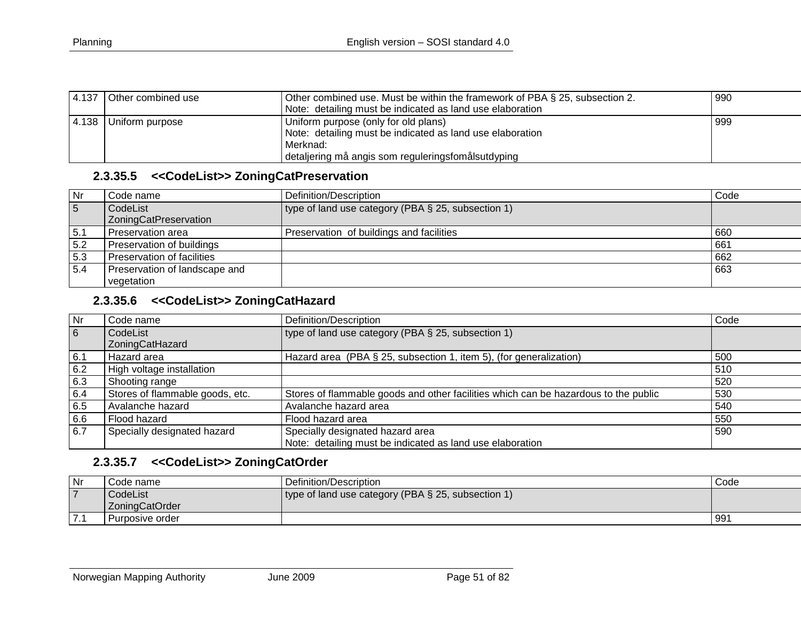| 4.137 | Other combined use | Other combined use. Must be within the framework of PBA § 25, subsection 2. | 990 |
|-------|--------------------|-----------------------------------------------------------------------------|-----|
|       |                    | Note: detailing must be indicated as land use elaboration                   |     |
| 4.138 | Uniform purpose    | Uniform purpose (only for old plans)                                        | 999 |
|       |                    | Note: detailing must be indicated as land use elaboration                   |     |
|       |                    | Merknad:                                                                    |     |
|       |                    | detaljering må angis som reguleringsfomålsutdyping                          |     |

#### **2.3.35.5 <<CodeList>> ZoningCatPreservation**

| Nr              | Code name                                | Definition/Description                             | Code |
|-----------------|------------------------------------------|----------------------------------------------------|------|
| $5\overline{5}$ | CodeList<br><b>ZoningCatPreservation</b> | type of land use category (PBA § 25, subsection 1) |      |
| 5.1             | Preservation area                        | Preservation of buildings and facilities           | 660  |
| 5.2             | Preservation of buildings                |                                                    | 661  |
| 5.3             | Preservation of facilities               |                                                    | 662  |
| 5.4             | Preservation of landscape and            |                                                    | 663  |
|                 | vegetation                               |                                                    |      |

### **2.3.35.6 <<CodeList>> ZoningCatHazard**

| Nr  | Code name                       | Definition/Description                                                              | Code |
|-----|---------------------------------|-------------------------------------------------------------------------------------|------|
| 6   | CodeList                        | type of land use category (PBA $\S$ 25, subsection 1)                               |      |
|     | ZoningCatHazard                 |                                                                                     |      |
| 6.1 | Hazard area                     | Hazard area (PBA § 25, subsection 1, item 5), (for generalization)                  | 500  |
| 6.2 | High voltage installation       |                                                                                     | 510  |
| 6.3 | Shooting range                  |                                                                                     | 520  |
| 6.4 | Stores of flammable goods, etc. | Stores of flammable goods and other facilities which can be hazardous to the public | 530  |
| 6.5 | Avalanche hazard                | Avalanche hazard area                                                               | 540  |
| 6.6 | Flood hazard                    | Flood hazard area                                                                   | 550  |
| 6.7 | Specially designated hazard     | Specially designated hazard area                                                    | 590  |
|     |                                 | Note: detailing must be indicated as land use elaboration                           |      |

#### **2.3.35.7 <<CodeList>> ZoningCatOrder**

| $\overline{\mathsf{N}}$ r | Code name       | Definition/Description                             | Code |
|---------------------------|-----------------|----------------------------------------------------|------|
|                           | CodeList        | type of land use category (PBA § 25, subsection 1) |      |
|                           | LZoningCatOrder |                                                    |      |
| .                         | Purposive order |                                                    | 991  |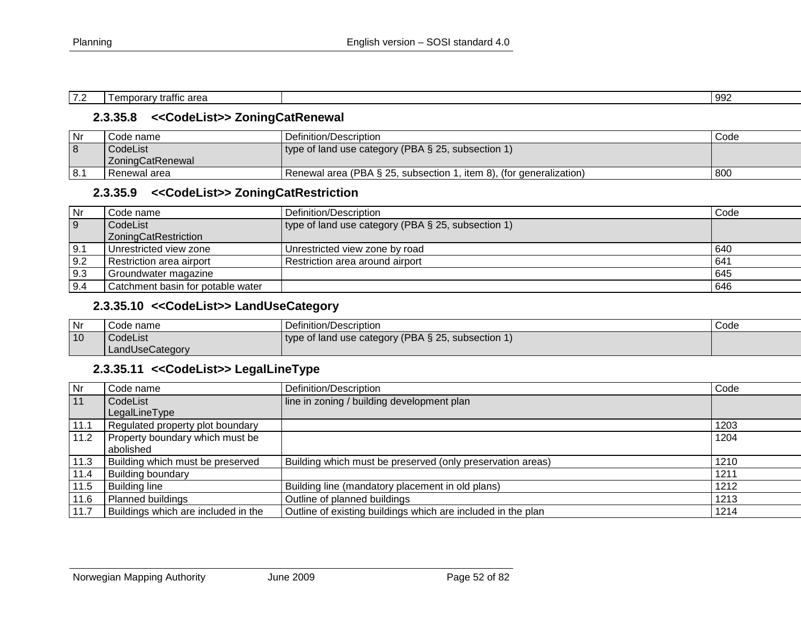| $\sim$<br>.<br>area<br>$\sim$<br>---<br>аттк<br>-<br>. | 992 |
|--------------------------------------------------------|-----|

## **2.3.35.8 <<CodeList>> ZoningCatRenewal**

| Nr    | Code name        | l Definition/Description_                                           | Code |
|-------|------------------|---------------------------------------------------------------------|------|
|       | CodeList         | type of land use category (PBA § 25, subsection 1)                  |      |
|       | ZoningCatRenewal |                                                                     |      |
| l 8.1 | Renewal area     | Renewal area (PBA § 25, subsection 1, item 8), (for generalization) | 800  |

## **2.3.35.9 <<CodeList>> ZoningCatRestriction**

| Nr             | Code name                         | Definition/Description                             | Code |
|----------------|-----------------------------------|----------------------------------------------------|------|
| $\overline{9}$ | CodeList                          | type of land use category (PBA § 25, subsection 1) |      |
|                | ZoningCatRestriction              |                                                    |      |
| 9.1            | Unrestricted view zone            | Unrestricted view zone by road                     | 640  |
| 9.2            | Restriction area airport          | Restriction area around airport                    | 641  |
| 9.3            | Groundwater magazine              |                                                    | 645  |
| 9.4            | Catchment basin for potable water |                                                    | 646  |

## **2.3.35.10 <<CodeList>> LandUseCategory**

| Nr | Code name       | Definition/Description                             | Code |
|----|-----------------|----------------------------------------------------|------|
| 10 | CodeList        | type of land use category (PBA § 25, subsection 1) |      |
|    | LandUseCategory |                                                    |      |

#### **2.3.35.11 <<CodeList>> LegalLineType**

| $\overline{\mathsf{Nr}}$ | Code name                           | Definition/Description                                       | Code |
|--------------------------|-------------------------------------|--------------------------------------------------------------|------|
| 11                       | CodeList                            | line in zoning / building development plan                   |      |
|                          | LegalLineType                       |                                                              |      |
| 11.1                     | Regulated property plot boundary    |                                                              | 1203 |
| 11.2                     | Property boundary which must be     |                                                              | 1204 |
|                          | abolished                           |                                                              |      |
| 11.3                     | Building which must be preserved    | Building which must be preserved (only preservation areas)   | 1210 |
| 11.4                     | <b>Building boundary</b>            |                                                              | 1211 |
| 11.5                     | <b>Building line</b>                | Building line (mandatory placement in old plans)             | 1212 |
| 11.6                     | Planned buildings                   | Outline of planned buildings                                 | 1213 |
| 11.7                     | Buildings which are included in the | Outline of existing buildings which are included in the plan | 1214 |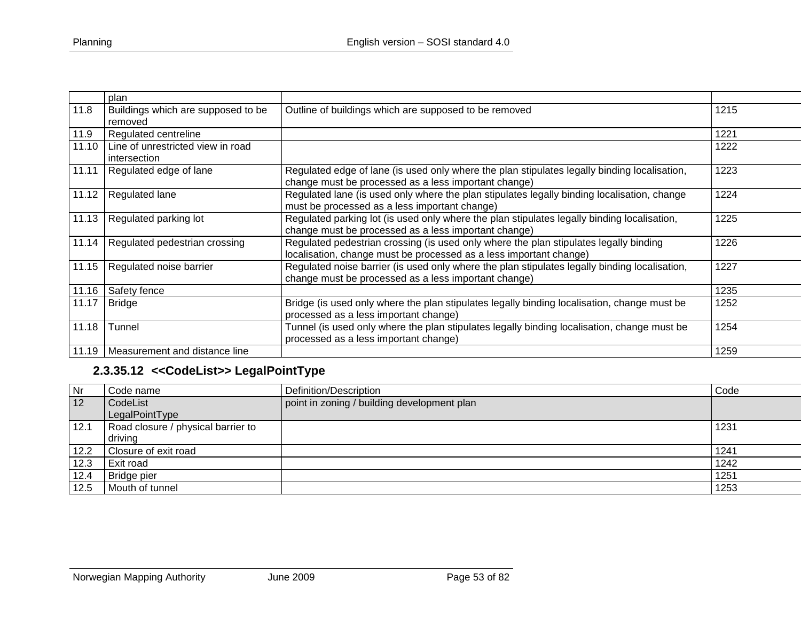|       | plan                                              |                                                                                                                                                             |      |
|-------|---------------------------------------------------|-------------------------------------------------------------------------------------------------------------------------------------------------------------|------|
| 11.8  | Buildings which are supposed to be<br>removed     | Outline of buildings which are supposed to be removed                                                                                                       | 1215 |
| 11.9  | Regulated centreline                              |                                                                                                                                                             | 1221 |
| 11.10 | Line of unrestricted view in road<br>intersection |                                                                                                                                                             | 1222 |
| 11.11 | Regulated edge of lane                            | Regulated edge of lane (is used only where the plan stipulates legally binding localisation,<br>change must be processed as a less important change)        | 1223 |
| 11.12 | Regulated lane                                    | Regulated lane (is used only where the plan stipulates legally binding localisation, change<br>must be processed as a less important change)                | 1224 |
| 11.13 | Regulated parking lot                             | Regulated parking lot (is used only where the plan stipulates legally binding localisation,<br>change must be processed as a less important change)         | 1225 |
| 11.14 | Regulated pedestrian crossing                     | Regulated pedestrian crossing (is used only where the plan stipulates legally binding<br>localisation, change must be processed as a less important change) | 1226 |
| 11.15 | Regulated noise barrier                           | Regulated noise barrier (is used only where the plan stipulates legally binding localisation,<br>change must be processed as a less important change)       | 1227 |
| 11.16 | Safety fence                                      |                                                                                                                                                             | 1235 |
| 11.17 | <b>Bridge</b>                                     | Bridge (is used only where the plan stipulates legally binding localisation, change must be<br>processed as a less important change)                        | 1252 |
| 11.18 | Tunnel                                            | Tunnel (is used only where the plan stipulates legally binding localisation, change must be<br>processed as a less important change)                        | 1254 |
| 11.19 | Measurement and distance line                     |                                                                                                                                                             | 1259 |

# **2.3.35.12 <<CodeList>> LegalPointType**

| Nr           | Code name                          | Definition/Description                      | Code |
|--------------|------------------------------------|---------------------------------------------|------|
| $ 12\rangle$ | CodeList                           | point in zoning / building development plan |      |
|              | LegalPointType                     |                                             |      |
| 12.1         | Road closure / physical barrier to |                                             | 1231 |
|              | driving                            |                                             |      |
| 12.2         | Closure of exit road               |                                             | 1241 |
| $\vert 12.3$ | <b>Exit road</b>                   |                                             | 1242 |
| 12.4         | Bridge pier                        |                                             | 1251 |
| 12.5         | Mouth of tunnel                    |                                             | 1253 |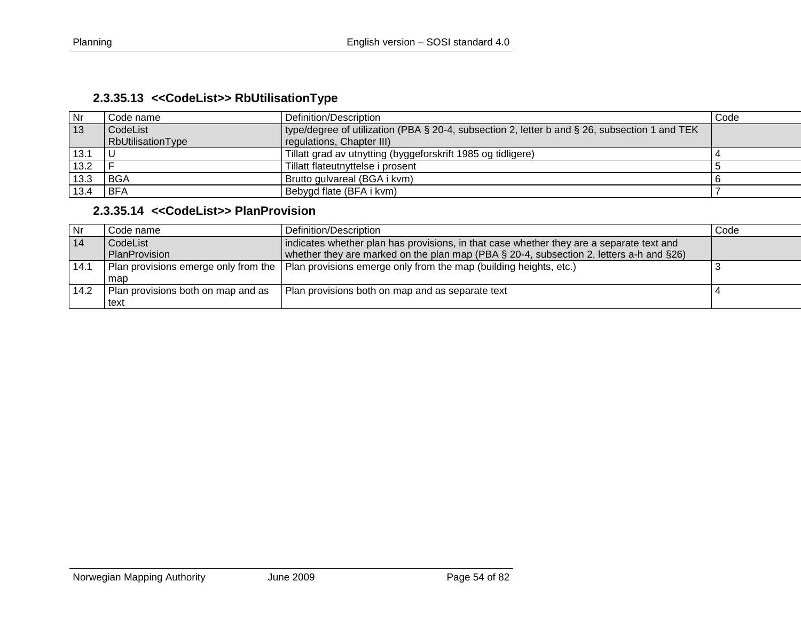| Nr   | Code name         | Definition/Description                                                                        | Code |
|------|-------------------|-----------------------------------------------------------------------------------------------|------|
| 13   | CodeList          | type/degree of utilization (PBA § 20-4, subsection 2, letter b and § 26, subsection 1 and TEK |      |
|      | RbUtilisationType | regulations, Chapter III)                                                                     |      |
| 13.1 | -U                | Tillatt grad av utnytting (byggeforskrift 1985 og tidligere)                                  |      |
| 13.2 |                   | Tillatt flateutnyttelse i prosent                                                             |      |
| 13.3 | BGA               | Brutto gulvareal (BGA i kvm)                                                                  |      |
| 13.4 | BFA               | Bebygd flate (BFA i kvm)                                                                      |      |

# **2.3.35.14 <<CodeList>> PlanProvision**

| <b>Nr</b> | Code name l                        | Definition/Description                                                                                 | Code |
|-----------|------------------------------------|--------------------------------------------------------------------------------------------------------|------|
| 14        | CodeList                           | indicates whether plan has provisions, in that case whether they are a separate text and               |      |
|           | PlanProvision                      | whether they are marked on the plan map (PBA § 20-4, subsection 2, letters a-h and §26)                |      |
| 14.1      |                                    | Plan provisions emerge only from the Plan provisions emerge only from the map (building heights, etc.) |      |
|           | map                                |                                                                                                        |      |
| 14.2      | Plan provisions both on map and as | Plan provisions both on map and as separate text                                                       |      |
|           | text                               |                                                                                                        |      |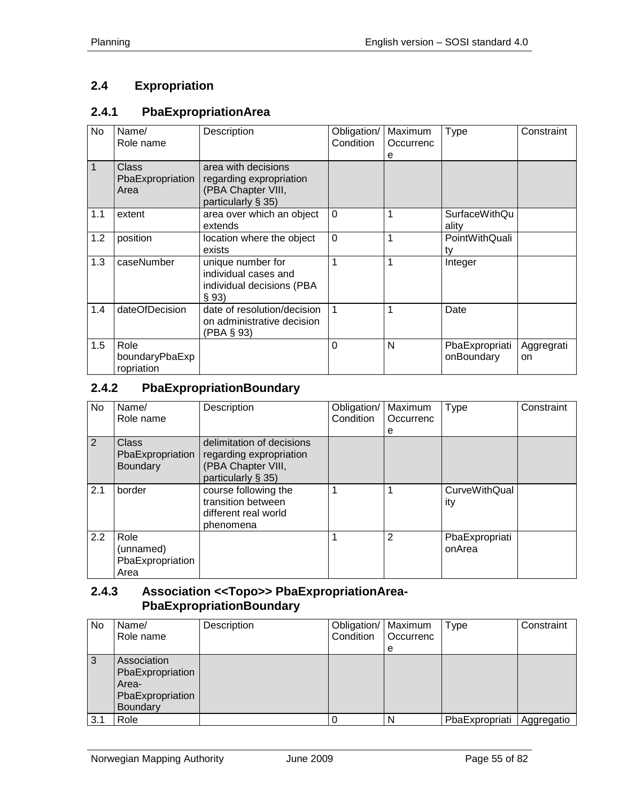# **2.4 Expropriation**

#### **2.4.1 PbaExpropriationArea**

| No  | Name/<br>Role name                       | Description                                                                                | Obligation/<br>Condition | Maximum<br>Occurrenc<br>е | <b>Type</b>                  | Constraint       |
|-----|------------------------------------------|--------------------------------------------------------------------------------------------|--------------------------|---------------------------|------------------------------|------------------|
| 1   | <b>Class</b><br>PbaExpropriation<br>Area | area with decisions<br>regarding expropriation<br>(PBA Chapter VIII,<br>particularly § 35) |                          |                           |                              |                  |
| 1.1 | extent                                   | area over which an object<br>extends                                                       | $\Omega$                 |                           | SurfaceWithQu<br>ality       |                  |
| 1.2 | position                                 | location where the object<br>exists                                                        | $\mathbf 0$              |                           | PointWithQuali<br>ty         |                  |
| 1.3 | caseNumber                               | unique number for<br>individual cases and<br>individual decisions (PBA<br>§ 93)            | 1                        |                           | Integer                      |                  |
| 1.4 | dateOfDecision                           | date of resolution/decision<br>on administrative decision<br>(PBA § 93)                    | 1                        |                           | Date                         |                  |
| 1.5 | Role<br>boundaryPbaExp<br>ropriation     |                                                                                            | 0                        | N                         | PbaExpropriati<br>onBoundary | Aggregrati<br>on |

#### **2.4.2 PbaExpropriationBoundary**

| No  | Name/<br>Role name                            | Description                                                                                         | Obligation/<br>Condition | Maximum<br>Occurrenc<br>е | <b>Type</b>                 | Constraint |
|-----|-----------------------------------------------|-----------------------------------------------------------------------------------------------------|--------------------------|---------------------------|-----------------------------|------------|
| 2   | Class<br>PbaExpropriation<br>Boundary         | delimitation of decisions<br>regarding expropriation<br>(PBA Chapter VIII,<br>particularly $\S$ 35) |                          |                           |                             |            |
| 2.1 | border                                        | course following the<br>transition between<br>different real world<br>phenomena                     | 1                        |                           | <b>CurveWithQual</b><br>ity |            |
| 2.2 | Role<br>(unnamed)<br>PbaExpropriation<br>Area |                                                                                                     |                          | $\overline{2}$            | PbaExpropriati<br>onArea    |            |

#### **2.4.3 Association <<Topo>> PbaExpropriationArea-PbaExpropriationBoundary**

| No  | Name/<br>Role name | Description | Obligation/   Maximum<br>Condition | Occurrenc | Type           | Constraint |
|-----|--------------------|-------------|------------------------------------|-----------|----------------|------------|
|     |                    |             |                                    | e         |                |            |
| 3   | Association        |             |                                    |           |                |            |
|     | PbaExpropriation   |             |                                    |           |                |            |
|     | Area-              |             |                                    |           |                |            |
|     | PbaExpropriation   |             |                                    |           |                |            |
|     | <b>Boundary</b>    |             |                                    |           |                |            |
| 3.1 | Role               |             |                                    | N         | PbaExpropriati | Aggregatio |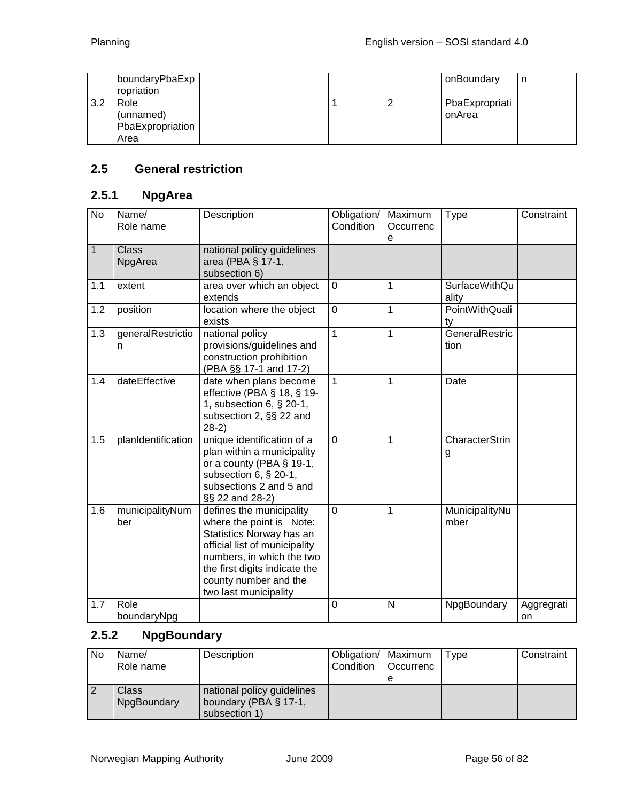|     | boundaryPbaExp<br>ropriation                  |  | onBoundary               | n |
|-----|-----------------------------------------------|--|--------------------------|---|
| 3.2 | Role<br>(unnamed)<br>PbaExpropriation<br>Area |  | PbaExpropriati<br>onArea |   |

## **2.5 General restriction**

# **2.5.1 NpgArea**

| <b>No</b> | Name/<br>Role name      | Description                                                                                                                                                                                                                       | Obligation/<br>Condition | Maximum<br>Occurrenc<br>e | <b>Type</b>                   | Constraint       |
|-----------|-------------------------|-----------------------------------------------------------------------------------------------------------------------------------------------------------------------------------------------------------------------------------|--------------------------|---------------------------|-------------------------------|------------------|
| 1         | <b>Class</b><br>NpgArea | national policy guidelines<br>area (PBA § 17-1,<br>subsection 6)                                                                                                                                                                  |                          |                           |                               |                  |
| 1.1       | extent                  | area over which an object<br>extends                                                                                                                                                                                              | $\mathbf 0$              | 1                         | <b>SurfaceWithQu</b><br>ality |                  |
| 1.2       | position                | location where the object<br>exists                                                                                                                                                                                               | $\mathbf 0$              | $\mathbf 1$               | <b>PointWithQuali</b><br>ty   |                  |
| 1.3       | generalRestrictio<br>n  | national policy<br>provisions/guidelines and<br>construction prohibition<br>(PBA §§ 17-1 and 17-2)                                                                                                                                | $\mathbf{1}$             | $\overline{1}$            | GeneralRestric<br>tion        |                  |
| 1.4       | dateEffective           | date when plans become<br>effective (PBA $\S$ 18, $\S$ 19-<br>1, subsection 6, § 20-1,<br>subsection 2, §§ 22 and<br>$28-2)$                                                                                                      | $\mathbf{1}$             | 1                         | Date                          |                  |
| 1.5       | planIdentification      | unique identification of a<br>plan within a municipality<br>or a county (PBA $\S$ 19-1,<br>subsection 6, § 20-1,<br>subsections 2 and 5 and<br>§§ 22 and 28-2)                                                                    | $\mathbf 0$              | $\overline{1}$            | <b>CharacterStrin</b><br>g    |                  |
| 1.6       | municipalityNum<br>ber  | defines the municipality<br>where the point is Note:<br>Statistics Norway has an<br>official list of municipality<br>numbers, in which the two<br>the first digits indicate the<br>county number and the<br>two last municipality | $\mathbf 0$              | 1                         | MunicipalityNu<br>mber        |                  |
| 1.7       | Role<br>boundaryNpg     |                                                                                                                                                                                                                                   | $\mathbf 0$              | N                         | NpgBoundary                   | Aggregrati<br>on |

## **2.5.2 NpgBoundary**

| No | Name/<br>Role name   | Description                                                             | Obligation/   Maximum<br>Condition | <b>Occurrenc</b> | Type | Constraint |
|----|----------------------|-------------------------------------------------------------------------|------------------------------------|------------------|------|------------|
|    | Class<br>NpgBoundary | national policy guidelines<br>boundary (PBA $\S$ 17-1,<br>subsection 1) |                                    |                  |      |            |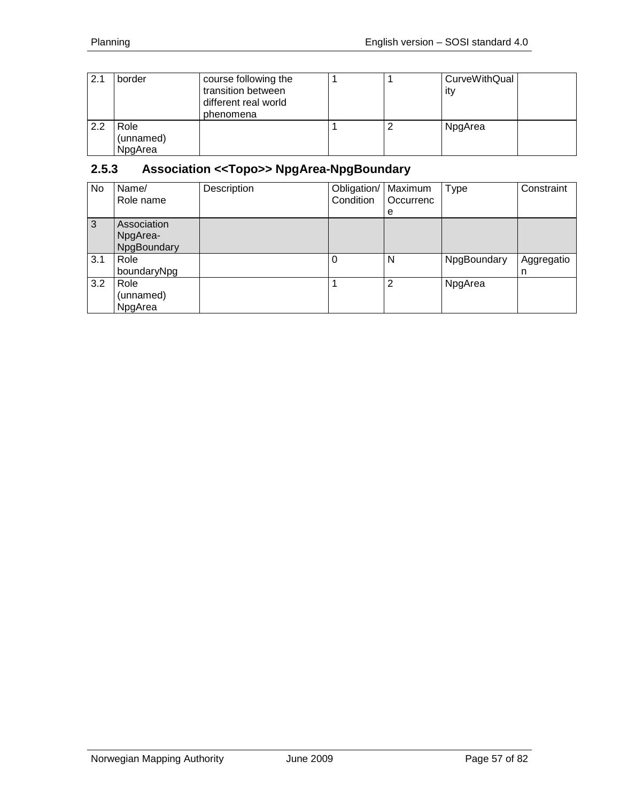| 2.1 | border                       | course following the<br>transition between<br>different real world<br>phenomena |  | CurveWithQual<br>ity |  |
|-----|------------------------------|---------------------------------------------------------------------------------|--|----------------------|--|
| 2.2 | Role<br>(unnamed)<br>NpgArea |                                                                                 |  | NpgArea              |  |

# **2.5.3 Association <<Topo>> NpgArea-NpgBoundary**

| No  | Name/<br>Role name                     | Description | Obligation/   Maximum<br>Condition | Occurrenc<br>e | <b>Type</b> | Constraint      |
|-----|----------------------------------------|-------------|------------------------------------|----------------|-------------|-----------------|
| 3   | Association<br>NpgArea-<br>NpgBoundary |             |                                    |                |             |                 |
| 3.1 | Role<br>boundaryNpg                    |             | 0                                  | N              | NpgBoundary | Aggregatio<br>n |
| 3.2 | Role<br>(unnamed)<br>NpgArea           |             |                                    | $\overline{2}$ | NpgArea     |                 |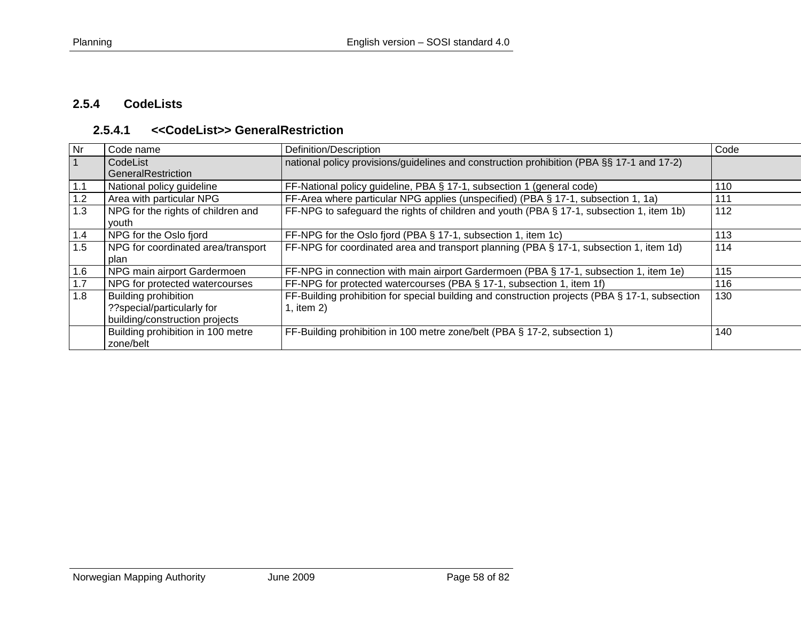## **2.5.4 CodeLists**

#### **2.5.4.1 <<CodeList>> GeneralRestriction**

| Nr  | Code name                          | Definition/Description                                                                         | Code |
|-----|------------------------------------|------------------------------------------------------------------------------------------------|------|
|     | CodeList                           | national policy provisions/guidelines and construction prohibition (PBA §§ 17-1 and 17-2)      |      |
|     | GeneralRestriction                 |                                                                                                |      |
| 1.1 | National policy guideline          | FF-National policy guideline, PBA § 17-1, subsection 1 (general code)                          | 110  |
| 1.2 | Area with particular NPG           | FF-Area where particular NPG applies (unspecified) (PBA § 17-1, subsection 1, 1a)              | 111  |
| 1.3 | NPG for the rights of children and | FF-NPG to safeguard the rights of children and youth (PBA § 17-1, subsection 1, item 1b)       | 112  |
|     | vouth                              |                                                                                                |      |
| 1.4 | NPG for the Oslo fjord             | FF-NPG for the Oslo fjord (PBA § 17-1, subsection 1, item 1c)                                  | 113  |
| 1.5 | NPG for coordinated area/transport | FF-NPG for coordinated area and transport planning (PBA § 17-1, subsection 1, item 1d)         | 114  |
|     | plan                               |                                                                                                |      |
| 1.6 | NPG main airport Gardermoen        | FF-NPG in connection with main airport Gardermoen (PBA § 17-1, subsection 1, item 1e)          | 115  |
| 1.7 | NPG for protected watercourses     | FF-NPG for protected watercourses (PBA § 17-1, subsection 1, item 1f)                          | 116  |
| 1.8 | <b>Building prohibition</b>        | FF-Building prohibition for special building and construction projects (PBA § 17-1, subsection | 130  |
|     | ??special/particularly for         | 1, item 2)                                                                                     |      |
|     | building/construction projects     |                                                                                                |      |
|     | Building prohibition in 100 metre  | FF-Building prohibition in 100 metre zone/belt (PBA § 17-2, subsection 1)                      | 140  |
|     | zone/belt                          |                                                                                                |      |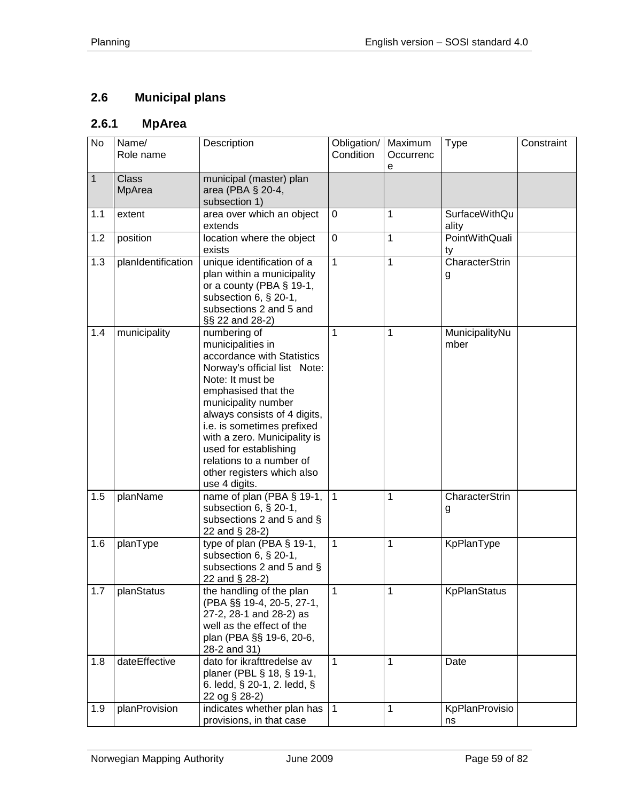# **2.6 Municipal plans**

# **2.6.1 MpArea**

| No           | Name/<br>Role name | Description                                                                                                                                                                                                                                                                                                                                                         | Obligation/<br>Condition | Maximum<br>Occurrenc<br>e | <b>Type</b>                   | Constraint |
|--------------|--------------------|---------------------------------------------------------------------------------------------------------------------------------------------------------------------------------------------------------------------------------------------------------------------------------------------------------------------------------------------------------------------|--------------------------|---------------------------|-------------------------------|------------|
| $\mathbf{1}$ | Class<br>MpArea    | municipal (master) plan<br>area (PBA § 20-4,<br>subsection 1)                                                                                                                                                                                                                                                                                                       |                          |                           |                               |            |
| 1.1          | extent             | area over which an object<br>extends                                                                                                                                                                                                                                                                                                                                | 0                        | $\mathbf{1}$              | <b>SurfaceWithQu</b><br>ality |            |
| 1.2          | position           | location where the object<br>exists                                                                                                                                                                                                                                                                                                                                 | $\mathbf 0$              | $\mathbf 1$               | <b>PointWithQuali</b><br>ty   |            |
| 1.3          | planIdentification | unique identification of a<br>plan within a municipality<br>or a county (PBA $\S$ 19-1,<br>subsection 6, § 20-1,<br>subsections 2 and 5 and<br>§§ 22 and 28-2)                                                                                                                                                                                                      | $\overline{1}$           | $\overline{1}$            | CharacterStrin<br>g           |            |
| 1.4          | municipality       | numbering of<br>municipalities in<br>accordance with Statistics<br>Norway's official list Note:<br>Note: It must be<br>emphasised that the<br>municipality number<br>always consists of 4 digits,<br>i.e. is sometimes prefixed<br>with a zero. Municipality is<br>used for establishing<br>relations to a number of<br>other registers which also<br>use 4 digits. | 1                        | 1                         | MunicipalityNu<br>mber        |            |
| 1.5          | planName           | name of plan (PBA § 19-1,<br>subsection 6, § 20-1,<br>subsections 2 and 5 and §<br>22 and § 28-2)                                                                                                                                                                                                                                                                   | $\mathbf{1}$             | 1                         | CharacterStrin<br>g           |            |
| 1.6          | planType           | type of plan (PBA § 19-1,<br>subsection 6, § 20-1,<br>subsections 2 and 5 and §<br>22 and § 28-2)                                                                                                                                                                                                                                                                   | $\mathbf{1}$             | $\mathbf{1}$              | KpPlanType                    |            |
| 1.7          | planStatus         | the handling of the plan<br>(PBA §§ 19-4, 20-5, 27-1,<br>27-2, 28-1 and 28-2) as<br>well as the effect of the<br>plan (PBA §§ 19-6, 20-6,<br>28-2 and 31)                                                                                                                                                                                                           | 1                        | 1                         | <b>KpPlanStatus</b>           |            |
| 1.8          | dateEffective      | dato for ikrafttredelse av<br>planer (PBL § 18, § 19-1,<br>6. ledd, § 20-1, 2. ledd, §<br>22 og § 28-2)                                                                                                                                                                                                                                                             | 1                        | 1                         | Date                          |            |
| 1.9          | planProvision      | indicates whether plan has<br>provisions, in that case                                                                                                                                                                                                                                                                                                              | $\overline{1}$           | 1                         | KpPlanProvisio<br>ns          |            |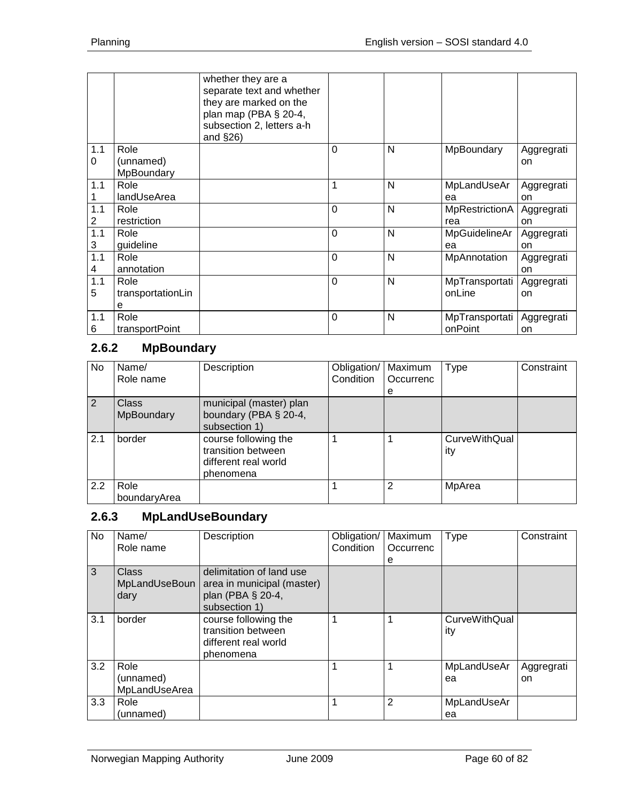|     |                         | whether they are a<br>separate text and whether<br>they are marked on the<br>plan map (PBA § 20-4,<br>subsection 2, letters a-h<br>and $\S$ 26) |                |   |                |            |
|-----|-------------------------|-------------------------------------------------------------------------------------------------------------------------------------------------|----------------|---|----------------|------------|
| 1.1 | Role                    |                                                                                                                                                 | $\overline{0}$ | N | MpBoundary     | Aggregrati |
| 0   | (unnamed)<br>MpBoundary |                                                                                                                                                 |                |   |                | on         |
| 1.1 | Role                    |                                                                                                                                                 | 1              | N | MpLandUseAr    | Aggregrati |
|     | landUseArea             |                                                                                                                                                 |                |   | ea             | on         |
| 1.1 | Role                    |                                                                                                                                                 | $\Omega$       | N | MpRestrictionA | Aggregrati |
| 2   | restriction             |                                                                                                                                                 |                |   | rea            | on         |
| 1.1 | Role                    |                                                                                                                                                 | $\mathbf 0$    | N | MpGuidelineAr  | Aggregrati |
| 3   | guideline               |                                                                                                                                                 |                |   | ea             | on         |
| 1.1 | Role                    |                                                                                                                                                 | $\overline{0}$ | N | MpAnnotation   | Aggregrati |
| 4   | annotation              |                                                                                                                                                 |                |   |                | on         |
| 1.1 | Role                    |                                                                                                                                                 | $\overline{0}$ | N | MpTransportati | Aggregrati |
| 5   | transportationLin       |                                                                                                                                                 |                |   | onLine         | on         |
|     | e                       |                                                                                                                                                 |                |   |                |            |
| 1.1 | Role                    |                                                                                                                                                 | 0              | N | MpTransportati | Aggregrati |
| 6   | transportPoint          |                                                                                                                                                 |                |   | onPoint        | on         |

# **2.6.2 MpBoundary**

| No. | Name/<br>Role name         | Description                                                                     | Obligation/<br>Condition | Maximum<br>Occurrenc<br>е | Type                        | Constraint |
|-----|----------------------------|---------------------------------------------------------------------------------|--------------------------|---------------------------|-----------------------------|------------|
| 2   | <b>Class</b><br>MpBoundary | municipal (master) plan<br>boundary (PBA § 20-4,<br>subsection 1)               |                          |                           |                             |            |
| 2.1 | border                     | course following the<br>transition between<br>different real world<br>phenomena |                          |                           | <b>CurveWithQual</b><br>ity |            |
| 2.2 | Role<br>boundaryArea       |                                                                                 |                          | 2                         | MpArea                      |            |

## **2.6.3 MpLandUseBoundary**

| No  | Name/<br>Role name                 | Description                                                                                  | Obligation/<br>Condition | Maximum<br>Occurrenc<br>е | <b>Type</b>                 | Constraint       |
|-----|------------------------------------|----------------------------------------------------------------------------------------------|--------------------------|---------------------------|-----------------------------|------------------|
| 3   | Class<br>MpLandUseBoun<br>dary     | delimitation of land use<br>area in municipal (master)<br>plan (PBA § 20-4,<br>subsection 1) |                          |                           |                             |                  |
| 3.1 | border                             | course following the<br>transition between<br>different real world<br>phenomena              |                          |                           | <b>CurveWithQual</b><br>ity |                  |
| 3.2 | Role<br>(unnamed)<br>MpLandUseArea |                                                                                              |                          |                           | MpLandUseAr<br>ea           | Aggregrati<br>on |
| 3.3 | Role<br>(unnamed)                  |                                                                                              |                          | 2                         | MpLandUseAr<br>ea           |                  |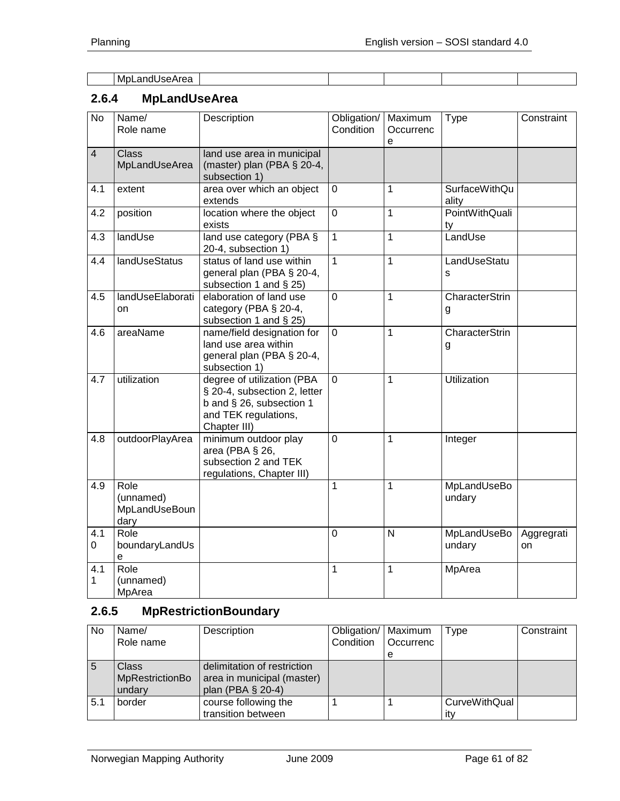| -MDL<br>andl<br>.<br>JSEAIEd<br>. . |  |  |  |
|-------------------------------------|--|--|--|

# **2.6.4 MpLandUseArea**

| $\overline{N}$ | Name/<br>Role name                         | Description                                                                                                                    | Obligation/<br>Condition | Maximum<br>Occurrenc<br>e | Type                          | Constraint       |
|----------------|--------------------------------------------|--------------------------------------------------------------------------------------------------------------------------------|--------------------------|---------------------------|-------------------------------|------------------|
| $\overline{4}$ | <b>Class</b><br>MpLandUseArea              | land use area in municipal<br>(master) plan (PBA § 20-4,<br>subsection 1)                                                      |                          |                           |                               |                  |
| 4.1            | extent                                     | area over which an object<br>extends                                                                                           | 0                        | 1                         | <b>SurfaceWithQu</b><br>ality |                  |
| 4.2            | position                                   | location where the object<br>exists                                                                                            | $\overline{0}$           | 1                         | PointWithQuali<br>ty          |                  |
| 4.3            | landUse                                    | land use category (PBA §<br>20-4, subsection 1)                                                                                | $\mathbf{1}$             | $\overline{1}$            | LandUse                       |                  |
| 4.4            | <b>landUseStatus</b>                       | status of land use within<br>general plan (PBA § 20-4,<br>subsection 1 and § 25)                                               | 1                        | 1                         | LandUseStatu<br>s             |                  |
| 4.5            | landUseElaborati<br>on                     | elaboration of land use<br>category (PBA § 20-4,<br>subsection 1 and § 25)                                                     | $\mathbf 0$              | 1                         | CharacterStrin<br>g           |                  |
| 4.6            | areaName                                   | name/field designation for<br>land use area within<br>general plan (PBA § 20-4,<br>subsection 1)                               | 0                        | 1                         | CharacterStrin<br>g           |                  |
| 4.7            | utilization                                | degree of utilization (PBA<br>§ 20-4, subsection 2, letter<br>b and § 26, subsection 1<br>and TEK regulations,<br>Chapter III) | 0                        | 1                         | <b>Utilization</b>            |                  |
| 4.8            | outdoorPlayArea                            | minimum outdoor play<br>area (PBA § 26,<br>subsection 2 and TEK<br>regulations, Chapter III)                                   | $\mathbf 0$              | 1                         | Integer                       |                  |
| 4.9            | Role<br>(unnamed)<br>MpLandUseBoun<br>dary |                                                                                                                                | 1                        | 1                         | MpLandUseBo<br>undary         |                  |
| 4.1<br>0       | Role<br>boundaryLandUs<br>e                |                                                                                                                                | 0                        | $\mathsf{N}$              | <b>MpLandUseBo</b><br>undary  | Aggregrati<br>on |
| 4.1<br>1       | Role<br>(unnamed)<br>MpArea                |                                                                                                                                | 1                        | 1                         | MpArea                        |                  |

# **2.6.5 MpRestrictionBoundary**

| <b>No</b> | Name/<br>Role name                 | Description                                                                    | Obligation/   Maximum<br>Condition | <b>Occurrenc</b> | Type                 | Constraint |
|-----------|------------------------------------|--------------------------------------------------------------------------------|------------------------------------|------------------|----------------------|------------|
|           |                                    |                                                                                |                                    | e                |                      |            |
| 5         | Class<br>MpRestrictionBo<br>undary | delimitation of restriction<br>area in municipal (master)<br>plan (PBA § 20-4) |                                    |                  |                      |            |
| 5.1       | border                             | course following the                                                           |                                    |                  | <b>CurveWithQual</b> |            |
|           |                                    | transition between                                                             |                                    |                  | itv                  |            |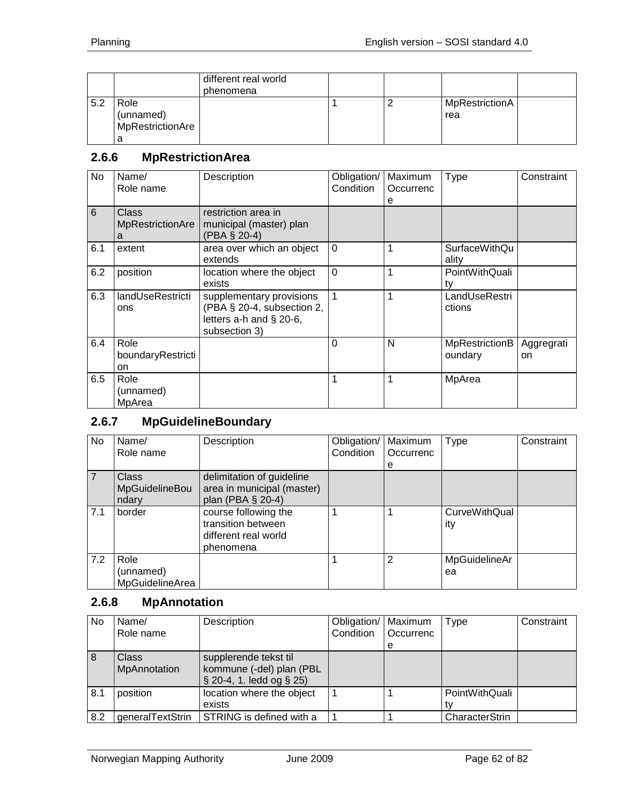|     |                                            | different real world<br>phenomena |  |                       |  |
|-----|--------------------------------------------|-----------------------------------|--|-----------------------|--|
| 5.2 | Role<br>(unnamed)<br>MpRestrictionAre<br>a |                                   |  | MpRestrictionA<br>rea |  |

## **2.6.6 MpRestrictionArea**

| No             | Name/<br>Role name                    | Description                                                                                        | Obligation/<br>Condition | Maximum<br>Occurrenc<br>е | Type                             | Constraint       |
|----------------|---------------------------------------|----------------------------------------------------------------------------------------------------|--------------------------|---------------------------|----------------------------------|------------------|
| $6\phantom{1}$ | Class<br><b>MpRestrictionAre</b><br>а | restriction area in<br>municipal (master) plan<br>(PBA § 20-4)                                     |                          |                           |                                  |                  |
| 6.1            | extent                                | area over which an object<br>extends                                                               | $\Omega$                 | 1                         | SurfaceWithQu<br>ality           |                  |
| 6.2            | position                              | location where the object<br>exists                                                                | $\overline{0}$           | 1                         | PointWithQuali<br>tv             |                  |
| 6.3            | landUseRestricti<br>ons               | supplementary provisions<br>(PBA § 20-4, subsection 2,<br>letters a-h and § 20-6,<br>subsection 3) | $\mathbf{1}$             | 1                         | LandUseRestri<br>ctions          |                  |
| 6.4            | Role<br>boundaryRestricti<br>on       |                                                                                                    | $\Omega$                 | N                         | <b>MpRestrictionB</b><br>oundary | Aggregrati<br>on |
| 6.5            | Role<br>(unnamed)<br>MpArea           |                                                                                                    | 1                        | 1                         | MpArea                           |                  |

# **2.6.7 MpGuidelineBoundary**

| No  | Name/           | Description                | Obligation/ | Maximum   | <b>Type</b>   | Constraint |
|-----|-----------------|----------------------------|-------------|-----------|---------------|------------|
|     | Role name       |                            | Condition   | Occurrenc |               |            |
|     |                 |                            |             | е         |               |            |
|     | <b>Class</b>    | delimitation of guideline  |             |           |               |            |
|     | MpGuidelineBou  | area in municipal (master) |             |           |               |            |
|     | ndary           | plan (PBA § 20-4)          |             |           |               |            |
| 7.1 | border          | course following the       |             |           | CurveWithQual |            |
|     |                 | transition between         |             |           | ity           |            |
|     |                 | different real world       |             |           |               |            |
|     |                 | phenomena                  |             |           |               |            |
| 7.2 | Role            |                            |             | 2         | MpGuidelineAr |            |
|     | (unnamed)       |                            |             |           | ea            |            |
|     | MpGuidelineArea |                            |             |           |               |            |

# **2.6.8 MpAnnotation**

| No  | Name/<br>Role name    | Description                                                                         | Obligation/   Maximum<br>Condition | Occurrenc<br>e | Type           | Constraint |
|-----|-----------------------|-------------------------------------------------------------------------------------|------------------------------------|----------------|----------------|------------|
| 8   | Class<br>MpAnnotation | supplerende tekst til<br>kommune (-del) plan (PBL<br>$\S$ 20-4, 1. ledd og $\S$ 25) |                                    |                |                |            |
| 8.1 | position              | location where the object<br>exists                                                 |                                    |                | PointWithQuali |            |
| 8.2 | generalTextStrin      | STRING is defined with a                                                            |                                    |                | CharacterStrin |            |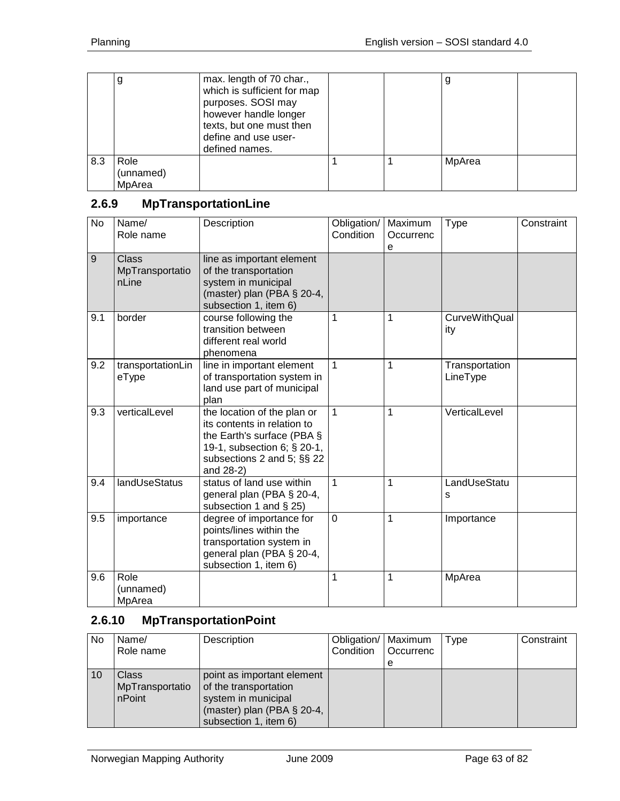|     | g                           | max. length of 70 char.,<br>which is sufficient for map<br>purposes. SOSI may<br>however handle longer<br>texts, but one must then<br>define and use user-<br>defined names. |  | y      |  |
|-----|-----------------------------|------------------------------------------------------------------------------------------------------------------------------------------------------------------------------|--|--------|--|
| 8.3 | Role<br>(unnamed)<br>MpArea |                                                                                                                                                                              |  | MpArea |  |

# **2.6.9 MpTransportationLine**

| $\overline{N_{0}}$ | Name/<br>Role name                | Description                                                                                                                                                        | Obligation/<br>Condition | Maximum<br>Occurrenc<br>e | <b>Type</b>                 | Constraint |
|--------------------|-----------------------------------|--------------------------------------------------------------------------------------------------------------------------------------------------------------------|--------------------------|---------------------------|-----------------------------|------------|
| 9                  | Class<br>MpTransportatio<br>nLine | line as important element<br>of the transportation<br>system in municipal<br>(master) plan (PBA $\S$ 20-4,<br>subsection 1, item 6)                                |                          |                           |                             |            |
| 9.1                | border                            | course following the<br>transition between<br>different real world<br>phenomena                                                                                    | 1                        | 1                         | <b>CurveWithQual</b><br>ity |            |
| 9.2                | transportationLin<br>eType        | line in important element<br>of transportation system in<br>land use part of municipal<br>plan                                                                     | $\mathbf{1}$             | 1                         | Transportation<br>LineType  |            |
| 9.3                | verticalLevel                     | the location of the plan or<br>its contents in relation to<br>the Earth's surface (PBA §<br>19-1, subsection 6; § 20-1,<br>subsections 2 and 5; §§ 22<br>and 28-2) | $\mathbf{1}$             | 1                         | VerticalLevel               |            |
| 9.4                | landUseStatus                     | status of land use within<br>general plan (PBA § 20-4,<br>subsection 1 and $\S$ 25)                                                                                | $\mathbf{1}$             | 1                         | LandUseStatu<br>s           |            |
| 9.5                | importance                        | degree of importance for<br>points/lines within the<br>transportation system in<br>general plan (PBA § 20-4,<br>subsection 1, item 6)                              | $\overline{0}$           | $\mathbf{1}$              | Importance                  |            |
| 9.6                | Role<br>(unnamed)<br>MpArea       |                                                                                                                                                                    | 1                        | 1                         | MpArea                      |            |

# **2.6.10 MpTransportationPoint**

| No | Name/<br>Role name                        | Description                                                                                                                       | Obligation/   Maximum<br>Condition | <b>Occurrenc</b><br>e | <b>Type</b> | Constraint |
|----|-------------------------------------------|-----------------------------------------------------------------------------------------------------------------------------------|------------------------------------|-----------------------|-------------|------------|
| 10 | <b>Class</b><br>MpTransportatio<br>nPoint | point as important element<br>of the transportation<br>system in municipal<br>(master) plan (PBA § 20-4,<br>subsection 1, item 6) |                                    |                       |             |            |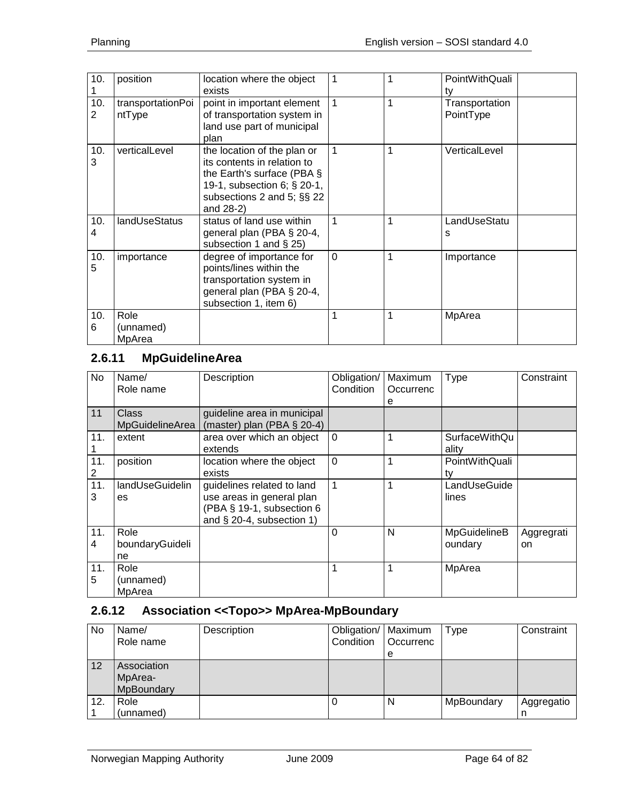| 10.      | position                    | location where the object<br>exists                                                                                                                                   | $\overline{1}$ |   | PointWithQuali<br>ty        |
|----------|-----------------------------|-----------------------------------------------------------------------------------------------------------------------------------------------------------------------|----------------|---|-----------------------------|
| 10.<br>2 | transportationPoi<br>ntType | point in important element<br>of transportation system in<br>land use part of municipal<br>plan                                                                       | 1              | 1 | Transportation<br>PointType |
| 10.<br>3 | verticalLevel               | the location of the plan or<br>its contents in relation to<br>the Earth's surface (PBA $\S$<br>19-1, subsection 6; § 20-1,<br>subsections 2 and 5; §§ 22<br>and 28-2) | $\overline{1}$ | 1 | VerticalLevel               |
| 10.<br>4 | landUseStatus               | status of land use within<br>general plan (PBA § 20-4,<br>subsection 1 and $\S$ 25)                                                                                   | 1              | 1 | LandUseStatu<br>s           |
| 10.<br>5 | importance                  | degree of importance for<br>points/lines within the<br>transportation system in<br>general plan (PBA § 20-4,<br>subsection 1, item 6)                                 | $\Omega$       | 1 | Importance                  |
| 10.<br>6 | Role<br>(unnamed)<br>MpArea |                                                                                                                                                                       | 1              | 1 | MpArea                      |

# **2.6.11 MpGuidelineArea**

| No       | Name/<br>Role name                     | Description                                                                                                          | Obligation/<br>Condition | Maximum<br>Occurrenc<br>е | Type                          | Constraint       |
|----------|----------------------------------------|----------------------------------------------------------------------------------------------------------------------|--------------------------|---------------------------|-------------------------------|------------------|
| 11       | <b>Class</b><br><b>MpGuidelineArea</b> | guideline area in municipal<br>(master) plan (PBA $\S$ 20-4)                                                         |                          |                           |                               |                  |
| 11.      | extent                                 | area over which an object<br>extends                                                                                 | $\overline{0}$           | 1                         | <b>SurfaceWithQu</b><br>ality |                  |
| 11.<br>2 | position                               | location where the object<br>exists                                                                                  | $\overline{0}$           | 1                         | PointWithQuali<br>tv          |                  |
| 11.<br>3 | landUseGuidelin<br>es                  | guidelines related to land<br>use areas in general plan<br>(PBA § 19-1, subsection 6<br>and $\S$ 20-4, subsection 1) | $\mathbf{1}$             | 1                         | LandUseGuide<br>lines         |                  |
| 11.<br>4 | Role<br>boundaryGuideli<br>ne          |                                                                                                                      | $\Omega$                 | N                         | MpGuidelineB<br>oundary       | Aggregrati<br>on |
| 11.<br>5 | Role<br>(unnamed)<br>MpArea            |                                                                                                                      | 1                        | 1                         | MpArea                        |                  |

## **2.6.12 Association <<Topo>> MpArea-MpBoundary**

| No  | Name/<br>Role name                   | Description | Obligation/   Maximum<br>Condition | <b>Occurrenc</b> | Type       | Constraint      |
|-----|--------------------------------------|-------------|------------------------------------|------------------|------------|-----------------|
|     |                                      |             |                                    | e                |            |                 |
| 12  | Association<br>MpArea-<br>MpBoundary |             |                                    |                  |            |                 |
| 12. | Role<br>(unnamed)                    |             |                                    | N                | MpBoundary | Aggregatio<br>n |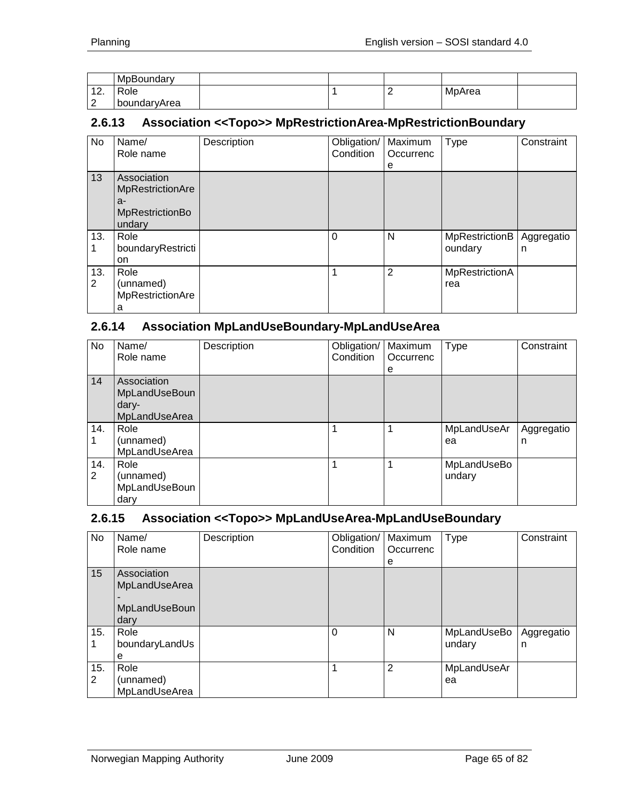|                        | MpBoundary   |  |        |  |
|------------------------|--------------|--|--------|--|
| $\overline{A}$<br>.    | Role         |  | MpArea |  |
| $\sqrt{2}$<br><u>_</u> | boundaryArea |  |        |  |

#### **2.6.13 Association <<Topo>> MpRestrictionArea-MpRestrictionBoundary**

| <b>No</b> | Name/<br>Role name                                                        | Description | Obligation/<br>Condition | Maximum<br>Occurrenc<br>е | Type                      | Constraint      |
|-----------|---------------------------------------------------------------------------|-------------|--------------------------|---------------------------|---------------------------|-----------------|
| 13        | Association<br>MpRestrictionAre<br>a-<br><b>MpRestrictionBo</b><br>undary |             |                          |                           |                           |                 |
| 13.       | Role<br>boundaryRestricti<br>on                                           |             | $\Omega$                 | N                         | MpRestrictionB<br>oundary | Aggregatio<br>n |
| 13.<br>2  | Role<br>(unnamed)<br>MpRestrictionAre<br>а                                |             | 1                        | $\overline{2}$            | MpRestrictionA<br>rea     |                 |

## **2.6.14 Association MpLandUseBoundary-MpLandUseArea**

| No       | Name/<br>Role name                                     | Description | Obligation/   Maximum<br>Condition | Occurrenc<br>e | <b>Type</b>           | Constraint      |
|----------|--------------------------------------------------------|-------------|------------------------------------|----------------|-----------------------|-----------------|
| 14       | Association<br>MpLandUseBoun<br>dary-<br>MpLandUseArea |             |                                    |                |                       |                 |
| 14.      | Role<br>(unnamed)<br>MpLandUseArea                     |             |                                    |                | MpLandUseAr<br>ea     | Aggregatio<br>n |
| 14.<br>2 | Role<br>(unnamed)<br>MpLandUseBoun<br>dary             |             | 1                                  |                | MpLandUseBo<br>undary |                 |

#### **2.6.15 Association <<Topo>> MpLandUseArea-MpLandUseBoundary**

| No                    | Name/<br>Role name                                    | Description | Obligation/<br>Condition | Maximum<br>Occurrenc<br>е | Type                  | Constraint      |
|-----------------------|-------------------------------------------------------|-------------|--------------------------|---------------------------|-----------------------|-----------------|
| 15                    | Association<br>MpLandUseArea<br>MpLandUseBoun<br>dary |             |                          |                           |                       |                 |
| 15.                   | Role<br>boundaryLandUs<br>е                           |             | $\Omega$                 | N                         | MpLandUseBo<br>undary | Aggregatio<br>n |
| 15.<br>$\overline{2}$ | Role<br>(unnamed)<br>MpLandUseArea                    |             | 1                        | 2                         | MpLandUseAr<br>ea     |                 |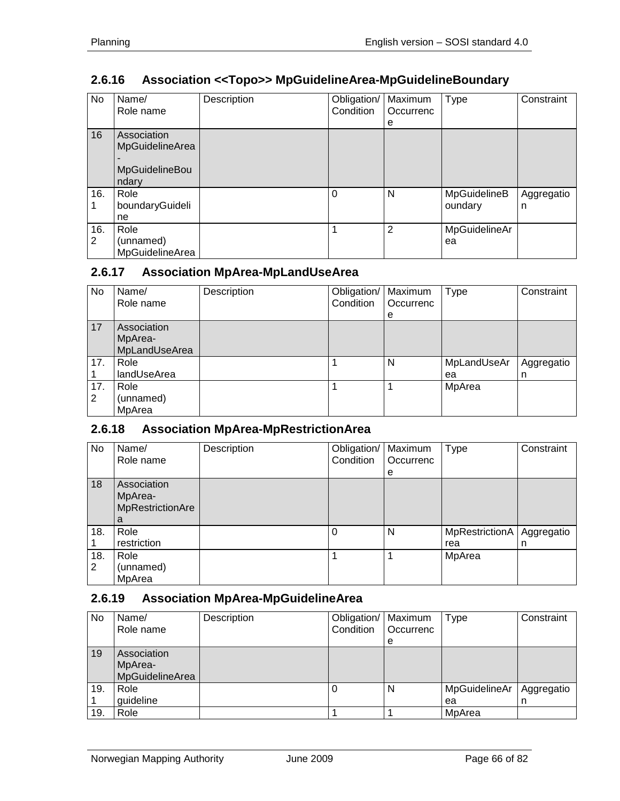# **2.6.16 Association <<Topo>> MpGuidelineArea-MpGuidelineBoundary**

| No       | Name/<br>Role name                                        | Description | Obligation/<br>Condition | Maximum<br>Occurrenc<br>е | <b>Type</b>             | Constraint      |
|----------|-----------------------------------------------------------|-------------|--------------------------|---------------------------|-------------------------|-----------------|
| 16       | Association<br>MpGuidelineArea<br>MpGuidelineBou<br>ndary |             |                          |                           |                         |                 |
| 16.      | Role<br>boundaryGuideli<br>ne                             |             | $\Omega$                 | N                         | MpGuidelineB<br>oundary | Aggregatio<br>n |
| 16.<br>2 | Role<br>(unnamed)<br>MpGuidelineArea                      |             | 1                        | 2                         | MpGuidelineAr<br>ea     |                 |

## **2.6.17 Association MpArea-MpLandUseArea**

| No       | Name/<br>Role name                      | Description | Obligation/<br>Condition | Maximum<br>Occurrenc<br>e | Type              | Constraint      |
|----------|-----------------------------------------|-------------|--------------------------|---------------------------|-------------------|-----------------|
| 17       | Association<br>MpArea-<br>MpLandUseArea |             |                          |                           |                   |                 |
| 17.      | Role<br>landUseArea                     |             |                          | N                         | MpLandUseAr<br>ea | Aggregatio<br>n |
| 17.<br>2 | Role<br>(unnamed)<br>MpArea             |             |                          |                           | MpArea            |                 |

#### **2.6.18 Association MpArea-MpRestrictionArea**

| No       | Name/<br>Role name                              | Description | Obligation/   Maximum<br>Condition | Occurrenc<br>е | <b>Type</b>           | Constraint      |
|----------|-------------------------------------------------|-------------|------------------------------------|----------------|-----------------------|-----------------|
| 18       | Association<br>MpArea-<br>MpRestrictionAre<br>a |             |                                    |                |                       |                 |
| 18.      | Role<br>restriction                             |             | 0                                  | N              | MpRestrictionA<br>rea | Aggregatio<br>n |
| 18.<br>2 | Role<br>(unnamed)<br>MpArea                     |             |                                    |                | MpArea                |                 |

#### **2.6.19 Association MpArea-MpGuidelineArea**

| No  | Name/<br>Role name                        | Description | Obligation/   Maximum<br>Condition | Occurrenc<br>e | Type                | Constraint      |
|-----|-------------------------------------------|-------------|------------------------------------|----------------|---------------------|-----------------|
| 19  | Association<br>MpArea-<br>MpGuidelineArea |             |                                    |                |                     |                 |
| 19. | Role<br>guideline                         |             | 0                                  | N              | MpGuidelineAr<br>ea | Aggregatio<br>n |
| 19. | Role                                      |             |                                    |                | MpArea              |                 |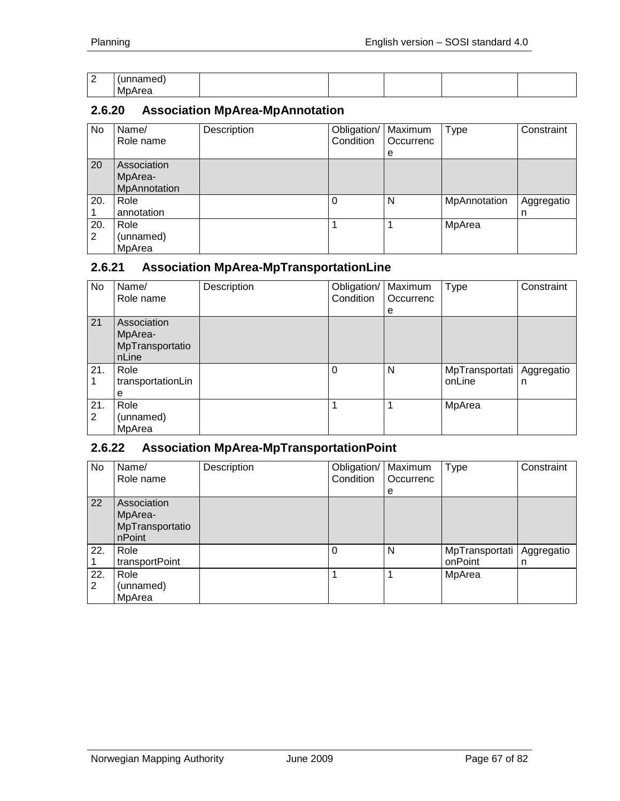| $\overline{\phantom{a}}$<br>- | .<br>.        |  |  |  |
|-------------------------------|---------------|--|--|--|
|                               | - 1<br>MpArea |  |  |  |

# **2.6.20 Association MpArea-MpAnnotation**

| No       | Name/<br>Role name                     | Description | Obligation/<br>Condition | Maximum<br>Occurrenc<br>e | <b>Type</b>  | Constraint      |
|----------|----------------------------------------|-------------|--------------------------|---------------------------|--------------|-----------------|
| 20       | Association<br>MpArea-<br>MpAnnotation |             |                          |                           |              |                 |
| 20.      | Role<br>annotation                     |             |                          | N                         | MpAnnotation | Aggregatio<br>n |
| 20.<br>2 | Role<br>(unnamed)<br>MpArea            |             |                          |                           | MpArea       |                 |

#### **2.6.21 Association MpArea-MpTransportationLine**

| No  | Name/             | Description | Obligation/ | Maximum   | <b>Type</b>    | Constraint |
|-----|-------------------|-------------|-------------|-----------|----------------|------------|
|     | Role name         |             | Condition   | Occurrenc |                |            |
|     |                   |             |             | е         |                |            |
| 21  | Association       |             |             |           |                |            |
|     | MpArea-           |             |             |           |                |            |
|     | MpTransportatio   |             |             |           |                |            |
|     | nLine             |             |             |           |                |            |
| 21. | Role              |             | 0           | N         | MpTransportati | Aggregatio |
|     | transportationLin |             |             |           | onLine         | n          |
|     | е                 |             |             |           |                |            |
| 21. | Role              |             |             |           | MpArea         |            |
| 2   | (unnamed)         |             |             |           |                |            |
|     | MpArea            |             |             |           |                |            |

## **2.6.22 Association MpArea-MpTransportationPoint**

| No       | Name/<br>Role name                                  | Description | Obligation/<br>Condition | Maximum<br>Occurrenc<br>е | <b>Type</b>               | Constraint      |
|----------|-----------------------------------------------------|-------------|--------------------------|---------------------------|---------------------------|-----------------|
| 22       | Association<br>MpArea-<br>MpTransportatio<br>nPoint |             |                          |                           |                           |                 |
| 22.      | Role<br>transportPoint                              |             | $\Omega$                 | N                         | MpTransportati<br>onPoint | Aggregatio<br>n |
| 22.<br>2 | Role<br>(unnamed)<br>MpArea                         |             |                          |                           | MpArea                    |                 |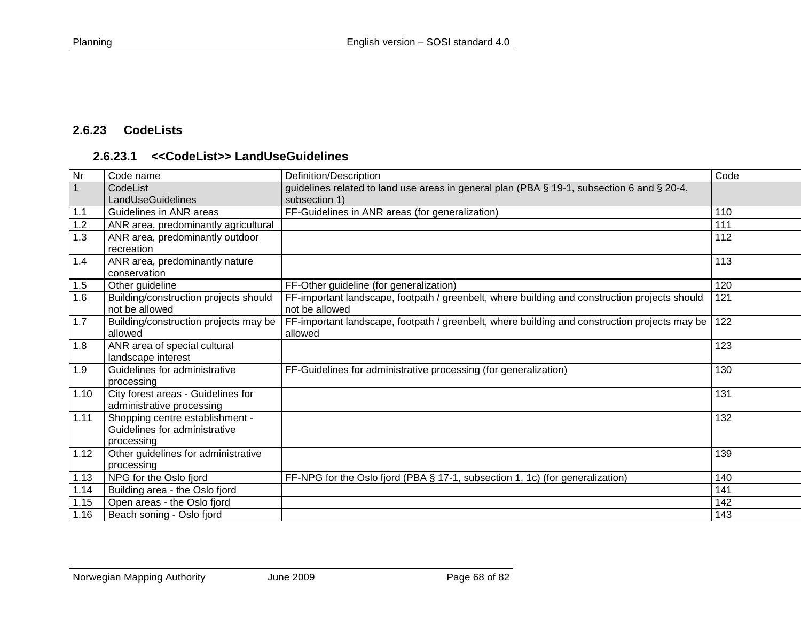# **2.6.23 CodeLists**

## **2.6.23.1 <<CodeList>> LandUseGuidelines**

| $\overline{\mathsf{N}}$ r | Code name                             | Definition/Description                                                                        | Code |
|---------------------------|---------------------------------------|-----------------------------------------------------------------------------------------------|------|
| $\overline{1}$            | CodeList                              | guidelines related to land use areas in general plan (PBA § 19-1, subsection 6 and § 20-4,    |      |
|                           | LandUseGuidelines                     | subsection 1)                                                                                 |      |
| 1.1                       | Guidelines in ANR areas               | FF-Guidelines in ANR areas (for generalization)                                               | 110  |
| 1.2                       | ANR area, predominantly agricultural  |                                                                                               | 111  |
| 1.3                       | ANR area, predominantly outdoor       |                                                                                               | 112  |
|                           | recreation                            |                                                                                               |      |
| 1.4                       | ANR area, predominantly nature        |                                                                                               | 113  |
|                           | conservation                          |                                                                                               |      |
| 1.5                       | Other guideline                       | FF-Other guideline (for generalization)                                                       | 120  |
| 1.6                       | Building/construction projects should | FF-important landscape, footpath / greenbelt, where building and construction projects should | 121  |
|                           | not be allowed                        | not be allowed                                                                                |      |
| 1.7                       | Building/construction projects may be | FF-important landscape, footpath / greenbelt, where building and construction projects may be | 122  |
|                           | allowed                               | allowed                                                                                       |      |
| 1.8                       | ANR area of special cultural          |                                                                                               | 123  |
|                           | landscape interest                    |                                                                                               |      |
| 1.9                       | Guidelines for administrative         | FF-Guidelines for administrative processing (for generalization)                              | 130  |
|                           | processing                            |                                                                                               |      |
| 1.10                      | City forest areas - Guidelines for    |                                                                                               | 131  |
|                           | administrative processing             |                                                                                               |      |
| 1.11                      | Shopping centre establishment -       |                                                                                               | 132  |
|                           | Guidelines for administrative         |                                                                                               |      |
|                           | processing                            |                                                                                               |      |
| 1.12                      | Other guidelines for administrative   |                                                                                               | 139  |
|                           | processing                            |                                                                                               |      |
| 1.13                      | NPG for the Oslo fjord                | FF-NPG for the Oslo fjord (PBA § 17-1, subsection 1, 1c) (for generalization)                 | 140  |
| 1.14                      | Building area - the Oslo fjord        |                                                                                               | 141  |
| 1.15                      | Open areas - the Oslo fjord           |                                                                                               | 142  |
| 1.16                      | Beach soning - Oslo fjord             |                                                                                               | 143  |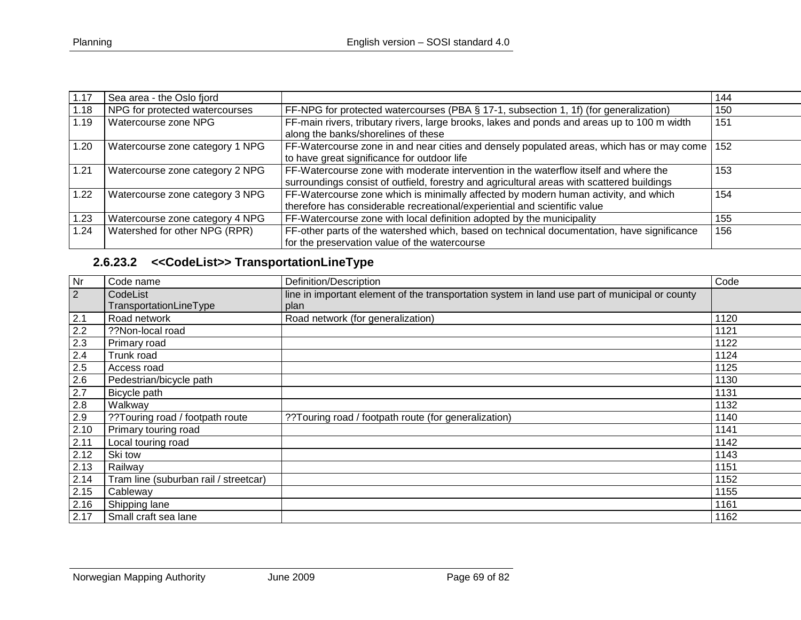| 1.17 | Sea area - the Oslo fjord       |                                                                                                                                                                                    | 144 |
|------|---------------------------------|------------------------------------------------------------------------------------------------------------------------------------------------------------------------------------|-----|
| 1.18 | NPG for protected watercourses  | FF-NPG for protected watercourses (PBA § 17-1, subsection 1, 1f) (for generalization)                                                                                              | 150 |
| 1.19 | Watercourse zone NPG            | FF-main rivers, tributary rivers, large brooks, lakes and ponds and areas up to 100 m width<br>along the banks/shorelines of these                                                 | 151 |
| 1.20 | Watercourse zone category 1 NPG | FF-Watercourse zone in and near cities and densely populated areas, which has or may come<br>to have great significance for outdoor life                                           | 152 |
| 1.21 | Watercourse zone category 2 NPG | FF-Watercourse zone with moderate intervention in the waterflow itself and where the<br>surroundings consist of outfield, forestry and agricultural areas with scattered buildings | 153 |
| 1.22 | Watercourse zone category 3 NPG | FF-Watercourse zone which is minimally affected by modern human activity, and which<br>therefore has considerable recreational/experiential and scientific value                   | 154 |
| 1.23 | Watercourse zone category 4 NPG | FF-Watercourse zone with local definition adopted by the municipality                                                                                                              | 155 |
| 1.24 | Watershed for other NPG (RPR)   | FF-other parts of the watershed which, based on technical documentation, have significance<br>for the preservation value of the watercourse                                        | 156 |

# **2.6.23.2 <<CodeList>> TransportationLineType**

| Nr             | Code name                             | Definition/Description                                                                         | Code |
|----------------|---------------------------------------|------------------------------------------------------------------------------------------------|------|
| $\overline{2}$ | CodeList                              | line in important element of the transportation system in land use part of municipal or county |      |
|                | TransportationLineType                | plan                                                                                           |      |
| 2.1            | Road network                          | Road network (for generalization)                                                              | 1120 |
| 2.2            | ??Non-local road                      |                                                                                                | 1121 |
| 2.3            | Primary road                          |                                                                                                | 1122 |
| 2.4            | Trunk road                            |                                                                                                | 1124 |
| 2.5            | Access road                           |                                                                                                | 1125 |
| 2.6            | Pedestrian/bicycle path               |                                                                                                | 1130 |
| 2.7            | Bicycle path                          |                                                                                                | 1131 |
| 2.8            | Walkway                               |                                                                                                | 1132 |
| 2.9            | ??Touring road / footpath route       | ??Touring road / footpath route (for generalization)                                           | 1140 |
| 2.10           | Primary touring road                  |                                                                                                | 1141 |
| 2.11           | Local touring road                    |                                                                                                | 1142 |
| 2.12           | Ski tow                               |                                                                                                | 1143 |
| 2.13           | Railway                               |                                                                                                | 1151 |
| 2.14           | Tram line (suburban rail / streetcar) |                                                                                                | 1152 |
| 2.15           | Cableway                              |                                                                                                | 1155 |
| 2.16           | Shipping lane                         |                                                                                                | 1161 |
| 2.17           | Small craft sea lane                  |                                                                                                | 1162 |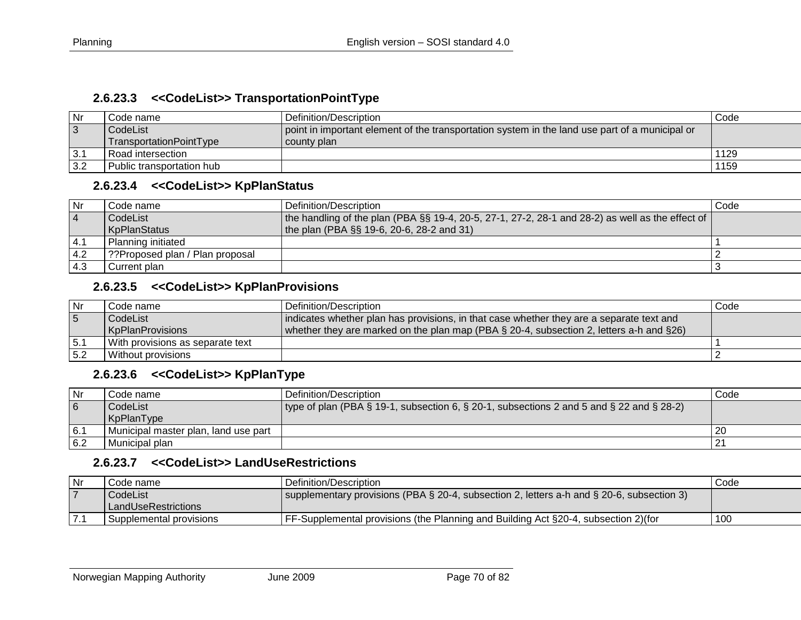#### **2.6.23.3 <<CodeList>> TransportationPointType**

| Nı         | Code name :               | Definition/Description                                                                         | Code |
|------------|---------------------------|------------------------------------------------------------------------------------------------|------|
| $\vert$ 3  | CodeList                  | point in important element of the transportation system in the land use part of a municipal or |      |
|            | TransportationPointType   | l county plan                                                                                  |      |
| $\vert$ 3. | l Road intersection       |                                                                                                | 1129 |
| 3.2        | Public transportation hub |                                                                                                | 1159 |

#### **2.6.23.4 <<CodeList>> KpPlanStatus**

| l Nr     | Code name                       | l Definition/Description_                                                                            | Code |
|----------|---------------------------------|------------------------------------------------------------------------------------------------------|------|
| <b>4</b> | CodeList                        | the handling of the plan (PBA $\S$ § 19-4, 20-5, 27-1, 27-2, 28-1 and 28-2) as well as the effect of |      |
|          | KpPlanStatus                    | the plan (PBA $\S$ § 19-6, 20-6, 28-2 and 31)                                                        |      |
| 4.1      | Planning initiated              |                                                                                                      |      |
| 4.2      | ??Proposed plan / Plan proposal |                                                                                                      |      |
| $-4.3$   | Current plan                    |                                                                                                      |      |

# **2.6.23.5 <<CodeList>> KpPlanProvisions**

| l Nr | Code name l                      | Definition/Description                                                                         | Code |
|------|----------------------------------|------------------------------------------------------------------------------------------------|------|
| 5    | CodeList                         | indicates whether plan has provisions, in that case whether they are a separate text and       |      |
|      | KpPlanProvisions                 | whether they are marked on the plan map (PBA $\S$ 20-4, subsection 2, letters a-h and $\S$ 26) |      |
| 15.1 | With provisions as separate text |                                                                                                |      |
| 15.2 | Without provisions               |                                                                                                |      |

# **2.6.23.6 <<CodeList>> KpPlanType**

| l Nr           | Code name                            | l Definition/Description_                                                                | Code           |
|----------------|--------------------------------------|------------------------------------------------------------------------------------------|----------------|
| $\overline{6}$ | CodeList                             | type of plan (PBA § 19-1, subsection 6, § 20-1, subsections 2 and 5 and § 22 and § 28-2) |                |
|                | KpPlanType                           |                                                                                          |                |
| 6.1            | Municipal master plan, land use part |                                                                                          | -20            |
| 6.2            | Municipal plan                       |                                                                                          | 2 <sup>1</sup> |

#### **2.6.23.7 <<CodeList>> LandUseRestrictions**

| Nr | Code name               | l Definition/Description                                                                  | Code |
|----|-------------------------|-------------------------------------------------------------------------------------------|------|
|    | CodeList                | supplementary provisions (PBA § 20-4, subsection 2, letters a-h and § 20-6, subsection 3) |      |
|    | l LandUseRestrictions   |                                                                                           |      |
|    | Supplemental provisions | FF-Supplemental provisions (the Planning and Building Act §20-4, subsection 2) (for       | 100  |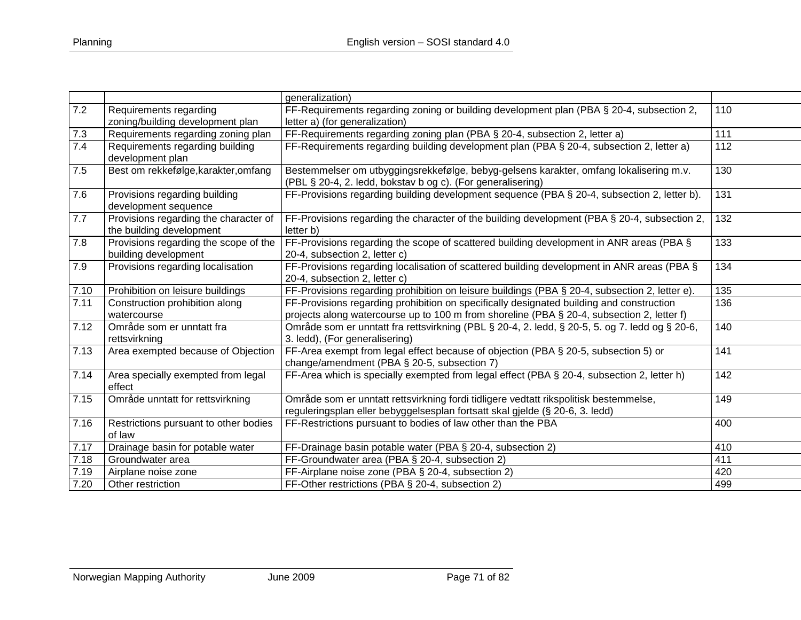|      |                                       | generalization)                                                                                |     |
|------|---------------------------------------|------------------------------------------------------------------------------------------------|-----|
| 7.2  | Requirements regarding                | FF-Requirements regarding zoning or building development plan (PBA § 20-4, subsection 2,       | 110 |
|      | zoning/building development plan      | letter a) (for generalization)                                                                 |     |
| 7.3  | Requirements regarding zoning plan    | FF-Requirements regarding zoning plan (PBA § 20-4, subsection 2, letter a)                     | 111 |
| 7.4  | Requirements regarding building       | FF-Requirements regarding building development plan (PBA § 20-4, subsection 2, letter a)       | 112 |
|      | development plan                      |                                                                                                |     |
| 7.5  | Best om rekkefølge, karakter, omfang  | Bestemmelser om utbyggingsrekkefølge, bebyg-gelsens karakter, omfang lokalisering m.v.         | 130 |
|      |                                       | (PBL § 20-4, 2. ledd, bokstav b og c). (For generalisering)                                    |     |
| 7.6  | Provisions regarding building         | FF-Provisions regarding building development sequence (PBA § 20-4, subsection 2, letter b).    | 131 |
|      | development sequence                  |                                                                                                |     |
| 7.7  | Provisions regarding the character of | FF-Provisions regarding the character of the building development (PBA § 20-4, subsection 2,   | 132 |
|      | the building development              | letter b)                                                                                      |     |
| 7.8  | Provisions regarding the scope of the | FF-Provisions regarding the scope of scattered building development in ANR areas (PBA §        | 133 |
|      | building development                  | 20-4, subsection 2, letter c)                                                                  |     |
| 7.9  | Provisions regarding localisation     | FF-Provisions regarding localisation of scattered building development in ANR areas (PBA §     | 134 |
|      |                                       | 20-4, subsection 2, letter c)                                                                  |     |
| 7.10 | Prohibition on leisure buildings      | FF-Provisions regarding prohibition on leisure buildings (PBA § 20-4, subsection 2, letter e). | 135 |
| 7.11 | Construction prohibition along        | FF-Provisions regarding prohibition on specifically designated building and construction       | 136 |
|      | watercourse                           | projects along watercourse up to 100 m from shoreline (PBA § 20-4, subsection 2, letter f)     |     |
| 7.12 | Område som er unntatt fra             | Område som er unntatt fra rettsvirkning (PBL § 20-4, 2. ledd, § 20-5, 5. og 7. ledd og § 20-6, | 140 |
|      | rettsvirkning                         | 3. ledd), (For generalisering)                                                                 |     |
| 7.13 | Area exempted because of Objection    | FF-Area exempt from legal effect because of objection (PBA § 20-5, subsection 5) or            | 141 |
|      |                                       | change/amendment (PBA § 20-5, subsection 7)                                                    |     |
| 7.14 | Area specially exempted from legal    | FF-Area which is specially exempted from legal effect (PBA § 20-4, subsection 2, letter h)     | 142 |
|      | effect                                |                                                                                                |     |
| 7.15 | Område unntatt for rettsvirkning      | Område som er unntatt rettsvirkning fordi tidligere vedtatt rikspolitisk bestemmelse,          | 149 |
|      |                                       | reguleringsplan eller bebyggelsesplan fortsatt skal gjelde (§ 20-6, 3. ledd)                   |     |
| 7.16 | Restrictions pursuant to other bodies | FF-Restrictions pursuant to bodies of law other than the PBA                                   | 400 |
|      | of law                                |                                                                                                |     |
| 7.17 | Drainage basin for potable water      | FF-Drainage basin potable water (PBA § 20-4, subsection 2)                                     | 410 |
| 7.18 | Groundwater area                      | FF-Groundwater area (PBA § 20-4, subsection 2)                                                 | 411 |
| 7.19 | Airplane noise zone                   | FF-Airplane noise zone (PBA § 20-4, subsection 2)                                              | 420 |
| 7.20 | Other restriction                     | FF-Other restrictions (PBA § 20-4, subsection 2)                                               | 499 |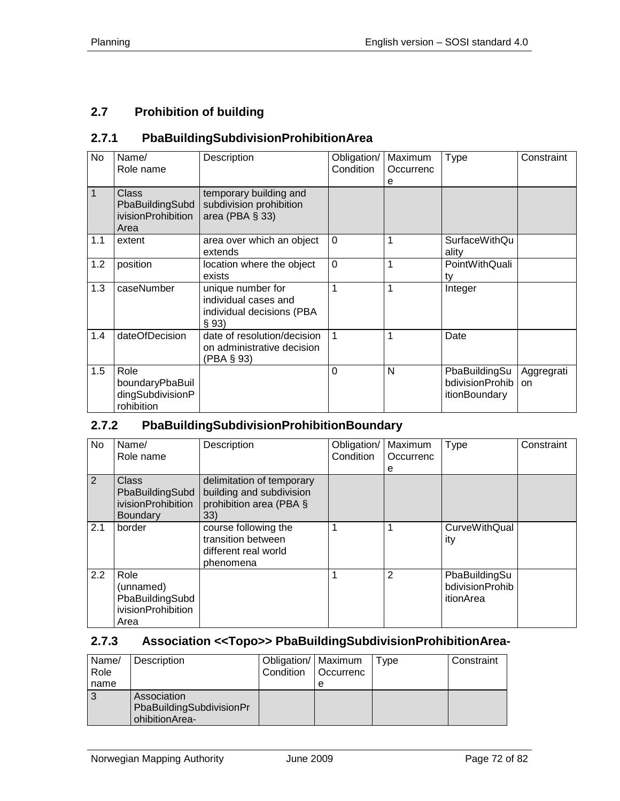# **2.7 Prohibition of building**

# **2.7.1 PbaBuildingSubdivisionProhibitionArea**

| No  | Name/<br>Role name                                            | Description                                                                     | Obligation/<br>Condition | Maximum<br>Occurrenc<br>e | Type                                              | Constraint       |
|-----|---------------------------------------------------------------|---------------------------------------------------------------------------------|--------------------------|---------------------------|---------------------------------------------------|------------------|
| 1   | Class<br>PbaBuildingSubd<br><i>ivisionProhibition</i><br>Area | temporary building and<br>subdivision prohibition<br>area (PBA $\S$ 33)         |                          |                           |                                                   |                  |
| 1.1 | extent                                                        | area over which an object<br>extends                                            | $\Omega$                 | 1                         | <b>SurfaceWithQu</b><br>ality                     |                  |
| 1.2 | position                                                      | location where the object<br>exists                                             | $\Omega$                 | 1                         | PointWithQuali<br>ty                              |                  |
| 1.3 | caseNumber                                                    | unique number for<br>individual cases and<br>individual decisions (PBA<br>§ 93) | 1                        | 1                         | Integer                                           |                  |
| 1.4 | dateOfDecision                                                | date of resolution/decision<br>on administrative decision<br>(PBA § 93)         | 1                        | 1                         | Date                                              |                  |
| 1.5 | Role<br>boundaryPbaBuil<br>dingSubdivisionP<br>rohibition     |                                                                                 | $\Omega$                 | N                         | PbaBuildingSu<br>bdivisionProhib<br>itionBoundary | Aggregrati<br>on |

## **2.7.2 PbaBuildingSubdivisionProhibitionBoundary**

| No  | Name/<br>Role name                                                       | Description                                                                             | Obligation/<br>Condition | Maximum<br>Occurrenc<br>е | Type                                          | Constraint |
|-----|--------------------------------------------------------------------------|-----------------------------------------------------------------------------------------|--------------------------|---------------------------|-----------------------------------------------|------------|
| 2   | <b>Class</b><br>PbaBuildingSubd<br>ivisionProhibition<br><b>Boundary</b> | delimitation of temporary<br>building and subdivision<br>prohibition area (PBA §<br>33) |                          |                           |                                               |            |
| 2.1 | border                                                                   | course following the<br>transition between<br>different real world<br>phenomena         | $\mathbf 1$              | 1                         | <b>CurveWithQual</b><br>ity                   |            |
| 2.2 | Role<br>(unnamed)<br>PbaBuildingSubd<br>ivisionProhibition<br>Area       |                                                                                         | 1                        | 2                         | PbaBuildingSu<br>bdivisionProhib<br>itionArea |            |

### **2.7.3 Association <<Topo>> PbaBuildingSubdivisionProhibitionArea-**

| Name/ | Description              | Obligation/   Maximum |                  | vpe | Constraint |
|-------|--------------------------|-----------------------|------------------|-----|------------|
| Role  |                          | Condition             | <b>Occurrenc</b> |     |            |
| name  |                          |                       | е                |     |            |
|       | Association              |                       |                  |     |            |
|       | PbaBuildingSubdivisionPr |                       |                  |     |            |
|       | ohibitionArea-           |                       |                  |     |            |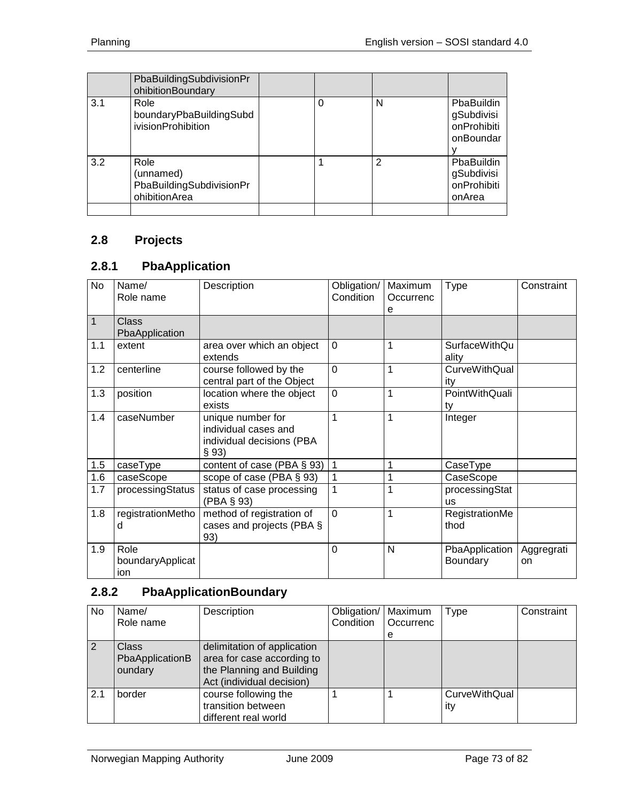|     | PbaBuildingSubdivisionPr<br>ohibitionBoundary                  |   |   |                                                          |
|-----|----------------------------------------------------------------|---|---|----------------------------------------------------------|
| 3.1 | Role<br>boundaryPbaBuildingSubd<br>ivisionProhibition          | 0 | N | PbaBuildin<br>gSubdivisi<br>onProhibiti<br>onBoundar     |
| 3.2 | Role<br>(unnamed)<br>PbaBuildingSubdivisionPr<br>ohibitionArea |   | 2 | <b>PhaBuildin</b><br>gSubdivisi<br>onProhibiti<br>onArea |

## **2.8 Projects**

## **2.8.1 PbaApplication**

| <b>No</b>    | Name/<br>Role name              | Description                                                                     | Obligation/<br>Condition | Maximum<br>Occurrenc<br>е | <b>Type</b>                   | Constraint       |
|--------------|---------------------------------|---------------------------------------------------------------------------------|--------------------------|---------------------------|-------------------------------|------------------|
| $\mathbf{1}$ | Class<br>PbaApplication         |                                                                                 |                          |                           |                               |                  |
| 1.1          | extent                          | area over which an object<br>extends                                            | $\Omega$                 | 1                         | <b>SurfaceWithQu</b><br>ality |                  |
| 1.2          | centerline                      | course followed by the<br>central part of the Object                            | $\Omega$                 | 1                         | <b>CurveWithQual</b><br>ity   |                  |
| 1.3          | position                        | location where the object<br>exists                                             | $\mathbf 0$              | 1                         | PointWithQuali<br>ty          |                  |
| 1.4          | caseNumber                      | unique number for<br>individual cases and<br>individual decisions (PBA<br>§ 93) | 1                        | 1                         | Integer                       |                  |
| 1.5          | caseType                        | content of case (PBA § 93)                                                      | 1                        | 1                         | CaseType                      |                  |
| 1.6          | caseScope                       | scope of case (PBA § 93)                                                        | 1                        | 1                         | CaseScope                     |                  |
| 1.7          | processingStatus                | status of case processing<br>(PBA § 93)                                         | 1                        | 1                         | processingStat<br><b>us</b>   |                  |
| 1.8          | registrationMetho<br>d          | method of registration of<br>cases and projects (PBA §<br>93)                   | $\Omega$                 | 1                         | RegistrationMe<br>thod        |                  |
| 1.9          | Role<br>boundaryApplicat<br>ion |                                                                                 | 0                        | N                         | PbaApplication<br>Boundary    | Aggregrati<br>on |

# **2.8.2 PbaApplicationBoundary**

| No. | Name/<br>Role name                         | Description                                                                                                         | Obligation/   Maximum<br>Condition | Occurrenc<br>е | Type                 | Constraint |
|-----|--------------------------------------------|---------------------------------------------------------------------------------------------------------------------|------------------------------------|----------------|----------------------|------------|
| 2   | <b>Class</b><br>PbaApplicationB<br>oundary | delimitation of application<br>area for case according to<br>the Planning and Building<br>Act (individual decision) |                                    |                |                      |            |
| 2.1 | border                                     | course following the<br>transition between<br>different real world                                                  |                                    |                | CurveWithQual<br>ity |            |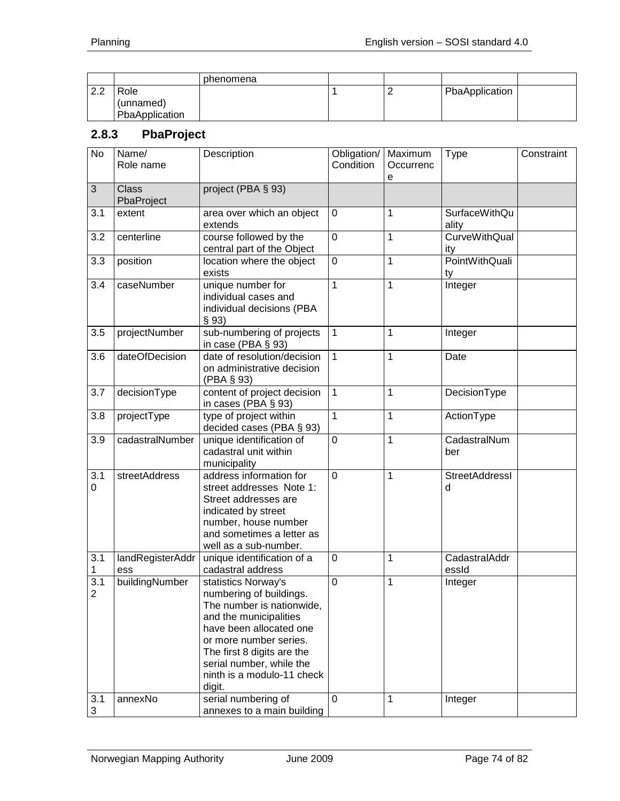|           |                | phenomena |  |                |  |
|-----------|----------------|-----------|--|----------------|--|
| ററ<br>ے ۔ | Role           |           |  | PbaApplication |  |
|           | (unnamed)      |           |  |                |  |
|           | PbaApplication |           |  |                |  |

# **2.8.3 PbaProject**

| <b>No</b> | Name/<br>Role name         | Description                                                                                                                                                                                                                                                  | Obligation/<br>Condition | Maximum<br>Occurrenc<br>е | <b>Type</b>                 | Constraint |
|-----------|----------------------------|--------------------------------------------------------------------------------------------------------------------------------------------------------------------------------------------------------------------------------------------------------------|--------------------------|---------------------------|-----------------------------|------------|
| 3         | <b>Class</b><br>PbaProject | project (PBA § 93)                                                                                                                                                                                                                                           |                          |                           |                             |            |
| 3.1       | extent                     | area over which an object<br>extends                                                                                                                                                                                                                         | 0                        | 1                         | SurfaceWithQu<br>ality      |            |
| 3.2       | centerline                 | course followed by the<br>central part of the Object                                                                                                                                                                                                         | 0                        | 1                         | <b>CurveWithQual</b><br>ity |            |
| 3.3       | position                   | location where the object<br>exists                                                                                                                                                                                                                          | 0                        | 1                         | PointWithQuali<br>ty        |            |
| 3.4       | caseNumber                 | unique number for<br>individual cases and<br>individual decisions (PBA<br>§ 93)                                                                                                                                                                              | 1                        | 1                         | Integer                     |            |
| 3.5       | projectNumber              | sub-numbering of projects<br>in case (PBA § 93)                                                                                                                                                                                                              | 1                        | 1                         | Integer                     |            |
| 3.6       | dateOfDecision             | date of resolution/decision<br>on administrative decision<br>(PBA § 93)                                                                                                                                                                                      | 1                        | 1                         | Date                        |            |
| 3.7       | decisionType               | content of project decision<br>in cases (PBA § 93)                                                                                                                                                                                                           | 1                        | 1                         | DecisionType                |            |
| 3.8       | projectType                | type of project within<br>decided cases (PBA § 93)                                                                                                                                                                                                           | 1                        | 1                         | ActionType                  |            |
| 3.9       | cadastralNumber            | unique identification of<br>cadastral unit within<br>municipality                                                                                                                                                                                            | $\mathbf 0$              | 1                         | CadastralNum<br>ber         |            |
| 3.1<br>0  | streetAddress              | address information for<br>street addresses Note 1:<br>Street addresses are<br>indicated by street<br>number, house number<br>and sometimes a letter as<br>well as a sub-number.                                                                             | 0                        | 1                         | StreetAddressI<br>d         |            |
| 3.1<br>1  | landRegisterAddr<br>ess    | unique identification of a<br>cadastral address                                                                                                                                                                                                              | $\mathbf 0$              | 1                         | CadastralAddr<br>essId      |            |
| 3.1<br>2  | buildingNumber             | statistics Norway's<br>numbering of buildings.<br>The number is nationwide,<br>and the municipalities<br>have been allocated one<br>or more number series.<br>The first 8 digits are the<br>serial number, while the<br>ninth is a modulo-11 check<br>digit. | $\mathbf 0$              | 1                         | Integer                     |            |
| 3.1<br>3  | annexNo                    | serial numbering of<br>annexes to a main building                                                                                                                                                                                                            | 0                        | 1                         | Integer                     |            |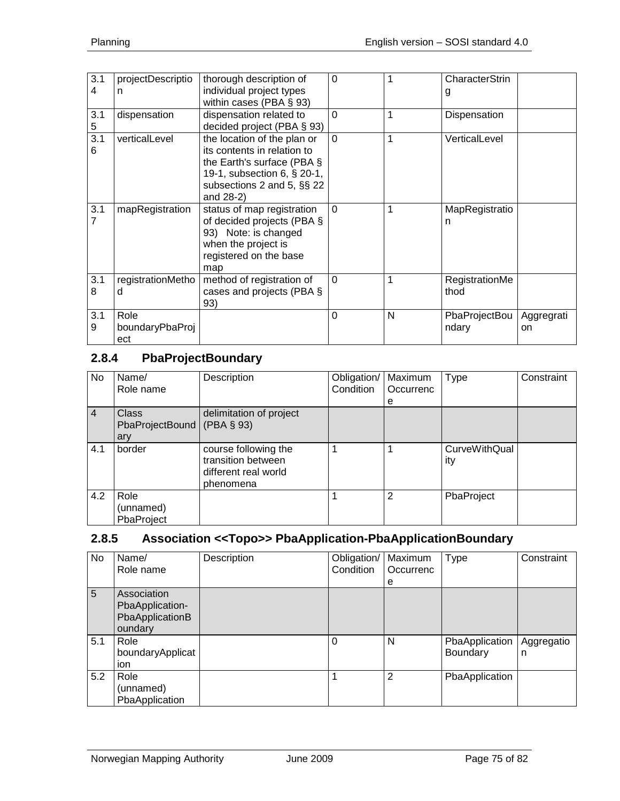| 3.1<br>4 | projectDescriptio<br>n         | thorough description of<br>individual project types<br>within cases (PBA $\S$ 93)                                                                                     | $\mathbf 0$ |   | CharacterStrin<br>g    |                  |
|----------|--------------------------------|-----------------------------------------------------------------------------------------------------------------------------------------------------------------------|-------------|---|------------------------|------------------|
| 3.1<br>5 | dispensation                   | dispensation related to<br>decided project (PBA § 93)                                                                                                                 | $\Omega$    | 1 | Dispensation           |                  |
| 3.1<br>6 | verticalLevel                  | the location of the plan or<br>its contents in relation to<br>the Earth's surface (PBA §<br>19-1, subsection 6, § 20-1,<br>subsections 2 and 5, §§ 22<br>and $28-2$ ) | $\Omega$    | 1 | VerticalLevel          |                  |
| 3.1      | mapRegistration                | status of map registration<br>of decided projects (PBA §<br>93) Note: is changed<br>when the project is<br>registered on the base<br>map                              | $\Omega$    | 1 | MapRegistratio<br>n    |                  |
| 3.1<br>8 | registrationMetho<br>d         | method of registration of<br>cases and projects (PBA §<br>93)                                                                                                         | $\Omega$    | 1 | RegistrationMe<br>thod |                  |
| 3.1<br>9 | Role<br>boundaryPbaProj<br>ect |                                                                                                                                                                       | $\Omega$    | N | PbaProjectBou<br>ndary | Aggregrati<br>on |

# **2.8.4 PbaProjectBoundary**

| No.            | Name/<br>Role name                     | Description                                                                     | Obligation/<br>Condition | Maximum<br>Occurrenc | <b>Type</b>                 | Constraint |
|----------------|----------------------------------------|---------------------------------------------------------------------------------|--------------------------|----------------------|-----------------------------|------------|
| $\overline{4}$ | <b>Class</b><br>PbaProjectBound<br>ary | delimitation of project<br>(PBA § 93)                                           |                          | е                    |                             |            |
| 4.1            | border                                 | course following the<br>transition between<br>different real world<br>phenomena |                          |                      | <b>CurveWithQual</b><br>ity |            |
| 4.2            | Role<br>(unnamed)<br>PbaProject        |                                                                                 |                          | 2                    | PbaProject                  |            |

## **2.8.5 Association <<Topo>> PbaApplication-PbaApplicationBoundary**

| No  | Name/<br>Role name                                           | Description | Obligation/<br>Condition | Maximum<br>Occurrenc | Type                              | Constraint      |
|-----|--------------------------------------------------------------|-------------|--------------------------|----------------------|-----------------------------------|-----------------|
|     |                                                              |             |                          | е                    |                                   |                 |
| 5   | Association<br>PbaApplication-<br>PbaApplicationB<br>oundary |             |                          |                      |                                   |                 |
| 5.1 | Role<br>boundaryApplicat<br>ion                              |             | $\Omega$                 | N                    | PbaApplication<br><b>Boundary</b> | Aggregatio<br>n |
| 5.2 | Role<br>(unnamed)<br>PbaApplication                          |             | 1                        | $\overline{2}$       | PbaApplication                    |                 |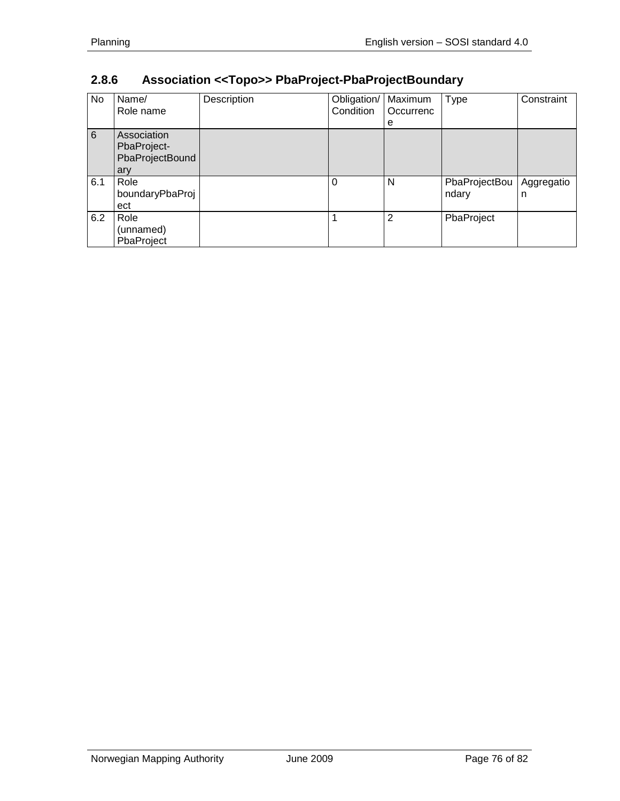| No  | Name/<br>Role name                                   | Description | Obligation/<br>Condition | Maximum<br>Occurrenc | <b>Type</b>            | Constraint      |
|-----|------------------------------------------------------|-------------|--------------------------|----------------------|------------------------|-----------------|
|     |                                                      |             |                          | e                    |                        |                 |
| 6   | Association<br>PbaProject-<br>PbaProjectBound<br>ary |             |                          |                      |                        |                 |
| 6.1 | Role<br>boundaryPbaProj<br>ect                       |             | 0                        | N                    | PbaProjectBou<br>ndary | Aggregatio<br>n |
| 6.2 | Role<br>(unnamed)<br>PbaProject                      |             |                          | 2                    | PbaProject             |                 |

# **2.8.6 Association <<Topo>> PbaProject-PbaProjectBoundary**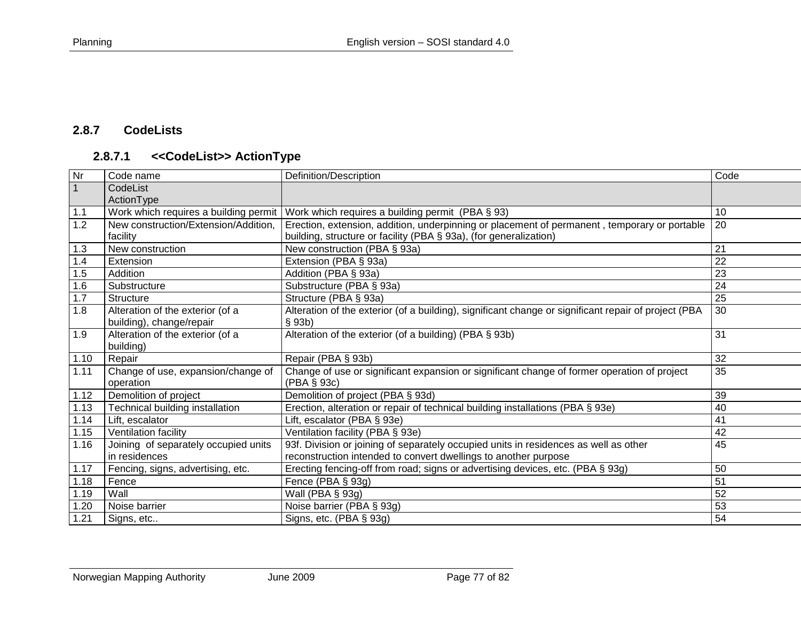## **2.8.7 CodeLists**

# **2.8.7.1 <<CodeList>> ActionType**

| Nr   | Code name                             | Definition/Description                                                                               | Code            |
|------|---------------------------------------|------------------------------------------------------------------------------------------------------|-----------------|
|      | CodeList                              |                                                                                                      |                 |
|      | ActionType                            |                                                                                                      |                 |
| 1.1  | Work which requires a building permit | Work which requires a building permit (PBA § 93)                                                     | 10              |
| 1.2  | New construction/Extension/Addition,  | Erection, extension, addition, underpinning or placement of permanent, temporary or portable         | 20              |
|      | facility                              | building, structure or facility (PBA § 93a), (for generalization)                                    |                 |
| 1.3  | New construction                      | New construction (PBA § 93a)                                                                         | 21              |
| 1.4  | Extension                             | Extension (PBA § 93a)                                                                                | 22              |
| 1.5  | Addition                              | Addition (PBA § 93a)                                                                                 | 23              |
| 1.6  | Substructure                          | Substructure (PBA § 93a)                                                                             | 24              |
| 1.7  | <b>Structure</b>                      | Structure (PBA § 93a)                                                                                | $\overline{25}$ |
| 1.8  | Alteration of the exterior (of a      | Alteration of the exterior (of a building), significant change or significant repair of project (PBA | 30              |
|      | building), change/repair              | $§$ 93b)                                                                                             |                 |
| 1.9  | Alteration of the exterior (of a      | Alteration of the exterior (of a building) (PBA § 93b)                                               | 31              |
|      | building)                             |                                                                                                      |                 |
| 1.10 | Repair                                | Repair (PBA § 93b)                                                                                   | 32              |
| 1.11 | Change of use, expansion/change of    | Change of use or significant expansion or significant change of former operation of project          | 35              |
|      | operation                             | (PBA § 93c)                                                                                          |                 |
| 1.12 | Demolition of project                 | Demolition of project (PBA § 93d)                                                                    | 39              |
| 1.13 | Technical building installation       | Erection, alteration or repair of technical building installations (PBA § 93e)                       | 40              |
| 1.14 | Lift, escalator                       | Lift, escalator (PBA § 93e)                                                                          | 41              |
| 1.15 | Ventilation facility                  | Ventilation facility (PBA § 93e)                                                                     | 42              |
| 1.16 | Joining of separately occupied units  | 93f. Division or joining of separately occupied units in residences as well as other                 | 45              |
|      | in residences                         | reconstruction intended to convert dwellings to another purpose                                      |                 |
| 1.17 | Fencing, signs, advertising, etc.     | Erecting fencing-off from road; signs or advertising devices, etc. (PBA § 93g)                       | 50              |
| 1.18 | Fence                                 | Fence (PBA § 93g)                                                                                    | $\overline{51}$ |
| 1.19 | Wall                                  | Wall (PBA § 93g)                                                                                     | 52              |
| 1.20 | Noise barrier                         | Noise barrier (PBA § 93g)                                                                            | 53              |
| 1.21 | Signs, etc                            | Signs, etc. (PBA § 93g)                                                                              | 54              |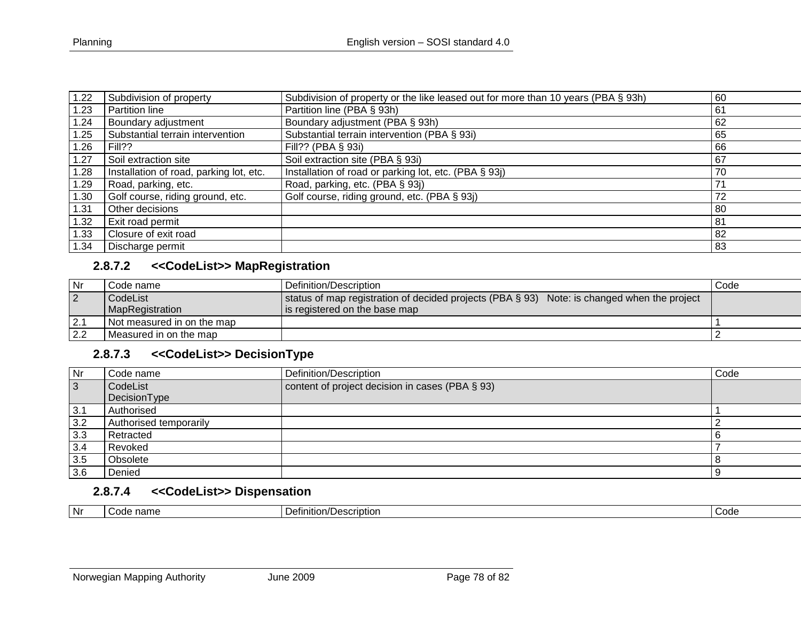| 1.22 | Subdivision of property                 | Subdivision of property or the like leased out for more than 10 years (PBA § 93h) | 60 |
|------|-----------------------------------------|-----------------------------------------------------------------------------------|----|
| 1.23 | Partition line                          | Partition line (PBA § 93h)                                                        | 61 |
| .24  | Boundary adjustment                     | Boundary adjustment (PBA § 93h)                                                   | 62 |
| 1.25 | Substantial terrain intervention        | Substantial terrain intervention (PBA § 93i)                                      | 65 |
| 1.26 | Fill??                                  | Fill?? (PBA $\S$ 93i)                                                             | 66 |
| 1.27 | Soil extraction site                    | Soil extraction site (PBA § 93i)                                                  | 67 |
| 1.28 | Installation of road, parking lot, etc. | Installation of road or parking lot, etc. (PBA § 93j)                             | 70 |
| 1.29 | Road, parking, etc.                     | Road, parking, etc. (PBA § 93j)                                                   | 7, |
| 1.30 | Golf course, riding ground, etc.        | Golf course, riding ground, etc. (PBA § 93j)                                      | 72 |
| 1.31 | Other decisions                         |                                                                                   | 80 |
| 1.32 | Exit road permit                        |                                                                                   | 81 |
| 1.33 | Closure of exit road                    |                                                                                   | 82 |
| 1.34 | Discharge permit                        |                                                                                   | 83 |

## **2.8.7.2 <<CodeList>> MapRegistration**

| Nr             | Code name                  | Definition/Description                                                                      | Code |
|----------------|----------------------------|---------------------------------------------------------------------------------------------|------|
| $\overline{2}$ | l CodeList                 | status of map registration of decided projects (PBA § 93) Note: is changed when the project |      |
|                | <b>MapRegistration</b>     | is registered on the base map                                                               |      |
| 2.1            | Not measured in on the map |                                                                                             |      |
| 2.2            | Measured in on the map     |                                                                                             |      |

## **2.8.7.3 <<CodeList>> DecisionType**

| Nr  | Code name              | Definition/Description                          | Code |
|-----|------------------------|-------------------------------------------------|------|
| 3   | CodeList               | content of project decision in cases (PBA § 93) |      |
|     | DecisionType           |                                                 |      |
| 3.1 | Authorised             |                                                 |      |
| 3.2 | Authorised temporarily |                                                 |      |
| 3.3 | Retracted              |                                                 |      |
| 3.4 | Revoked                |                                                 |      |
| 3.5 | Obsolete               |                                                 |      |
| 3.6 | Denied                 |                                                 |      |

## **2.8.7.4 <<CodeList>> Dispensation**

| <b>Nr</b> | $\sim$<br>nome<br>$\sim$<br> | rınıtıon<br>)escriptior | Code |
|-----------|------------------------------|-------------------------|------|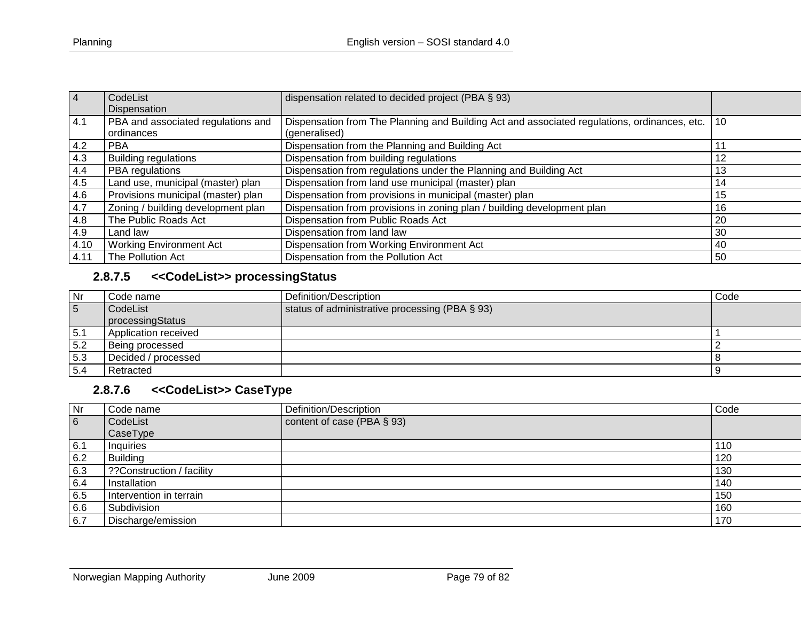| $\overline{4}$ | CodeList<br>Dispensation                         | dispensation related to decided project (PBA § 93)                                                            |    |
|----------------|--------------------------------------------------|---------------------------------------------------------------------------------------------------------------|----|
| 4.1            | PBA and associated regulations and<br>ordinances | Dispensation from The Planning and Building Act and associated regulations, ordinances, etc.<br>(generalised) | 10 |
| 4.2            | <b>PBA</b>                                       | Dispensation from the Planning and Building Act                                                               |    |
| 4.3            | <b>Building regulations</b>                      | Dispensation from building regulations                                                                        | 12 |
| 4.4            | PBA regulations                                  | Dispensation from regulations under the Planning and Building Act                                             | 13 |
| 4.5            | Land use, municipal (master) plan                | Dispensation from land use municipal (master) plan                                                            | 14 |
| 4.6            | Provisions municipal (master) plan               | Dispensation from provisions in municipal (master) plan                                                       | 15 |
| 4.7            | Zoning / building development plan               | Dispensation from provisions in zoning plan / building development plan                                       | 16 |
| 4.8            | The Public Roads Act                             | Dispensation from Public Roads Act                                                                            | 20 |
| 4.9            | Land law                                         | Dispensation from land law                                                                                    | 30 |
| 4.10           | <b>Working Environment Act</b>                   | Dispensation from Working Environment Act                                                                     | 40 |
| 4.11           | The Pollution Act                                | Dispensation from the Pollution Act                                                                           | 50 |

# **2.8.7.5 <<CodeList>> processingStatus**

| Nr  | Code name            | Definition/Description                         | Code |
|-----|----------------------|------------------------------------------------|------|
| 5   | CodeList             | status of administrative processing (PBA § 93) |      |
|     | processingStatus     |                                                |      |
| 5.1 | Application received |                                                |      |
| 5.2 | Being processed      |                                                |      |
| 5.3 | Decided / processed  |                                                |      |
| 5.4 | Retracted            |                                                |      |

## **2.8.7.6 <<CodeList>> CaseType**

| Nr  | Code name                 | Definition/Description     | Code |
|-----|---------------------------|----------------------------|------|
| 6   | CodeList                  | content of case (PBA § 93) |      |
|     | CaseType                  |                            |      |
| 6.1 | Inquiries                 |                            | 110  |
| 6.2 | <b>Building</b>           |                            | 120  |
| 6.3 | ??Construction / facility |                            | 130  |
| 6.4 | Installation              |                            | 140  |
| 6.5 | Intervention in terrain   |                            | 150  |
| 6.6 | Subdivision               |                            | 160  |
| 6.7 | Discharge/emission        |                            | 170  |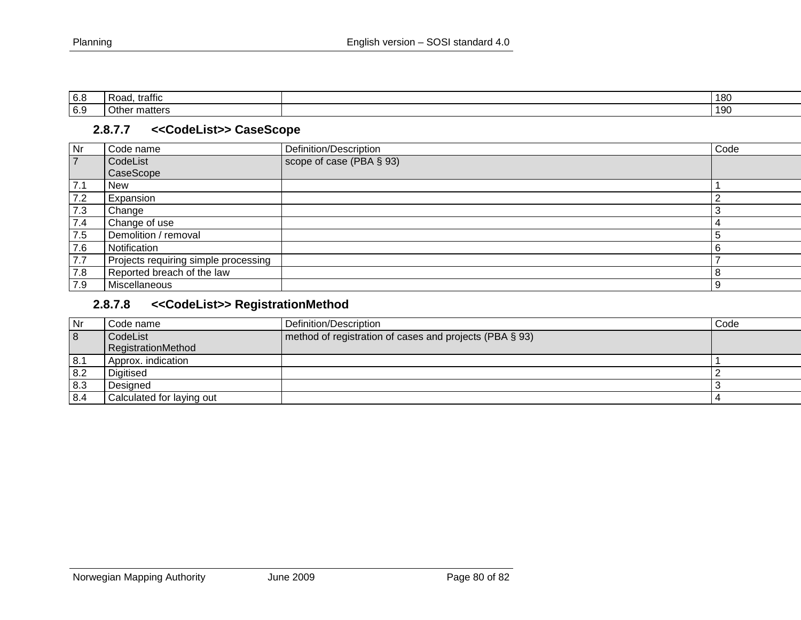| 6.8 | .<br>-<br>traffic               | 180 |
|-----|---------------------------------|-----|
| 6.9 | Othe<br>$++\wedge$ r<br>matters | 190 |

### **2.8.7.7 <<CodeList>> CaseScope**

| Nr             | Code name                            | Definition/Description   | Code |
|----------------|--------------------------------------|--------------------------|------|
| $\overline{7}$ | CodeList                             | scope of case (PBA § 93) |      |
|                | CaseScope                            |                          |      |
| 7.1            | <b>New</b>                           |                          |      |
| 7.2            | Expansion                            |                          |      |
| 7.3            | Change                               |                          |      |
| 7.4            | Change of use                        |                          | 4    |
| 7.5            | Demolition / removal                 |                          | -5   |
| 7.6            | Notification                         |                          | -6   |
| 7.7            | Projects requiring simple processing |                          |      |
| 7.8            | Reported breach of the law           |                          | -8   |
| 7.9            | Miscellaneous                        |                          | -9   |

# **2.8.7.8 <<CodeList>> RegistrationMethod**

| Nr  | Code name                 | Definition/Description                                  | Code |
|-----|---------------------------|---------------------------------------------------------|------|
| 8   | CodeList                  | method of registration of cases and projects (PBA § 93) |      |
|     | RegistrationMethod        |                                                         |      |
| 8.1 | Approx. indication        |                                                         |      |
| 8.2 | Digitised                 |                                                         |      |
| 8.3 | Desianed                  |                                                         |      |
| 8.4 | Calculated for laying out |                                                         |      |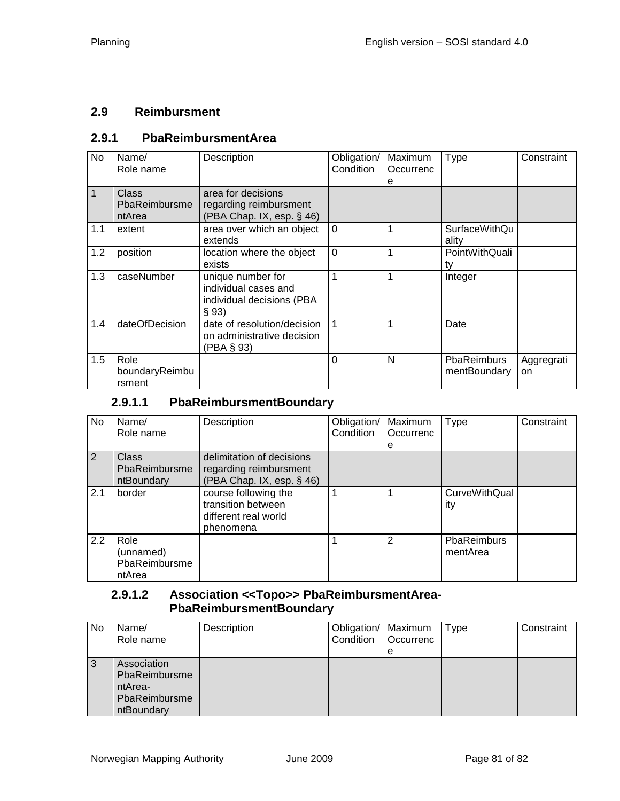#### **2.9 Reimbursment**

#### **2.9.1 PbaReimbursmentArea**

| <b>No</b> | Name/<br>Role name               | Description                                                                     | Obligation/<br>Condition | Maximum<br>Occurrenc<br>е | Type                               | Constraint       |
|-----------|----------------------------------|---------------------------------------------------------------------------------|--------------------------|---------------------------|------------------------------------|------------------|
| 1         | Class<br>PbaReimbursme<br>ntArea | area for decisions<br>regarding reimbursment<br>(PBA Chap. IX, esp. § 46)       |                          |                           |                                    |                  |
| 1.1       | extent                           | area over which an object<br>extends                                            | $\Omega$                 |                           | <b>SurfaceWithQu</b><br>ality      |                  |
| 1.2       | position                         | location where the object<br>exists                                             | $\overline{0}$           |                           | PointWithQuali<br>ty               |                  |
| 1.3       | caseNumber                       | unique number for<br>individual cases and<br>individual decisions (PBA<br>§ 93) |                          |                           | Integer                            |                  |
| 1.4       | dateOfDecision                   | date of resolution/decision<br>on administrative decision<br>(PBA § 93)         |                          |                           | Date                               |                  |
| 1.5       | Role<br>boundaryReimbu<br>rsment |                                                                                 | $\Omega$                 | N                         | <b>PbaReimburs</b><br>mentBoundary | Aggregrati<br>on |

## **2.9.1.1 PbaReimbursmentBoundary**

| No  | Name/<br>Role name                           | Description                                                                      | Obligation/<br>Condition | Maximum<br>Occurrenc<br>е | Type                        | Constraint |
|-----|----------------------------------------------|----------------------------------------------------------------------------------|--------------------------|---------------------------|-----------------------------|------------|
| 2   | Class<br>PbaReimbursme<br>ntBoundary         | delimitation of decisions<br>regarding reimbursment<br>(PBA Chap. IX, esp. § 46) |                          |                           |                             |            |
| 2.1 | border                                       | course following the<br>transition between<br>different real world<br>phenomena  | 1                        | 1                         | <b>CurveWithQual</b><br>ity |            |
| 2.2 | Role<br>(unnamed)<br>PbaReimbursme<br>ntArea |                                                                                  |                          | $\overline{2}$            | PbaReimburs<br>mentArea     |            |

#### **2.9.1.2 Association <<Topo>> PbaReimbursmentArea-PbaReimbursmentBoundary**

| No | Name/<br>Role name                                                     | Description | Obligation/   Maximum<br>Condition | <b>Occurrenc</b><br>e | <b>Type</b> | Constraint |
|----|------------------------------------------------------------------------|-------------|------------------------------------|-----------------------|-------------|------------|
| 3  | Association<br>PbaReimbursme<br>ntArea-<br>PbaReimbursme<br>ntBoundary |             |                                    |                       |             |            |